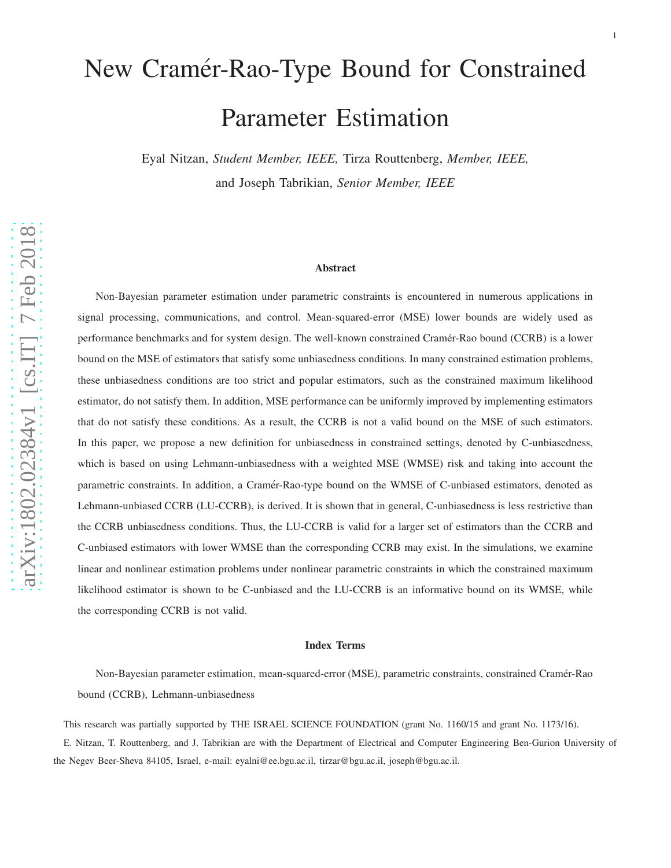# New Cramér-Rao-Type Bound for Constrained Parameter Estimation

Eyal Nitzan, *Student Member, IEEE,* Tirza Routtenberg, *Member, IEEE,* and Joseph Tabrikian, *Senior Member, IEEE*

#### Abstract

Non-Bayesian parameter estimation under parametric constraints is encountered in numerous applications in signal processing, communications, and control. Mean-squared-error (MSE) lower bounds are widely used as performance benchmarks and for system design. The well-known constrained Cramér-Rao bound (CCRB) is a lower bound on the MSE of estimators that satisfy some unbiasedness conditions. In many constrained estimation problems, these unbiasedness conditions are too strict and popular estimators, such as the constrained maximum likelihood estimator, do not satisfy them. In addition, MSE performance can be uniformly improved by implementing estimators that do not satisfy these conditions. As a result, the CCRB is not a valid bound on the MSE of such estimators. In this paper, we propose a new definition for unbiasedness in constrained settings, denoted by C-unbiasedness, which is based on using Lehmann-unbiasedness with a weighted MSE (WMSE) risk and taking into account the parametric constraints. In addition, a Cramér-Rao-type bound on the WMSE of C-unbiased estimators, denoted as Lehmann-unbiased CCRB (LU-CCRB), is derived. It is shown that in general, C-unbiasedness is less restrictive than the CCRB unbiasedness conditions. Thus, the LU-CCRB is valid for a larger set of estimators than the CCRB and C-unbiased estimators with lower WMSE than the corresponding CCRB may exist. In the simulations, we examine linear and nonlinear estimation problems under nonlinear parametric constraints in which the constrained maximum likelihood estimator is shown to be C-unbiased and the LU-CCRB is an informative bound on its WMSE, while the corresponding CCRB is not valid.

#### Index Terms

Non-Bayesian parameter estimation, mean-squared-error (MSE), parametric constraints, constrained Cramér-Rao bound (CCRB), Lehmann-unbiasedness

This research was partially supported by THE ISRAEL SCIENCE FOUNDATION (grant No. 1160/15 and grant No. 1173/16).

E. Nitzan, T. Routtenberg, and J. Tabrikian are with the Department of Electrical and Computer Engineering Ben-Gurion University of the Negev Beer-Sheva 84105, Israel, e-mail: eyalni@ee.bgu.ac.il, tirzar@bgu.ac.il, joseph@bgu.ac.il.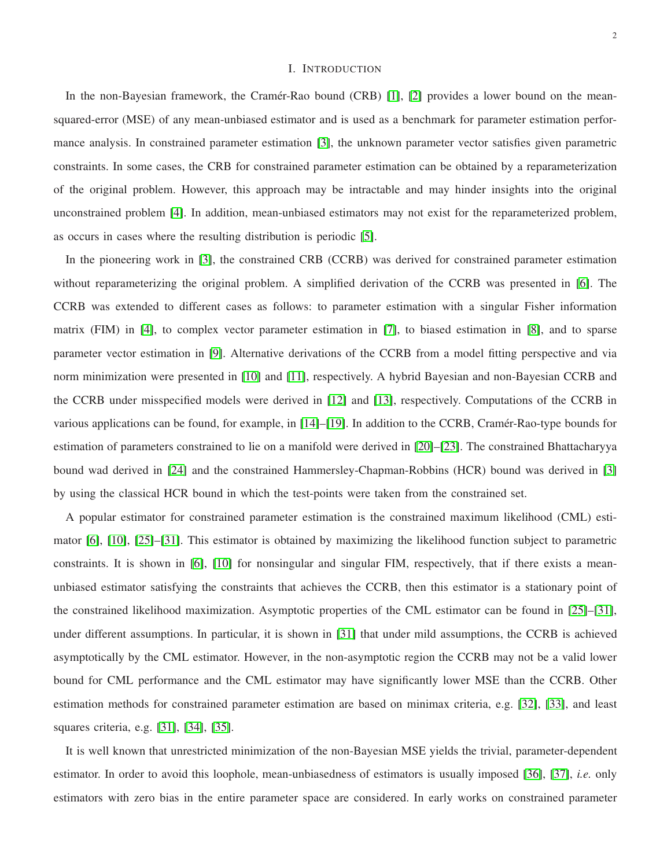#### I. INTRODUCTION

In the non-Bayesian framework, the Cramér-Rao bound (CRB) [\[1\]](#page-35-0), [\[2\]](#page-35-1) provides a lower bound on the meansquared-error (MSE) of any mean-unbiased estimator and is used as a benchmark for parameter estimation performance analysis. In constrained parameter estimation [\[3\]](#page-36-0), the unknown parameter vector satisfies given parametric constraints. In some cases, the CRB for constrained parameter estimation can be obtained by a reparameterization of the original problem. However, this approach may be intractable and may hinder insights into the original unconstrained problem [\[4\]](#page-36-1). In addition, mean-unbiased estimators may not exist for the reparameterized problem, as occurs in cases where the resulting distribution is periodic [\[5\]](#page-36-2).

In the pioneering work in [\[3\]](#page-36-0), the constrained CRB (CCRB) was derived for constrained parameter estimation without reparameterizing the original problem. A simplified derivation of the CCRB was presented in [\[6\]](#page-36-3). The CCRB was extended to different cases as follows: to parameter estimation with a singular Fisher information matrix (FIM) in [\[4\]](#page-36-1), to complex vector parameter estimation in [\[7\]](#page-36-4), to biased estimation in [\[8\]](#page-36-5), and to sparse parameter vector estimation in [\[9\]](#page-36-6). Alternative derivations of the CCRB from a model fitting perspective and via norm minimization were presented in [\[10\]](#page-36-7) and [\[11\]](#page-36-8), respectively. A hybrid Bayesian and non-Bayesian CCRB and the CCRB under misspecified models were derived in [\[12\]](#page-36-9) and [\[13\]](#page-36-10), respectively. Computations of the CCRB in various applications can be found, for example, in [\[14\]](#page-36-11)–[\[19\]](#page-36-12). In addition to the CCRB, Cramér-Rao-type bounds for estimation of parameters constrained to lie on a manifold were derived in [\[20\]](#page-36-13)–[\[23\]](#page-37-0). The constrained Bhattacharyya bound wad derived in [\[24\]](#page-37-1) and the constrained Hammersley-Chapman-Robbins (HCR) bound was derived in [\[3\]](#page-36-0) by using the classical HCR bound in which the test-points were taken from the constrained set.

A popular estimator for constrained parameter estimation is the constrained maximum likelihood (CML) estimator [\[6\]](#page-36-3), [\[10\]](#page-36-7), [\[25\]](#page-37-2)–[\[31\]](#page-37-3). This estimator is obtained by maximizing the likelihood function subject to parametric constraints. It is shown in [\[6\]](#page-36-3), [\[10\]](#page-36-7) for nonsingular and singular FIM, respectively, that if there exists a meanunbiased estimator satisfying the constraints that achieves the CCRB, then this estimator is a stationary point of the constrained likelihood maximization. Asymptotic properties of the CML estimator can be found in [\[25\]](#page-37-2)–[\[31\]](#page-37-3), under different assumptions. In particular, it is shown in [\[31\]](#page-37-3) that under mild assumptions, the CCRB is achieved asymptotically by the CML estimator. However, in the non-asymptotic region the CCRB may not be a valid lower bound for CML performance and the CML estimator may have significantly lower MSE than the CCRB. Other estimation methods for constrained parameter estimation are based on minimax criteria, e.g. [\[32\]](#page-37-4), [\[33\]](#page-37-5), and least squares criteria, e.g. [\[31\]](#page-37-3), [\[34\]](#page-37-6), [\[35\]](#page-37-7).

It is well known that unrestricted minimization of the non-Bayesian MSE yields the trivial, parameter-dependent estimator. In order to avoid this loophole, mean-unbiasedness of estimators is usually imposed [\[36\]](#page-37-8), [\[37\]](#page-37-9), *i.e.* only estimators with zero bias in the entire parameter space are considered. In early works on constrained parameter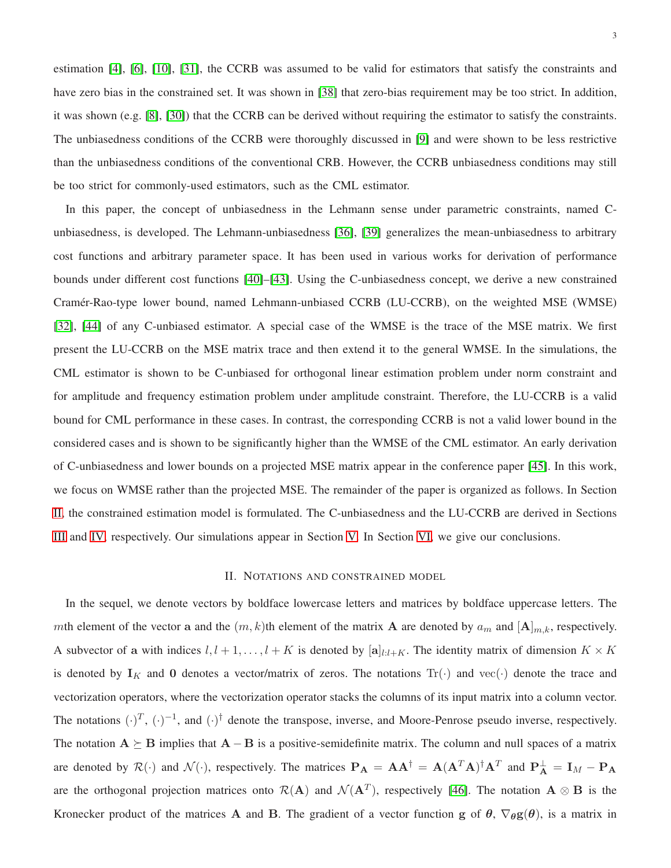estimation [\[4\]](#page-36-1), [\[6\]](#page-36-3), [\[10\]](#page-36-7), [\[31\]](#page-37-3), the CCRB was assumed to be valid for estimators that satisfy the constraints and have zero bias in the constrained set. It was shown in [\[38\]](#page-37-10) that zero-bias requirement may be too strict. In addition, it was shown (e.g. [\[8\]](#page-36-5), [\[30\]](#page-37-11)) that the CCRB can be derived without requiring the estimator to satisfy the constraints. The unbiasedness conditions of the CCRB were thoroughly discussed in [\[9\]](#page-36-6) and were shown to be less restrictive than the unbiasedness conditions of the conventional CRB. However, the CCRB unbiasedness conditions may still be too strict for commonly-used estimators, such as the CML estimator.

In this paper, the concept of unbiasedness in the Lehmann sense under parametric constraints, named Cunbiasedness, is developed. The Lehmann-unbiasedness [\[36\]](#page-37-8), [\[39\]](#page-37-12) generalizes the mean-unbiasedness to arbitrary cost functions and arbitrary parameter space. It has been used in various works for derivation of performance bounds under different cost functions [\[40\]](#page-37-13)–[\[43\]](#page-37-14). Using the C-unbiasedness concept, we derive a new constrained Cramér-Rao-type lower bound, named Lehmann-unbiased CCRB (LU-CCRB), on the weighted MSE (WMSE) [\[32\]](#page-37-4), [\[44\]](#page-37-15) of any C-unbiased estimator. A special case of the WMSE is the trace of the MSE matrix. We first present the LU-CCRB on the MSE matrix trace and then extend it to the general WMSE. In the simulations, the CML estimator is shown to be C-unbiased for orthogonal linear estimation problem under norm constraint and for amplitude and frequency estimation problem under amplitude constraint. Therefore, the LU-CCRB is a valid bound for CML performance in these cases. In contrast, the corresponding CCRB is not a valid lower bound in the considered cases and is shown to be significantly higher than the WMSE of the CML estimator. An early derivation of C-unbiasedness and lower bounds on a projected MSE matrix appear in the conference paper [\[45\]](#page-37-16). In this work, we focus on WMSE rather than the projected MSE. The remainder of the paper is organized as follows. In Section [II,](#page-2-0) the constrained estimation model is formulated. The C-unbiasedness and the LU-CCRB are derived in Sections [III](#page-4-0) and [IV,](#page-8-0) respectively. Our simulations appear in Section [V.](#page-15-0) In Section [VI,](#page-24-0) we give our conclusions.

#### II. NOTATIONS AND CONSTRAINED MODEL

<span id="page-2-0"></span>In the sequel, we denote vectors by boldface lowercase letters and matrices by boldface uppercase letters. The mth element of the vector a and the  $(m, k)$ th element of the matrix **A** are denoted by  $a_m$  and  $[\mathbf{A}]_{m,k}$ , respectively. A subvector of a with indices  $l, l+1, \ldots, l+K$  is denoted by  $[\mathbf{a}]_{l:l+K}$ . The identity matrix of dimension  $K \times K$ is denoted by  $I_K$  and 0 denotes a vector/matrix of zeros. The notations  $Tr(\cdot)$  and  $vec(\cdot)$  denote the trace and vectorization operators, where the vectorization operator stacks the columns of its input matrix into a column vector. The notations  $(\cdot)^T$ ,  $(\cdot)^{-1}$ , and  $(\cdot)^{\dagger}$  denote the transpose, inverse, and Moore-Penrose pseudo inverse, respectively. The notation  $A \succeq B$  implies that  $A - B$  is a positive-semidefinite matrix. The column and null spaces of a matrix are denoted by  $\mathcal{R}(\cdot)$  and  $\mathcal{N}(\cdot)$ , respectively. The matrices  $\mathbf{P_A} = \mathbf{A}\mathbf{A}^{\dagger} = \mathbf{A}(\mathbf{A}^T\mathbf{A})^{\dagger}\mathbf{A}^T$  and  $\mathbf{P_A}^{\perp} = \mathbf{I}_M - \mathbf{P_A}$ are the orthogonal projection matrices onto  $\mathcal{R}(\mathbf{A})$  and  $\mathcal{N}(\mathbf{A}^T)$ , respectively [\[46\]](#page-38-0). The notation  $\mathbf{A} \otimes \mathbf{B}$  is the Kronecker product of the matrices A and B. The gradient of a vector function g of  $\theta$ ,  $\nabla_{\theta}g(\theta)$ , is a matrix in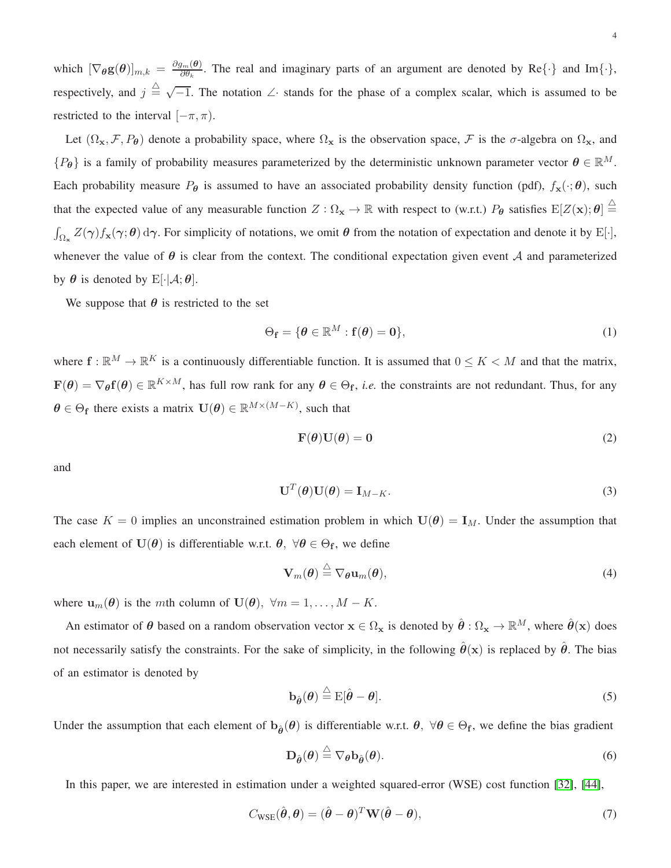which  $[\nabla_{\theta} \mathbf{g}(\theta)]_{m,k} = \frac{\partial g_m(\theta)}{\partial \theta_k}$  $\frac{dm(\theta)}{\partial \theta_k}$ . The real and imaginary parts of an argument are denoted by Re $\{\cdot\}$  and Im $\{\cdot\},$ respectively, and  $j \triangleq \sqrt{-1}$ . The notation ∠ stands for the phase of a complex scalar, which is assumed to be restricted to the interval  $[-\pi, \pi)$ .

Let  $(\Omega_x, \mathcal{F}, P_\theta)$  denote a probability space, where  $\Omega_x$  is the observation space,  $\mathcal{F}$  is the  $\sigma$ -algebra on  $\Omega_x$ , and  ${P_{\theta}}$  is a family of probability measures parameterized by the deterministic unknown parameter vector  $\theta \in \mathbb{R}^M$ . Each probability measure  $P_{\theta}$  is assumed to have an associated probability density function (pdf),  $f_{\mathbf{x}}(\cdot;\theta)$ , such that the expected value of any measurable function  $Z: \Omega_{\mathbf{x}} \to \mathbb{R}$  with respect to (w.r.t.)  $P_{\theta}$  satisfies  $\mathrm{E}[Z(\mathbf{x}); \theta] \stackrel{\triangle}{=}$  $\int_{\Omega_{\mathbf{x}}} Z(\gamma) f_{\mathbf{x}}(\gamma; \theta) d\gamma$ . For simplicity of notations, we omit  $\theta$  from the notation of expectation and denote it by E[·], whenever the value of  $\theta$  is clear from the context. The conditional expectation given event A and parameterized by  $\theta$  is denoted by  $E[\cdot | \mathcal{A}; \theta]$ .

We suppose that  $\theta$  is restricted to the set

<span id="page-3-1"></span>
$$
\Theta_{\mathbf{f}} = \{ \boldsymbol{\theta} \in \mathbb{R}^M : \mathbf{f}(\boldsymbol{\theta}) = \mathbf{0} \},\tag{1}
$$

where  $f: \mathbb{R}^M \to \mathbb{R}^K$  is a continuously differentiable function. It is assumed that  $0 \le K < M$  and that the matrix,  $\mathbf{F}(\theta) = \nabla_{\theta} \mathbf{f}(\theta) \in \mathbb{R}^{K \times M}$ , has full row rank for any  $\theta \in \Theta_{\mathbf{f}}$ , *i.e.* the constraints are not redundant. Thus, for any  $\theta \in \Theta_f$  there exists a matrix  $\mathbf{U}(\theta) \in \mathbb{R}^{M \times (M-K)}$ , such that

<span id="page-3-5"></span>
$$
\mathbf{F}(\boldsymbol{\theta})\mathbf{U}(\boldsymbol{\theta})=\mathbf{0} \tag{2}
$$

and

<span id="page-3-6"></span>
$$
\mathbf{U}^T(\boldsymbol{\theta})\mathbf{U}(\boldsymbol{\theta}) = \mathbf{I}_{M-K}.
$$
\n(3)

The case  $K = 0$  implies an unconstrained estimation problem in which  $U(\theta) = I_M$ . Under the assumption that each element of  $\mathbf{U}(\boldsymbol{\theta})$  is differentiable w.r.t.  $\boldsymbol{\theta}$ ,  $\forall \boldsymbol{\theta} \in \Theta_{\mathbf{f}}$ , we define

<span id="page-3-3"></span>
$$
\mathbf{V}_m(\boldsymbol{\theta}) \stackrel{\triangle}{=} \nabla_{\boldsymbol{\theta}} \mathbf{u}_m(\boldsymbol{\theta}), \tag{4}
$$

where  $\mathbf{u}_m(\boldsymbol{\theta})$  is the *m*th column of  $\mathbf{U}(\boldsymbol{\theta}), \forall m = 1, \dots, M - K$ .

An estimator of  $\theta$  based on a random observation vector  $x \in \Omega_x$  is denoted by  $\hat{\theta} : \Omega_x \to \mathbb{R}^M$ , where  $\hat{\theta}(x)$  does not necessarily satisfy the constraints. For the sake of simplicity, in the following  $\theta(x)$  is replaced by  $\theta$ . The bias of an estimator is denoted by

<span id="page-3-2"></span>
$$
\mathbf{b}_{\hat{\boldsymbol{\theta}}}(\boldsymbol{\theta}) \stackrel{\triangle}{=} \mathbf{E}[\hat{\boldsymbol{\theta}} - \boldsymbol{\theta}]. \tag{5}
$$

Under the assumption that each element of  $b_{\hat{\theta}}(\theta)$  is differentiable w.r.t.  $\theta$ ,  $\forall \theta \in \Theta_f$ , we define the bias gradient

<span id="page-3-4"></span>
$$
\mathbf{D}_{\hat{\boldsymbol{\theta}}}(\boldsymbol{\theta}) \stackrel{\triangle}{=} \nabla_{\boldsymbol{\theta}} \mathbf{b}_{\hat{\boldsymbol{\theta}}}(\boldsymbol{\theta}). \tag{6}
$$

In this paper, we are interested in estimation under a weighted squared-error (WSE) cost function [\[32\]](#page-37-4), [\[44\]](#page-37-15),

<span id="page-3-0"></span>
$$
C_{\text{WSE}}(\hat{\boldsymbol{\theta}}, \boldsymbol{\theta}) = (\hat{\boldsymbol{\theta}} - \boldsymbol{\theta})^T \mathbf{W} (\hat{\boldsymbol{\theta}} - \boldsymbol{\theta}),
$$
\n(7)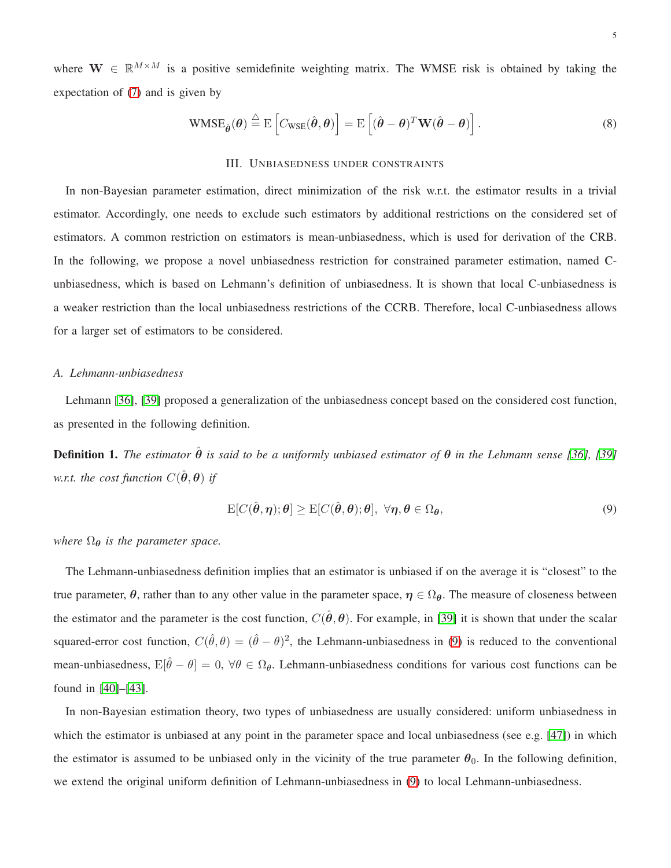where  $\mathbf{W} \in \mathbb{R}^{M \times M}$  is a positive semidefinite weighting matrix. The WMSE risk is obtained by taking the expectation of [\(7\)](#page-3-0) and is given by

<span id="page-4-2"></span>
$$
\mathbf{WMSE}_{\hat{\boldsymbol{\theta}}}(\boldsymbol{\theta}) \stackrel{\triangle}{=} \mathrm{E}\left[C_{\mathbf{WSE}}(\hat{\boldsymbol{\theta}}, \boldsymbol{\theta})\right] = \mathrm{E}\left[(\hat{\boldsymbol{\theta}} - \boldsymbol{\theta})^T \mathbf{W}(\hat{\boldsymbol{\theta}} - \boldsymbol{\theta})\right].
$$
\n(8)

#### III. UNBIASEDNESS UNDER CONSTRAINTS

<span id="page-4-0"></span>In non-Bayesian parameter estimation, direct minimization of the risk w.r.t. the estimator results in a trivial estimator. Accordingly, one needs to exclude such estimators by additional restrictions on the considered set of estimators. A common restriction on estimators is mean-unbiasedness, which is used for derivation of the CRB. In the following, we propose a novel unbiasedness restriction for constrained parameter estimation, named Cunbiasedness, which is based on Lehmann's definition of unbiasedness. It is shown that local C-unbiasedness is a weaker restriction than the local unbiasedness restrictions of the CCRB. Therefore, local C-unbiasedness allows for a larger set of estimators to be considered.

#### *A. Lehmann-unbiasedness*

Lehmann [\[36\]](#page-37-8), [\[39\]](#page-37-12) proposed a generalization of the unbiasedness concept based on the considered cost function, as presented in the following definition.

**Definition 1.** *The estimator*  $\hat{\theta}$  *is said to be a uniformly unbiased estimator of*  $\theta$  *in the Lehmann sense* [\[36\]](#page-37-8), [\[39\]](#page-37-12) *w.r.t. the cost function*  $C(\hat{\theta}, \theta)$  *if* 

<span id="page-4-1"></span>
$$
\mathcal{E}[C(\hat{\boldsymbol{\theta}}, \boldsymbol{\eta}); \boldsymbol{\theta}] \ge \mathcal{E}[C(\hat{\boldsymbol{\theta}}, \boldsymbol{\theta}); \boldsymbol{\theta}], \ \forall \boldsymbol{\eta}, \boldsymbol{\theta} \in \Omega_{\boldsymbol{\theta}}, \tag{9}
$$

*where*  $\Omega_{\theta}$  *is the parameter space.* 

The Lehmann-unbiasedness definition implies that an estimator is unbiased if on the average it is "closest" to the true parameter,  $\theta$ , rather than to any other value in the parameter space,  $\eta \in \Omega_{\theta}$ . The measure of closeness between the estimator and the parameter is the cost function,  $C(\hat{\theta}, \theta)$ . For example, in [\[39\]](#page-37-12) it is shown that under the scalar squared-error cost function,  $C(\hat{\theta}, \theta) = (\hat{\theta} - \theta)^2$ , the Lehmann-unbiasedness in [\(9\)](#page-4-1) is reduced to the conventional mean-unbiasedness,  $E[\hat{\theta} - \theta] = 0$ ,  $\forall \theta \in \Omega_{\theta}$ . Lehmann-unbiasedness conditions for various cost functions can be found in [\[40\]](#page-37-13)–[\[43\]](#page-37-14).

In non-Bayesian estimation theory, two types of unbiasedness are usually considered: uniform unbiasedness in which the estimator is unbiased at any point in the parameter space and local unbiasedness (see e.g. [\[47\]](#page-38-1)) in which the estimator is assumed to be unbiased only in the vicinity of the true parameter  $\theta_0$ . In the following definition, we extend the original uniform definition of Lehmann-unbiasedness in [\(9\)](#page-4-1) to local Lehmann-unbiasedness.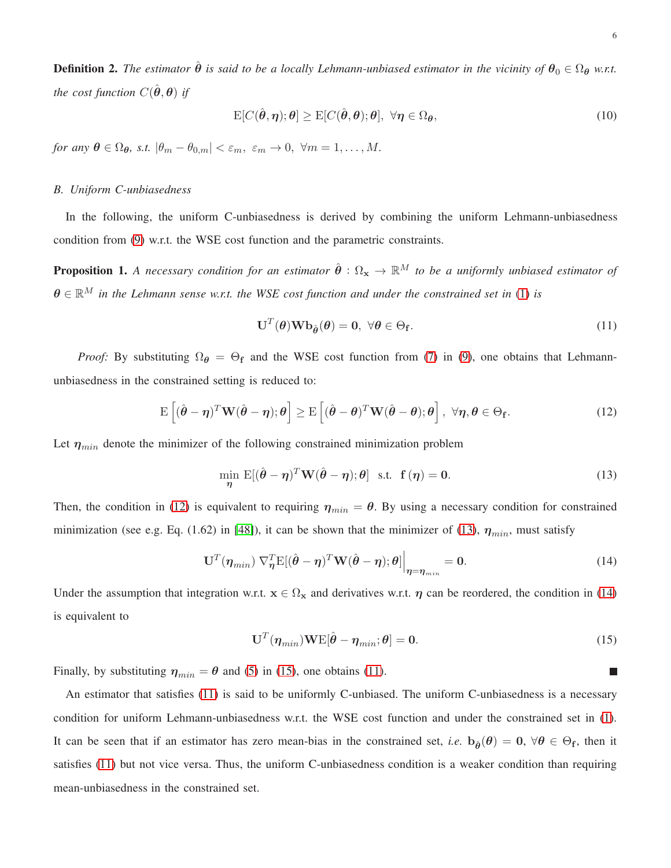<span id="page-5-7"></span>**Definition 2.** *The estimator*  $\hat{\theta}$  *is said to be a locally Lehmann-unbiased estimator in the vicinity of*  $\theta_0 \in \Omega_{\theta}$  *w.r.t. the cost function*  $C(\hat{\theta}, \theta)$  *if* 

<span id="page-5-5"></span>
$$
\mathcal{E}[C(\hat{\boldsymbol{\theta}}, \boldsymbol{\eta}); \boldsymbol{\theta}] \ge \mathcal{E}[C(\hat{\boldsymbol{\theta}}, \boldsymbol{\theta}); \boldsymbol{\theta}], \ \forall \boldsymbol{\eta} \in \Omega_{\boldsymbol{\theta}}, \tag{10}
$$

*for any*  $\theta \in \Omega_{\theta}$ *, s.t.*  $|\theta_m - \theta_{0,m}| < \varepsilon_m$ ,  $\varepsilon_m \to 0$ ,  $\forall m = 1, \ldots, M$ .

#### *B. Uniform C-unbiasedness*

In the following, the uniform C-unbiasedness is derived by combining the uniform Lehmann-unbiasedness condition from [\(9\)](#page-4-1) w.r.t. the WSE cost function and the parametric constraints.

<span id="page-5-6"></span>**Proposition 1.** *A necessary condition for an estimator*  $\hat{\theta}: \Omega_{\mathbf{x}} \to \mathbb{R}^M$  *to be a uniformly unbiased estimator of*  $\boldsymbol{\theta} \in \mathbb{R}^M$  *in the Lehmann sense w.r.t. the WSE cost function and under the constrained set in* [\(1\)](#page-3-1) *is* 

<span id="page-5-4"></span>
$$
\mathbf{U}^{T}(\boldsymbol{\theta})\mathbf{W}\mathbf{b}_{\hat{\boldsymbol{\theta}}}(\boldsymbol{\theta}) = \mathbf{0}, \ \forall \boldsymbol{\theta} \in \Theta_{\mathbf{f}}.\tag{11}
$$

*Proof:* By substituting  $\Omega_{\theta} = \Theta_{\text{f}}$  and the WSE cost function from [\(7\)](#page-3-0) in [\(9\)](#page-4-1), one obtains that Lehmannunbiasedness in the constrained setting is reduced to:

<span id="page-5-0"></span>
$$
\mathbf{E}\left[ (\hat{\boldsymbol{\theta}} - \boldsymbol{\eta})^T \mathbf{W} (\hat{\boldsymbol{\theta}} - \boldsymbol{\eta}); \boldsymbol{\theta} \right] \ge \mathbf{E}\left[ (\hat{\boldsymbol{\theta}} - \boldsymbol{\theta})^T \mathbf{W} (\hat{\boldsymbol{\theta}} - \boldsymbol{\theta}); \boldsymbol{\theta} \right], \ \forall \boldsymbol{\eta}, \boldsymbol{\theta} \in \Theta_f.
$$
 (12)

Let  $\eta_{min}$  denote the minimizer of the following constrained minimization problem

<span id="page-5-1"></span>
$$
\min_{\boldsymbol{\eta}} \mathbf{E}[(\hat{\boldsymbol{\theta}} - \boldsymbol{\eta})^T \mathbf{W}(\hat{\boldsymbol{\theta}} - \boldsymbol{\eta}); \boldsymbol{\theta}] \quad \text{s.t.} \quad \mathbf{f}(\boldsymbol{\eta}) = \mathbf{0}.
$$
 (13)

Then, the condition in [\(12\)](#page-5-0) is equivalent to requiring  $\eta_{min} = \theta$ . By using a necessary condition for constrained minimization (see e.g. Eq. (1.62) in [\[48\]](#page-38-2)), it can be shown that the minimizer of [\(13\)](#page-5-1),  $\eta_{min}$ , must satisfy

<span id="page-5-2"></span>
$$
\mathbf{U}^{T}(\boldsymbol{\eta}_{min}) \nabla_{\boldsymbol{\eta}}^{T} \mathbf{E}[(\hat{\boldsymbol{\theta}} - \boldsymbol{\eta})^{T} \mathbf{W}(\hat{\boldsymbol{\theta}} - \boldsymbol{\eta}); \boldsymbol{\theta}] \Big|_{\boldsymbol{\eta} = \boldsymbol{\eta}_{min}} = \mathbf{0}.
$$
 (14)

Under the assumption that integration w.r.t.  $x \in \Omega_x$  and derivatives w.r.t.  $\eta$  can be reordered, the condition in [\(14\)](#page-5-2) is equivalent to

<span id="page-5-3"></span>
$$
\mathbf{U}^{T}(\boldsymbol{\eta}_{min})\mathbf{W}\mathbf{E}[\hat{\boldsymbol{\theta}} - \boldsymbol{\eta}_{min}; \boldsymbol{\theta}] = \mathbf{0}.
$$
 (15)

Finally, by substituting  $\eta_{min} = \theta$  and [\(5\)](#page-3-2) in [\(15\)](#page-5-3), one obtains [\(11\)](#page-5-4).

An estimator that satisfies [\(11\)](#page-5-4) is said to be uniformly C-unbiased. The uniform C-unbiasedness is a necessary condition for uniform Lehmann-unbiasedness w.r.t. the WSE cost function and under the constrained set in [\(1\)](#page-3-1). It can be seen that if an estimator has zero mean-bias in the constrained set, *i.e.*  $b_{\hat{\theta}}(\theta) = 0$ ,  $\forall \theta \in \Theta_f$ , then it satisfies [\(11\)](#page-5-4) but not vice versa. Thus, the uniform C-unbiasedness condition is a weaker condition than requiring mean-unbiasedness in the constrained set.

П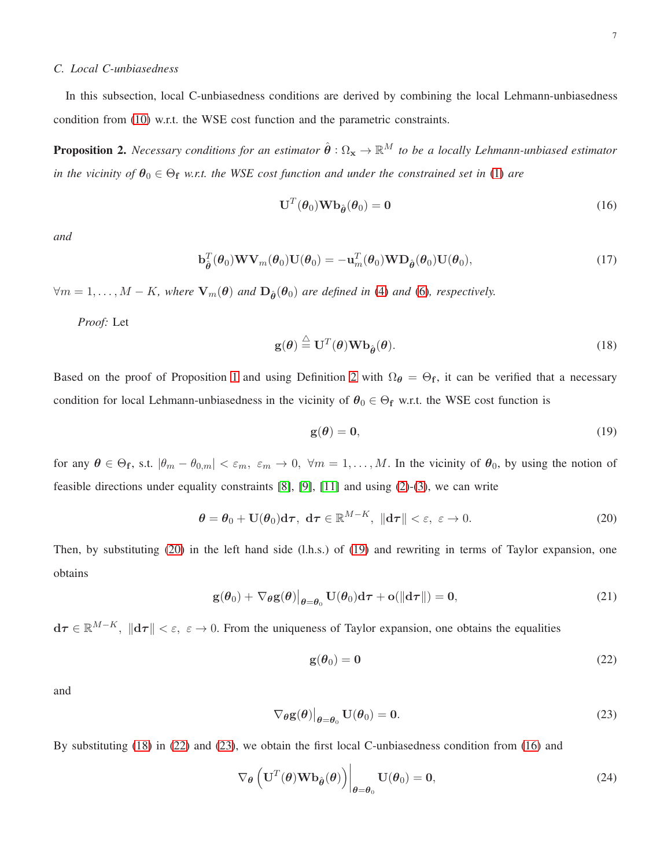#### <span id="page-6-8"></span>*C. Local C-unbiasedness*

In this subsection, local C-unbiasedness conditions are derived by combining the local Lehmann-unbiasedness condition from [\(10\)](#page-5-5) w.r.t. the WSE cost function and the parametric constraints.

**Proposition 2.** *Necessary conditions for an estimator*  $\hat{\theta}: \Omega_{\mathbf{x}} \to \mathbb{R}^M$  to be a locally Lehmann-unbiased estimator *in the vicinity of*  $\theta_0 \in \Theta_f$  *w.r.t. the WSE cost function and under the constrained set in* [\(1\)](#page-3-1) *are* 

<span id="page-6-5"></span>
$$
\mathbf{U}^{T}(\boldsymbol{\theta}_{0})\mathbf{W}\mathbf{b}_{\hat{\boldsymbol{\theta}}}(\boldsymbol{\theta}_{0}) = \mathbf{0}
$$
 (16)

*and*

<span id="page-6-7"></span>
$$
\mathbf{b}_{\hat{\boldsymbol{\theta}}}^{T}(\boldsymbol{\theta}_{0})\mathbf{W}\mathbf{V}_{m}(\boldsymbol{\theta}_{0})\mathbf{U}(\boldsymbol{\theta}_{0}) = -\mathbf{u}_{m}^{T}(\boldsymbol{\theta}_{0})\mathbf{W}\mathbf{D}_{\hat{\boldsymbol{\theta}}}(\boldsymbol{\theta}_{0})\mathbf{U}(\boldsymbol{\theta}_{0}),
$$
\n(17)

 $\forall m = 1, \ldots, M - K$ , where  $\mathbf{V}_m(\theta)$  and  $\mathbf{D}_{\hat{\theta}}(\theta_0)$  are defined in [\(4\)](#page-3-3) and [\(6\)](#page-3-4), respectively.

*Proof:* Let

<span id="page-6-2"></span>
$$
\mathbf{g}(\boldsymbol{\theta}) \stackrel{\triangle}{=} \mathbf{U}^T(\boldsymbol{\theta}) \mathbf{W} \mathbf{b}_{\hat{\boldsymbol{\theta}}}(\boldsymbol{\theta}).
$$
\n(18)

Based on the proof of Proposition [1](#page-5-6) and using Definition [2](#page-5-7) with  $\Omega_{\theta} = \Theta_f$ , it can be verified that a necessary condition for local Lehmann-unbiasedness in the vicinity of  $\theta_0 \in \Theta_f$  w.r.t. the WSE cost function is

<span id="page-6-1"></span>
$$
\mathbf{g}(\boldsymbol{\theta}) = \mathbf{0},\tag{19}
$$

for any  $\theta \in \Theta_f$ , s.t.  $|\theta_m - \theta_{0,m}| < \varepsilon_m$ ,  $\varepsilon_m \to 0$ ,  $\forall m = 1, ..., M$ . In the vicinity of  $\theta_0$ , by using the notion of feasible directions under equality constraints [\[8\]](#page-36-5), [\[9\]](#page-36-6), [\[11\]](#page-36-8) and using [\(2\)](#page-3-5)-[\(3\)](#page-3-6), we can write

<span id="page-6-0"></span>
$$
\boldsymbol{\theta} = \boldsymbol{\theta}_0 + \mathbf{U}(\boldsymbol{\theta}_0) \mathbf{d}\boldsymbol{\tau}, \ \mathbf{d}\boldsymbol{\tau} \in \mathbb{R}^{M-K}, \ \|\mathbf{d}\boldsymbol{\tau}\| < \varepsilon, \ \varepsilon \to 0. \tag{20}
$$

Then, by substituting [\(20\)](#page-6-0) in the left hand side (l.h.s.) of [\(19\)](#page-6-1) and rewriting in terms of Taylor expansion, one obtains

$$
\mathbf{g}(\boldsymbol{\theta}_0) + \nabla_{\boldsymbol{\theta}} \mathbf{g}(\boldsymbol{\theta})\big|_{\boldsymbol{\theta} = \boldsymbol{\theta}_0} \mathbf{U}(\boldsymbol{\theta}_0) \mathbf{d}\boldsymbol{\tau} + \mathbf{o}(\|\mathbf{d}\boldsymbol{\tau}\|) = \mathbf{0},\tag{21}
$$

 $d\tau \in \mathbb{R}^{M-K}$ ,  $\|\mathrm{d}\tau\| < \varepsilon$ ,  $\varepsilon \to 0$ . From the uniqueness of Taylor expansion, one obtains the equalities

<span id="page-6-3"></span>
$$
\mathbf{g}(\boldsymbol{\theta}_0) = \mathbf{0} \tag{22}
$$

and

<span id="page-6-4"></span>
$$
\nabla_{\theta} \mathbf{g}(\theta) \big|_{\theta = \theta_0} \mathbf{U}(\theta_0) = \mathbf{0}.\tag{23}
$$

By substituting [\(18\)](#page-6-2) in [\(22\)](#page-6-3) and [\(23\)](#page-6-4), we obtain the first local C-unbiasedness condition from [\(16\)](#page-6-5) and

<span id="page-6-6"></span>
$$
\nabla_{\theta} \left( \mathbf{U}^T(\theta) \mathbf{W} \mathbf{b}_{\hat{\theta}}(\theta) \right) \Big|_{\theta = \theta_0} \mathbf{U}(\theta_0) = \mathbf{0}, \tag{24}
$$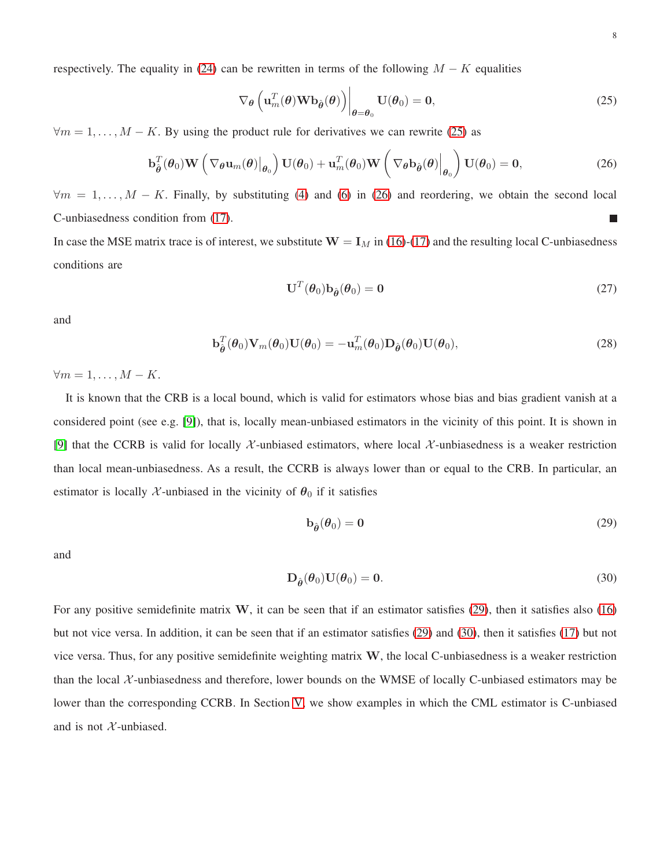respectively. The equality in [\(24\)](#page-6-6) can be rewritten in terms of the following  $M - K$  equalities

<span id="page-7-0"></span>
$$
\nabla_{\theta} \left( \mathbf{u}_m^T(\theta) \mathbf{W} \mathbf{b}_{\hat{\theta}}(\theta) \right) \Big|_{\theta = \theta_0} \mathbf{U}(\theta_0) = \mathbf{0}, \tag{25}
$$

 $\forall m = 1, \dots, M - K$ . By using the product rule for derivatives we can rewrite [\(25\)](#page-7-0) as

<span id="page-7-1"></span>
$$
\mathbf{b}_{\hat{\boldsymbol{\theta}}}^{T}(\boldsymbol{\theta}_{0})\mathbf{W}\left(\nabla_{\boldsymbol{\theta}}\mathbf{u}_{m}(\boldsymbol{\theta})\big|_{\boldsymbol{\theta}_{0}}\right)\mathbf{U}(\boldsymbol{\theta}_{0})+\mathbf{u}_{m}^{T}(\boldsymbol{\theta}_{0})\mathbf{W}\left(\nabla_{\boldsymbol{\theta}}\mathbf{b}_{\hat{\boldsymbol{\theta}}}(\boldsymbol{\theta})\big|_{\boldsymbol{\theta}_{0}}\right)\mathbf{U}(\boldsymbol{\theta}_{0})=\mathbf{0},
$$
\n(26)

 $\forall m = 1, \ldots, M - K$ . Finally, by substituting [\(4\)](#page-3-3) and [\(6\)](#page-3-4) in [\(26\)](#page-7-1) and reordering, we obtain the second local C-unbiasedness condition from [\(17\)](#page-6-7).  $\Box$ 

In case the MSE matrix trace is of interest, we substitute  $W = I_M$  in [\(16\)](#page-6-5)-[\(17\)](#page-6-7) and the resulting local C-unbiasedness conditions are

<span id="page-7-4"></span>
$$
\mathbf{U}^{T}(\boldsymbol{\theta}_{0})\mathbf{b}_{\hat{\boldsymbol{\theta}}}(\boldsymbol{\theta}_{0}) = \mathbf{0}
$$
 (27)

and

<span id="page-7-5"></span>
$$
\mathbf{b}_{\hat{\boldsymbol{\theta}}}^{T}(\boldsymbol{\theta}_{0})\mathbf{V}_{m}(\boldsymbol{\theta}_{0})\mathbf{U}(\boldsymbol{\theta}_{0})=-\mathbf{u}_{m}^{T}(\boldsymbol{\theta}_{0})\mathbf{D}_{\hat{\boldsymbol{\theta}}}(\boldsymbol{\theta}_{0})\mathbf{U}(\boldsymbol{\theta}_{0}),
$$
\n(28)

 $\forall m = 1, \ldots, M - K.$ 

It is known that the CRB is a local bound, which is valid for estimators whose bias and bias gradient vanish at a considered point (see e.g. [\[9\]](#page-36-6)), that is, locally mean-unbiased estimators in the vicinity of this point. It is shown in [\[9\]](#page-36-6) that the CCRB is valid for locally  $\mathcal{X}$ -unbiased estimators, where local  $\mathcal{X}$ -unbiasedness is a weaker restriction than local mean-unbiasedness. As a result, the CCRB is always lower than or equal to the CRB. In particular, an estimator is locally X-unbiased in the vicinity of  $\theta_0$  if it satisfies

<span id="page-7-2"></span>
$$
\mathbf{b}_{\hat{\boldsymbol{\theta}}}(\boldsymbol{\theta}_0) = \mathbf{0} \tag{29}
$$

and

<span id="page-7-3"></span>
$$
\mathbf{D}_{\hat{\boldsymbol{\theta}}}(\boldsymbol{\theta}_0)\mathbf{U}(\boldsymbol{\theta}_0) = \mathbf{0}.\tag{30}
$$

For any positive semidefinite matrix  $W$ , it can be seen that if an estimator satisfies [\(29\)](#page-7-2), then it satisfies also [\(16\)](#page-6-5) but not vice versa. In addition, it can be seen that if an estimator satisfies [\(29\)](#page-7-2) and [\(30\)](#page-7-3), then it satisfies [\(17\)](#page-6-7) but not vice versa. Thus, for any positive semidefinite weighting matrix W, the local C-unbiasedness is a weaker restriction than the local  $\mathcal X$ -unbiasedness and therefore, lower bounds on the WMSE of locally C-unbiased estimators may be lower than the corresponding CCRB. In Section [V,](#page-15-0) we show examples in which the CML estimator is C-unbiased and is not  $X$ -unbiased.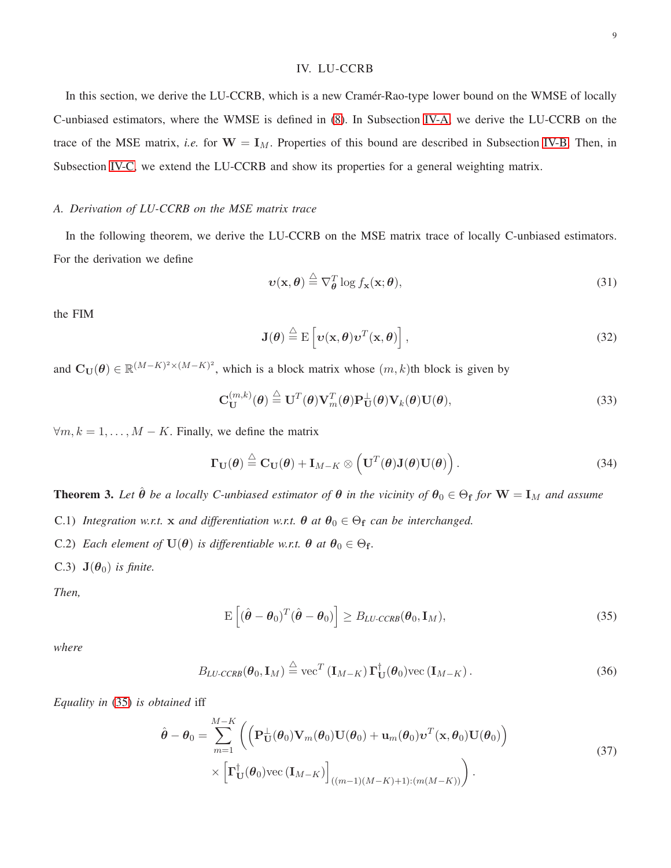#### IV. LU-CCRB

<span id="page-8-0"></span>In this section, we derive the LU-CCRB, which is a new Cramér-Rao-type lower bound on the WMSE of locally C-unbiased estimators, where the WMSE is defined in [\(8\)](#page-4-2). In Subsection [IV-A,](#page-8-1) we derive the LU-CCRB on the trace of the MSE matrix, *i.e.* for  $W = I_M$ . Properties of this bound are described in Subsection [IV-B.](#page-11-0) Then, in Subsection [IV-C,](#page-14-0) we extend the LU-CCRB and show its properties for a general weighting matrix.

## <span id="page-8-1"></span>*A. Derivation of LU-CCRB on the MSE matrix trace*

In the following theorem, we derive the LU-CCRB on the MSE matrix trace of locally C-unbiased estimators. For the derivation we define

<span id="page-8-4"></span>
$$
\boldsymbol{v}(\mathbf{x}, \boldsymbol{\theta}) \stackrel{\triangle}{=} \nabla_{\boldsymbol{\theta}}^T \log f_{\mathbf{x}}(\mathbf{x}; \boldsymbol{\theta}), \tag{31}
$$

the FIM

<span id="page-8-6"></span>
$$
\mathbf{J}(\boldsymbol{\theta}) \stackrel{\triangle}{=} \mathrm{E}\left[\boldsymbol{v}(\mathbf{x},\boldsymbol{\theta})\boldsymbol{v}^T(\mathbf{x},\boldsymbol{\theta})\right],
$$
\n(32)

and  $\mathbf{C}_{\mathbf{U}}(\boldsymbol{\theta}) \in \mathbb{R}^{(M-K)^2 \times (M-K)^2}$ , which is a block matrix whose  $(m, k)$ th block is given by

<span id="page-8-5"></span>
$$
\mathbf{C}_{\mathbf{U}}^{(m,k)}(\boldsymbol{\theta}) \stackrel{\triangle}{=} \mathbf{U}^T(\boldsymbol{\theta}) \mathbf{V}_m^T(\boldsymbol{\theta}) \mathbf{P}_{\mathbf{U}}^{\perp}(\boldsymbol{\theta}) \mathbf{V}_k(\boldsymbol{\theta}) \mathbf{U}(\boldsymbol{\theta}),
$$
\n(33)

 $\forall m, k = 1, \dots, M - K$ . Finally, we define the matrix

<span id="page-8-7"></span>
$$
\Gamma_{\mathbf{U}}(\boldsymbol{\theta}) \stackrel{\triangle}{=} \mathbf{C}_{\mathbf{U}}(\boldsymbol{\theta}) + \mathbf{I}_{M-K} \otimes \left( \mathbf{U}^T(\boldsymbol{\theta}) \mathbf{J}(\boldsymbol{\theta}) \mathbf{U}(\boldsymbol{\theta}) \right). \tag{34}
$$

<span id="page-8-9"></span><span id="page-8-3"></span>**Theorem 3.** Let  $\hat{\theta}$  be a locally C-unbiased estimator of  $\theta$  in the vicinity of  $\theta_0 \in \Theta_f$  for  $W = I_M$  and assume

- C.1) *Integration w.r.t.* **x** *and differentiation w.r.t.*  $\theta$  *at*  $\theta_0 \in \Theta_f$  *can be interchanged.*
- <span id="page-8-11"></span>C.2) *Each element of*  $U(\theta)$  *is differentiable w.r.t.*  $\theta$  *at*  $\theta_0 \in \Theta_f$ .
- C.3)  $\mathbf{J}(\boldsymbol{\theta}_0)$  *is finite.*

*Then,*

<span id="page-8-2"></span>
$$
\mathbf{E}\left[ (\hat{\boldsymbol{\theta}} - \boldsymbol{\theta}_0)^T (\hat{\boldsymbol{\theta}} - \boldsymbol{\theta}_0) \right] \ge B_{LU\text{-}CCRB}(\boldsymbol{\theta}_0, \mathbf{I}_M),\tag{35}
$$

*where*

<span id="page-8-8"></span>
$$
B_{LU\text{-}CCRB}(\boldsymbol{\theta}_0, \mathbf{I}_M) \stackrel{\triangle}{=} \text{vec}^T(\mathbf{I}_{M-K}) \, \boldsymbol{\Gamma}_{\mathbf{U}}^{\dagger}(\boldsymbol{\theta}_0) \text{vec}(\mathbf{I}_{M-K}). \tag{36}
$$

<span id="page-8-10"></span>*Equality in* [\(35\)](#page-8-2) *is obtained* iff

$$
\hat{\boldsymbol{\theta}} - \boldsymbol{\theta}_0 = \sum_{m=1}^{M-K} \left( \left( \mathbf{P}_{\mathbf{U}}^{\perp}(\boldsymbol{\theta}_0) \mathbf{V}_m(\boldsymbol{\theta}_0) \mathbf{U}(\boldsymbol{\theta}_0) + \mathbf{u}_m(\boldsymbol{\theta}_0) \mathbf{v}^T(\mathbf{x}, \boldsymbol{\theta}_0) \mathbf{U}(\boldsymbol{\theta}_0) \right) \times \left[ \mathbf{\Gamma}_{\mathbf{U}}^{\dagger}(\boldsymbol{\theta}_0) \text{vec} \left( \mathbf{I}_{M-K} \right) \right]_{((m-1)(M-K)+1):(m(M-K))} \right). \tag{37}
$$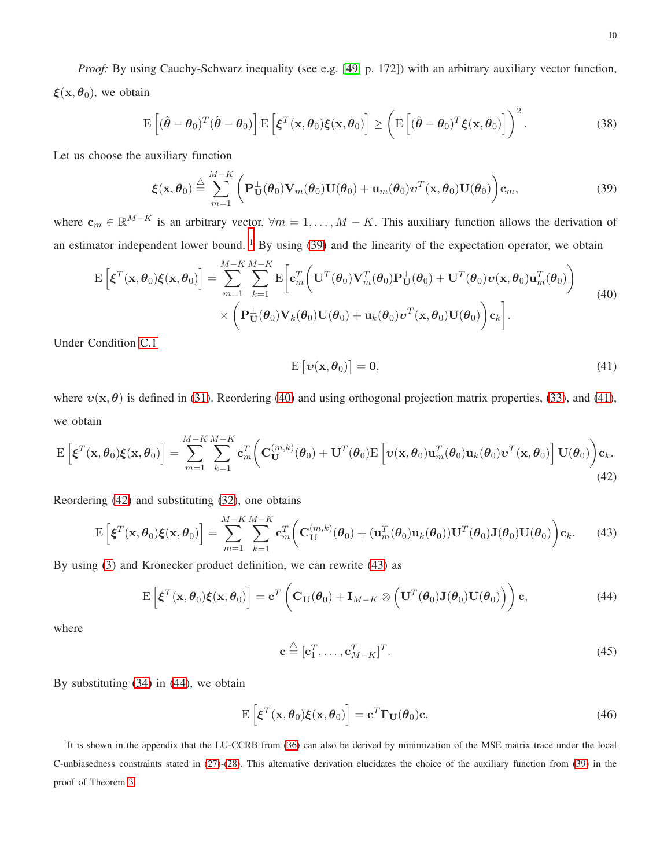*Proof:* By using Cauchy-Schwarz inequality (see e.g. [\[49,](#page-38-3) p. 172]) with an arbitrary auxiliary vector function,  $\xi(\mathbf{x}, \theta_0)$ , we obtain

<span id="page-9-9"></span>
$$
\mathbf{E}\left[ (\hat{\boldsymbol{\theta}} - \boldsymbol{\theta}_0)^T (\hat{\boldsymbol{\theta}} - \boldsymbol{\theta}_0) \right] \mathbf{E}\left[ \boldsymbol{\xi}^T(\mathbf{x}, \boldsymbol{\theta}_0) \boldsymbol{\xi}(\mathbf{x}, \boldsymbol{\theta}_0) \right] \geq \left( \mathbf{E}\left[ (\hat{\boldsymbol{\theta}} - \boldsymbol{\theta}_0)^T \boldsymbol{\xi}(\mathbf{x}, \boldsymbol{\theta}_0) \right] \right)^2.
$$
 (38)

Let us choose the auxiliary function

<span id="page-9-1"></span>
$$
\boldsymbol{\xi}(\mathbf{x},\boldsymbol{\theta}_0) \stackrel{\triangle}{=} \sum_{m=1}^{M-K} \bigg( \mathbf{P}_{\mathbf{U}}^{\perp}(\boldsymbol{\theta}_0) \mathbf{V}_m(\boldsymbol{\theta}_0) \mathbf{U}(\boldsymbol{\theta}_0) + \mathbf{u}_m(\boldsymbol{\theta}_0) \mathbf{v}^T(\mathbf{x},\boldsymbol{\theta}_0) \mathbf{U}(\boldsymbol{\theta}_0) \bigg) \mathbf{c}_m,
$$
\n(39)

where  $c_m \in \mathbb{R}^{M-K}$  is an arbitrary vector,  $\forall m = 1, \ldots, M - K$ . This auxiliary function allows the derivation of an estimator independent lower bound.  $1$  By using [\(39\)](#page-9-1) and the linearity of the expectation operator, we obtain

<span id="page-9-2"></span>
$$
\mathbf{E}\left[\boldsymbol{\xi}^{T}(\mathbf{x},\boldsymbol{\theta}_{0})\boldsymbol{\xi}(\mathbf{x},\boldsymbol{\theta}_{0})\right] = \sum_{m=1}^{M-K} \sum_{k=1}^{M-K} \mathbf{E}\bigg[\mathbf{c}_{m}^{T}\bigg(\mathbf{U}^{T}(\boldsymbol{\theta}_{0})\mathbf{V}_{m}^{T}(\boldsymbol{\theta}_{0})\mathbf{P}_{\mathbf{U}}^{\perp}(\boldsymbol{\theta}_{0}) + \mathbf{U}^{T}(\boldsymbol{\theta}_{0})\mathbf{v}(\mathbf{x},\boldsymbol{\theta}_{0})\mathbf{u}_{m}^{T}(\boldsymbol{\theta}_{0})\bigg) \times \bigg(\mathbf{P}_{\mathbf{U}}^{\perp}(\boldsymbol{\theta}_{0})\mathbf{V}_{k}(\boldsymbol{\theta}_{0})\mathbf{U}(\boldsymbol{\theta}_{0}) + \mathbf{u}_{k}(\boldsymbol{\theta}_{0})\mathbf{v}^{T}(\mathbf{x},\boldsymbol{\theta}_{0})\mathbf{U}(\boldsymbol{\theta}_{0})\bigg)\mathbf{c}_{k}\bigg].
$$
\n(40)

Under Condition [C.1](#page-8-3)

<span id="page-9-3"></span>
$$
E[v(x, \theta_0)] = 0, \qquad (41)
$$

where  $v(x, \theta)$  is defined in [\(31\)](#page-8-4). Reordering [\(40\)](#page-9-2) and using orthogonal projection matrix properties, [\(33\)](#page-8-5), and [\(41\)](#page-9-3), we obtain

<span id="page-9-4"></span>
$$
\mathbf{E}\left[\boldsymbol{\xi}^{T}(\mathbf{x},\boldsymbol{\theta}_{0})\boldsymbol{\xi}(\mathbf{x},\boldsymbol{\theta}_{0})\right] = \sum_{m=1}^{M-K} \sum_{k=1}^{M-K} \mathbf{c}_{m}^{T} \bigg(\mathbf{C}_{\mathbf{U}}^{(m,k)}(\boldsymbol{\theta}_{0}) + \mathbf{U}^{T}(\boldsymbol{\theta}_{0})\mathbf{E}\left[\mathbf{v}(\mathbf{x},\boldsymbol{\theta}_{0})\mathbf{u}_{m}^{T}(\boldsymbol{\theta}_{0})\mathbf{u}_{k}(\boldsymbol{\theta}_{0})\mathbf{v}^{T}(\mathbf{x},\boldsymbol{\theta}_{0})\right]\mathbf{U}(\boldsymbol{\theta}_{0})\bigg)\mathbf{c}_{k}.
$$
\n(42)

Reordering [\(42\)](#page-9-4) and substituting [\(32\)](#page-8-6), one obtains

<span id="page-9-5"></span>
$$
\mathbf{E}\left[\boldsymbol{\xi}^T(\mathbf{x},\boldsymbol{\theta}_0)\boldsymbol{\xi}(\mathbf{x},\boldsymbol{\theta}_0)\right] = \sum_{m=1}^{M-K} \sum_{k=1}^{M-K} \mathbf{c}_m^T \bigg(\mathbf{C}_{\mathbf{U}}^{(m,k)}(\boldsymbol{\theta}_0) + (\mathbf{u}_m^T(\boldsymbol{\theta}_0)\mathbf{u}_k(\boldsymbol{\theta}_0))\mathbf{U}^T(\boldsymbol{\theta}_0)\mathbf{J}(\boldsymbol{\theta}_0)\mathbf{U}(\boldsymbol{\theta}_0)\bigg)\mathbf{c}_k.
$$
 (43)

By using [\(3\)](#page-3-6) and Kronecker product definition, we can rewrite [\(43\)](#page-9-5) as

<span id="page-9-6"></span>
$$
\mathbf{E}\left[\boldsymbol{\xi}^T(\mathbf{x},\boldsymbol{\theta}_0)\boldsymbol{\xi}(\mathbf{x},\boldsymbol{\theta}_0)\right] = \mathbf{c}^T \left(\mathbf{C}_{\mathbf{U}}(\boldsymbol{\theta}_0) + \mathbf{I}_{M-K} \otimes \left(\mathbf{U}^T(\boldsymbol{\theta}_0)\mathbf{J}(\boldsymbol{\theta}_0)\mathbf{U}(\boldsymbol{\theta}_0)\right)\right)\mathbf{c},\tag{44}
$$

where

<span id="page-9-7"></span>
$$
\mathbf{c} \stackrel{\triangle}{=} [\mathbf{c}_1^T, \dots, \mathbf{c}_{M-K}^T]^T. \tag{45}
$$

By substituting [\(34\)](#page-8-7) in [\(44\)](#page-9-6), we obtain

<span id="page-9-8"></span>
$$
E\left[\boldsymbol{\xi}^{T}(\mathbf{x},\boldsymbol{\theta}_{0})\boldsymbol{\xi}(\mathbf{x},\boldsymbol{\theta}_{0})\right]=\mathbf{c}^{T}\mathbf{\Gamma}_{\mathbf{U}}(\boldsymbol{\theta}_{0})\mathbf{c}.
$$
\n(46)

<span id="page-9-0"></span><sup>1</sup>It is shown in the appendix that the LU-CCRB from [\(36\)](#page-8-8) can also be derived by minimization of the MSE matrix trace under the local C-unbiasedness constraints stated in [\(27\)](#page-7-4)-[\(28\)](#page-7-5). This alternative derivation elucidates the choice of the auxiliary function from [\(39\)](#page-9-1) in the proof of Theorem [3.](#page-8-9)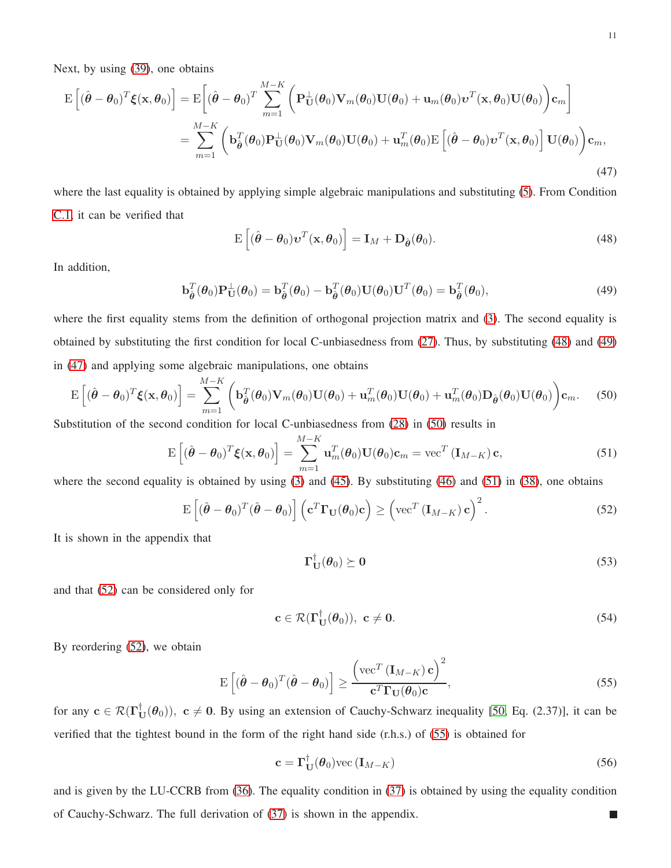Next, by using [\(39\)](#page-9-1), one obtains

<span id="page-10-2"></span>
$$
\mathbf{E}\left[ (\hat{\boldsymbol{\theta}} - \boldsymbol{\theta}_0)^T \boldsymbol{\xi}(\mathbf{x}, \boldsymbol{\theta}_0) \right] = \mathbf{E}\left[ (\hat{\boldsymbol{\theta}} - \boldsymbol{\theta}_0)^T \sum_{m=1}^{M-K} \left( \mathbf{P}_{\mathbf{U}}^{\perp}(\boldsymbol{\theta}_0) \mathbf{V}_m(\boldsymbol{\theta}_0) \mathbf{U}(\boldsymbol{\theta}_0) + \mathbf{u}_m(\boldsymbol{\theta}_0) \boldsymbol{v}^T(\mathbf{x}, \boldsymbol{\theta}_0) \mathbf{U}(\boldsymbol{\theta}_0) \right) \mathbf{c}_m \right]
$$
  
\n
$$
= \sum_{m=1}^{M-K} \left( \mathbf{b}_{\hat{\boldsymbol{\theta}}}^T(\boldsymbol{\theta}_0) \mathbf{P}_{\mathbf{U}}^{\perp}(\boldsymbol{\theta}_0) \mathbf{V}_m(\boldsymbol{\theta}_0) \mathbf{U}(\boldsymbol{\theta}_0) + \mathbf{u}_m^T(\boldsymbol{\theta}_0) \mathbf{E} \left[ (\hat{\boldsymbol{\theta}} - \boldsymbol{\theta}_0) \boldsymbol{v}^T(\mathbf{x}, \boldsymbol{\theta}_0) \right] \mathbf{U}(\boldsymbol{\theta}_0) \right) \mathbf{c}_m,
$$
\n(47)

where the last equality is obtained by applying simple algebraic manipulations and substituting [\(5\)](#page-3-2). From Condition [C.1,](#page-8-3) it can be verified that

<span id="page-10-0"></span>
$$
\mathbf{E}\left[ (\hat{\boldsymbol{\theta}} - \boldsymbol{\theta}_0) \boldsymbol{\upsilon}^T (\mathbf{x}, \boldsymbol{\theta}_0) \right] = \mathbf{I}_M + \mathbf{D}_{\hat{\boldsymbol{\theta}}}(\boldsymbol{\theta}_0).
$$
 (48)

In addition,

<span id="page-10-1"></span>
$$
\mathbf{b}_{\hat{\boldsymbol{\theta}}}^{T}(\boldsymbol{\theta}_{0})\mathbf{P}_{\mathbf{U}}^{\perp}(\boldsymbol{\theta}_{0}) = \mathbf{b}_{\hat{\boldsymbol{\theta}}}^{T}(\boldsymbol{\theta}_{0}) - \mathbf{b}_{\hat{\boldsymbol{\theta}}}^{T}(\boldsymbol{\theta}_{0})\mathbf{U}(\boldsymbol{\theta}_{0})\mathbf{U}^{T}(\boldsymbol{\theta}_{0}) = \mathbf{b}_{\hat{\boldsymbol{\theta}}}^{T}(\boldsymbol{\theta}_{0}),
$$
\n(49)

where the first equality stems from the definition of orthogonal projection matrix and [\(3\)](#page-3-6). The second equality is obtained by substituting the first condition for local C-unbiasedness from [\(27\)](#page-7-4). Thus, by substituting [\(48\)](#page-10-0) and [\(49\)](#page-10-1) in [\(47\)](#page-10-2) and applying some algebraic manipulations, one obtains

<span id="page-10-3"></span>
$$
\mathbf{E}\left[ (\hat{\boldsymbol{\theta}} - \boldsymbol{\theta}_0)^T \boldsymbol{\xi}(\mathbf{x}, \boldsymbol{\theta}_0) \right] = \sum_{m=1}^{M-K} \left( \mathbf{b}_{\hat{\boldsymbol{\theta}}}^T(\boldsymbol{\theta}_0) \mathbf{V}_m(\boldsymbol{\theta}_0) \mathbf{U}(\boldsymbol{\theta}_0) + \mathbf{u}_m^T(\boldsymbol{\theta}_0) \mathbf{U}(\boldsymbol{\theta}_0) + \mathbf{u}_m^T(\boldsymbol{\theta}_0) \mathbf{D}_{\hat{\boldsymbol{\theta}}}(\boldsymbol{\theta}_0) \mathbf{U}(\boldsymbol{\theta}_0) \right) \mathbf{c}_m.
$$
 (50)

Substitution of the second condition for local C-unbiasedness from [\(28\)](#page-7-5) in [\(50\)](#page-10-3) results in

<span id="page-10-4"></span>
$$
\mathbf{E}\left[ (\hat{\boldsymbol{\theta}} - \boldsymbol{\theta}_0)^T \boldsymbol{\xi}(\mathbf{x}, \boldsymbol{\theta}_0) \right] = \sum_{m=1}^{M-K} \mathbf{u}_m^T(\boldsymbol{\theta}_0) \mathbf{U}(\boldsymbol{\theta}_0) \mathbf{c}_m = \text{vec}^T \left( \mathbf{I}_{M-K} \right) \mathbf{c}, \tag{51}
$$

where the second equality is obtained by using [\(3\)](#page-3-6) and [\(45\)](#page-9-7). By substituting [\(46\)](#page-9-8) and [\(51\)](#page-10-4) in [\(38\)](#page-9-9), one obtains

<span id="page-10-5"></span>
$$
\mathbf{E}\left[ (\hat{\boldsymbol{\theta}} - \boldsymbol{\theta}_0)^T (\hat{\boldsymbol{\theta}} - \boldsymbol{\theta}_0) \right] \left( \mathbf{c}^T \mathbf{\Gamma}_{\mathbf{U}}(\boldsymbol{\theta}_0) \mathbf{c} \right) \ge \left( \text{vec}^T \left( \mathbf{I}_{M-K} \right) \mathbf{c} \right)^2.
$$
 (52)

It is shown in the appendix that

<span id="page-10-7"></span>
$$
\Gamma_{\mathbf{U}}^{\dagger}(\boldsymbol{\theta}_{0}) \succeq \mathbf{0} \tag{53}
$$

and that [\(52\)](#page-10-5) can be considered only for

<span id="page-10-8"></span>
$$
\mathbf{c} \in \mathcal{R}(\Gamma_{\mathbf{U}}^{\dagger}(\boldsymbol{\theta}_{0})), \ \mathbf{c} \neq \mathbf{0}.\tag{54}
$$

By reordering [\(52\)](#page-10-5), we obtain

<span id="page-10-6"></span>
$$
\mathbf{E}\left[ (\hat{\boldsymbol{\theta}} - \boldsymbol{\theta}_0)^T (\hat{\boldsymbol{\theta}} - \boldsymbol{\theta}_0) \right] \ge \frac{\left( \text{vec}^T \left( \mathbf{I}_{M-K} \right) \mathbf{c} \right)^2}{\mathbf{c}^T \mathbf{\Gamma}_{\mathbf{U}}(\boldsymbol{\theta}_0) \mathbf{c}},
$$
\n(55)

for any  $c \in \mathcal{R}(\Gamma_{\mathbf{U}}^{\dagger}(\theta_0))$ ,  $c \neq 0$ . By using an extension of Cauchy-Schwarz inequality [\[50,](#page-38-4) Eq. (2.37)], it can be verified that the tightest bound in the form of the right hand side (r.h.s.) of [\(55\)](#page-10-6) is obtained for

$$
\mathbf{c} = \mathbf{\Gamma}_{\mathbf{U}}^{\dagger}(\boldsymbol{\theta}_{0}) \text{vec}(\mathbf{I}_{M-K}) \tag{56}
$$

and is given by the LU-CCRB from [\(36\)](#page-8-8). The equality condition in [\(37\)](#page-8-10) is obtained by using the equality condition of Cauchy-Schwarz. The full derivation of [\(37\)](#page-8-10) is shown in the appendix. $\Box$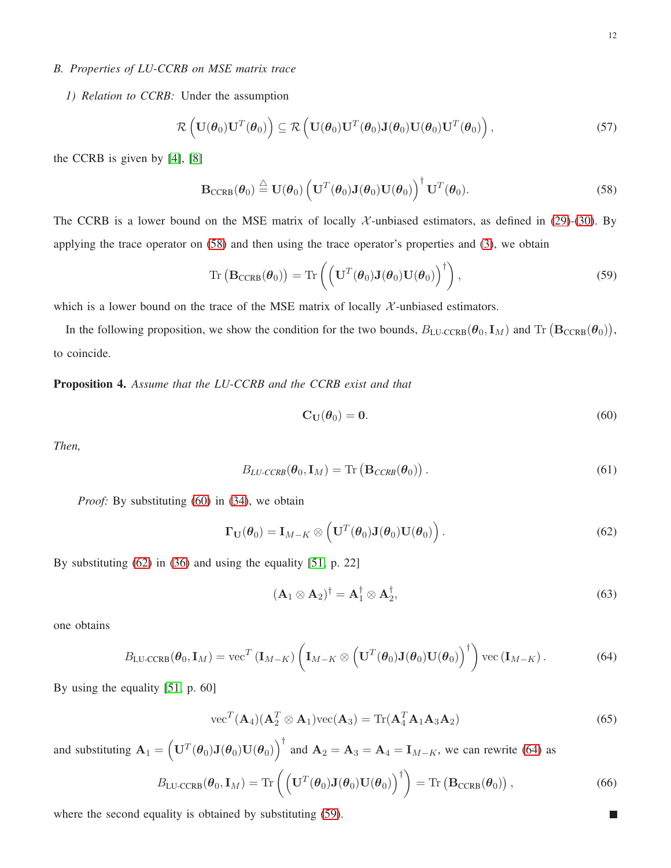$\Box$ 

## <span id="page-11-0"></span>*B. Properties of LU-CCRB on MSE matrix trace*

*1) Relation to CCRB:* Under the assumption

<span id="page-11-6"></span>
$$
\mathcal{R}\left(\mathbf{U}(\boldsymbol{\theta}_0)\mathbf{U}^T(\boldsymbol{\theta}_0)\right) \subseteq \mathcal{R}\left(\mathbf{U}(\boldsymbol{\theta}_0)\mathbf{U}^T(\boldsymbol{\theta}_0)\mathbf{J}(\boldsymbol{\theta}_0)\mathbf{U}(\boldsymbol{\theta}_0)\mathbf{U}^T(\boldsymbol{\theta}_0)\right),
$$
\n(57)

the CCRB is given by [\[4\]](#page-36-1), [\[8\]](#page-36-5)

<span id="page-11-1"></span>
$$
\mathbf{B}_{\text{CCRB}}(\boldsymbol{\theta}_0) \stackrel{\triangle}{=} \mathbf{U}(\boldsymbol{\theta}_0) \left( \mathbf{U}^T(\boldsymbol{\theta}_0) \mathbf{J}(\boldsymbol{\theta}_0) \mathbf{U}(\boldsymbol{\theta}_0) \right)^{\dagger} \mathbf{U}^T(\boldsymbol{\theta}_0).
$$
\n(58)

The CCRB is a lower bound on the MSE matrix of locally  $\mathcal{X}$ -unbiased estimators, as defined in [\(29\)](#page-7-2)-[\(30\)](#page-7-3). By applying the trace operator on [\(58\)](#page-11-1) and then using the trace operator's properties and [\(3\)](#page-3-6), we obtain

<span id="page-11-5"></span>
$$
\operatorname{Tr}\left(\mathbf{B}_{\text{CCRB}}(\boldsymbol{\theta}_0)\right) = \operatorname{Tr}\left(\left(\mathbf{U}^T(\boldsymbol{\theta}_0)\mathbf{J}(\boldsymbol{\theta}_0)\mathbf{U}(\boldsymbol{\theta}_0)\right)^{\dagger}\right),\tag{59}
$$

which is a lower bound on the trace of the MSE matrix of locally  $\mathcal{X}$ -unbiased estimators.

In the following proposition, we show the condition for the two bounds,  $B_{\text{LU-CCRB}}(\theta_0, I_M)$  and  $\text{Tr} \left( \mathbf{B}_{\text{CCRB}}(\theta_0) \right)$ , to coincide.

<span id="page-11-9"></span>Proposition 4. *Assume that the LU-CCRB and the CCRB exist and that*

<span id="page-11-2"></span>
$$
\mathbf{C}_{\mathbf{U}}(\boldsymbol{\theta}_0) = \mathbf{0}.\tag{60}
$$

*Then,*

$$
B_{LU-CCRB}(\boldsymbol{\theta}_0, \mathbf{I}_M) = \text{Tr}(\mathbf{B}_{CCRB}(\boldsymbol{\theta}_0)).
$$
\n(61)

*Proof:* By substituting [\(60\)](#page-11-2) in [\(34\)](#page-8-7), we obtain

<span id="page-11-3"></span>
$$
\Gamma_{\mathbf{U}}(\boldsymbol{\theta}_0) = \mathbf{I}_{M-K} \otimes \left( \mathbf{U}^T(\boldsymbol{\theta}_0) \mathbf{J}(\boldsymbol{\theta}_0) \mathbf{U}(\boldsymbol{\theta}_0) \right).
$$
 (62)

By substituting [\(62\)](#page-11-3) in [\(36\)](#page-8-8) and using the equality [\[51,](#page-38-5) p. 22]

<span id="page-11-8"></span>
$$
(\mathbf{A}_1 \otimes \mathbf{A}_2)^{\dagger} = \mathbf{A}_1^{\dagger} \otimes \mathbf{A}_2^{\dagger}, \tag{63}
$$

one obtains

<span id="page-11-4"></span>
$$
B_{\text{LU-CCRB}}(\boldsymbol{\theta}_0, \mathbf{I}_M) = \text{vec}^T (\mathbf{I}_{M-K}) \left( \mathbf{I}_{M-K} \otimes \left( \mathbf{U}^T(\boldsymbol{\theta}_0) \mathbf{J}(\boldsymbol{\theta}_0) \mathbf{U}(\boldsymbol{\theta}_0) \right)^{\dagger} \right) \text{vec} \left( \mathbf{I}_{M-K} \right). \tag{64}
$$

By using the equality [\[51,](#page-38-5) p. 60]

<span id="page-11-10"></span>
$$
\text{vec}^T(\mathbf{A}_4)(\mathbf{A}_2^T \otimes \mathbf{A}_1)\text{vec}(\mathbf{A}_3) = \text{Tr}(\mathbf{A}_4^T \mathbf{A}_1 \mathbf{A}_3 \mathbf{A}_2)
$$
(65)

and substituting  $\mathbf{A}_1 = (\mathbf{U}^T(\theta_0)\mathbf{J}(\theta_0)\mathbf{U}(\theta_0))^{\dagger}$  and  $\mathbf{A}_2 = \mathbf{A}_3 = \mathbf{A}_4 = \mathbf{I}_{M-K}$ , we can rewrite [\(64\)](#page-11-4) as

<span id="page-11-7"></span>
$$
B_{\text{LU-CCRB}}(\boldsymbol{\theta}_0, \mathbf{I}_M) = \text{Tr}\left(\left(\mathbf{U}^T(\boldsymbol{\theta}_0)\mathbf{J}(\boldsymbol{\theta}_0)\mathbf{U}(\boldsymbol{\theta}_0)\right)^{\dagger}\right) = \text{Tr}\left(\mathbf{B}_{\text{CCRB}}(\boldsymbol{\theta}_0)\right),\tag{66}
$$

where the second equality is obtained by substituting [\(59\)](#page-11-5).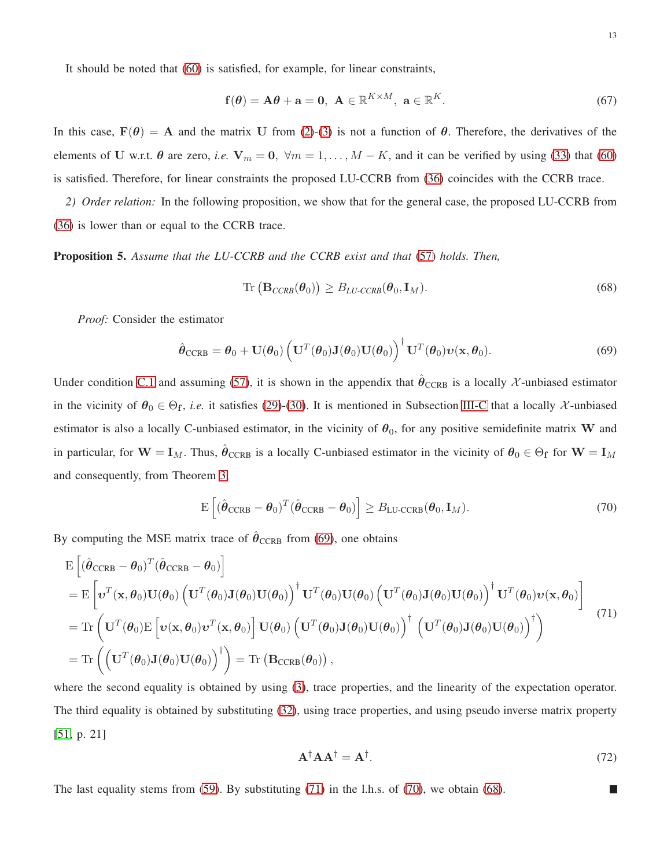It should be noted that [\(60\)](#page-11-2) is satisfied, for example, for linear constraints,

$$
\mathbf{f}(\boldsymbol{\theta}) = \mathbf{A}\boldsymbol{\theta} + \mathbf{a} = \mathbf{0}, \ \mathbf{A} \in \mathbb{R}^{K \times M}, \ \mathbf{a} \in \mathbb{R}^{K}.
$$

In this case,  $F(\theta) = A$  and the matrix U from [\(2\)](#page-3-5)-[\(3\)](#page-3-6) is not a function of  $\theta$ . Therefore, the derivatives of the elements of U w.r.t.  $\theta$  are zero, *i.e.*  $V_m = 0$ ,  $\forall m = 1, ..., M - K$ , and it can be verified by using [\(33\)](#page-8-5) that [\(60\)](#page-11-2) is satisfied. Therefore, for linear constraints the proposed LU-CCRB from [\(36\)](#page-8-8) coincides with the CCRB trace.

*2) Order relation:* In the following proposition, we show that for the general case, the proposed LU-CCRB from [\(36\)](#page-8-8) is lower than or equal to the CCRB trace.

Proposition 5. *Assume that the LU-CCRB and the CCRB exist and that* [\(57\)](#page-11-6) *holds. Then,*

<span id="page-12-3"></span>
$$
\operatorname{Tr}\left(\mathbf{B}_{CCRB}(\boldsymbol{\theta}_0)\right) \geq B_{LU\text{-CCRB}}(\boldsymbol{\theta}_0, \mathbf{I}_M). \tag{68}
$$

*Proof:* Consider the estimator

<span id="page-12-0"></span>
$$
\hat{\boldsymbol{\theta}}_{\text{CCRB}} = \boldsymbol{\theta}_0 + \mathbf{U}(\boldsymbol{\theta}_0) \left( \mathbf{U}^T(\boldsymbol{\theta}_0) \mathbf{J}(\boldsymbol{\theta}_0) \mathbf{U}(\boldsymbol{\theta}_0) \right)^{\dagger} \mathbf{U}^T(\boldsymbol{\theta}_0) \boldsymbol{\nu}(\mathbf{x}, \boldsymbol{\theta}_0). \tag{69}
$$

Under condition [C.1](#page-8-3) and assuming [\(57\)](#page-11-6), it is shown in the appendix that  $\hat{\theta}_{\text{CCRB}}$  is a locally X-unbiased estimator in the vicinity of  $\theta_0 \in \Theta_f$ , *i.e.* it satisfies [\(29\)](#page-7-2)-[\(30\)](#page-7-3). It is mentioned in Subsection [III-C](#page-6-8) that a locally X-unbiased estimator is also a locally C-unbiased estimator, in the vicinity of  $\theta_0$ , for any positive semidefinite matrix W and in particular, for  $W = I_M$ . Thus,  $\hat{\theta}_{\text{CCRB}}$  is a locally C-unbiased estimator in the vicinity of  $\theta_0 \in \Theta_f$  for  $W = I_M$ and consequently, from Theorem [3,](#page-8-9)

<span id="page-12-2"></span>
$$
\mathbf{E}\left[ (\hat{\boldsymbol{\theta}}_{\text{CCRB}} - \boldsymbol{\theta}_0)^T (\hat{\boldsymbol{\theta}}_{\text{CCRB}} - \boldsymbol{\theta}_0) \right] \geq B_{\text{LU-CCRB}}(\boldsymbol{\theta}_0, \mathbf{I}_M). \tag{70}
$$

By computing the MSE matrix trace of  $\hat{\theta}_{\text{CCRB}}$  from [\(69\)](#page-12-0), one obtains

<span id="page-12-1"></span>
$$
\mathbf{E}\left[\left(\hat{\boldsymbol{\theta}}_{\text{CCRB}}-\boldsymbol{\theta}_{0}\right)^{T}\left(\hat{\boldsymbol{\theta}}_{\text{CCRB}}-\boldsymbol{\theta}_{0}\right)\right]
$$
\n
$$
=\mathbf{E}\left[\boldsymbol{v}^{T}(\mathbf{x},\boldsymbol{\theta}_{0})\mathbf{U}(\boldsymbol{\theta}_{0})\left(\mathbf{U}^{T}(\boldsymbol{\theta}_{0})\mathbf{J}(\boldsymbol{\theta}_{0})\mathbf{U}(\boldsymbol{\theta}_{0})\right)^{\dagger}\mathbf{U}^{T}(\boldsymbol{\theta}_{0})\mathbf{U}(\boldsymbol{\theta}_{0})\left(\mathbf{U}^{T}(\boldsymbol{\theta}_{0})\mathbf{J}(\boldsymbol{\theta}_{0})\mathbf{U}(\boldsymbol{\theta}_{0})\right)^{\dagger}\mathbf{U}^{T}(\boldsymbol{\theta}_{0})\mathbf{v}(\mathbf{x},\boldsymbol{\theta}_{0})\right]
$$
\n
$$
=\text{Tr}\left(\mathbf{U}^{T}(\boldsymbol{\theta}_{0})\mathbf{E}\left[\boldsymbol{v}(\mathbf{x},\boldsymbol{\theta}_{0})\boldsymbol{v}^{T}(\mathbf{x},\boldsymbol{\theta}_{0})\right]\mathbf{U}(\boldsymbol{\theta}_{0})\left(\mathbf{U}^{T}(\boldsymbol{\theta}_{0})\mathbf{J}(\boldsymbol{\theta}_{0})\mathbf{U}(\boldsymbol{\theta}_{0})\right)^{\dagger}\left(\mathbf{U}^{T}(\boldsymbol{\theta}_{0})\mathbf{J}(\boldsymbol{\theta}_{0})\mathbf{U}(\boldsymbol{\theta}_{0})\right)^{\dagger}\right)
$$
\n
$$
=\text{Tr}\left(\left(\mathbf{U}^{T}(\boldsymbol{\theta}_{0})\mathbf{J}(\boldsymbol{\theta}_{0})\mathbf{U}(\boldsymbol{\theta}_{0})\right)^{\dagger}\right)=\text{Tr}\left(\mathbf{B}_{\text{CCRB}}(\boldsymbol{\theta}_{0})\right),\tag{71}
$$

where the second equality is obtained by using [\(3\)](#page-3-6), trace properties, and the linearity of the expectation operator. The third equality is obtained by substituting [\(32\)](#page-8-6), using trace properties, and using pseudo inverse matrix property [\[51,](#page-38-5) p. 21]

<span id="page-12-4"></span>
$$
\mathbf{A}^{\dagger} \mathbf{A} \mathbf{A}^{\dagger} = \mathbf{A}^{\dagger}.
$$
 (72)

The last equality stems from  $(59)$ . By substituting  $(71)$  in the l.h.s. of  $(70)$ , we obtain  $(68)$ .

г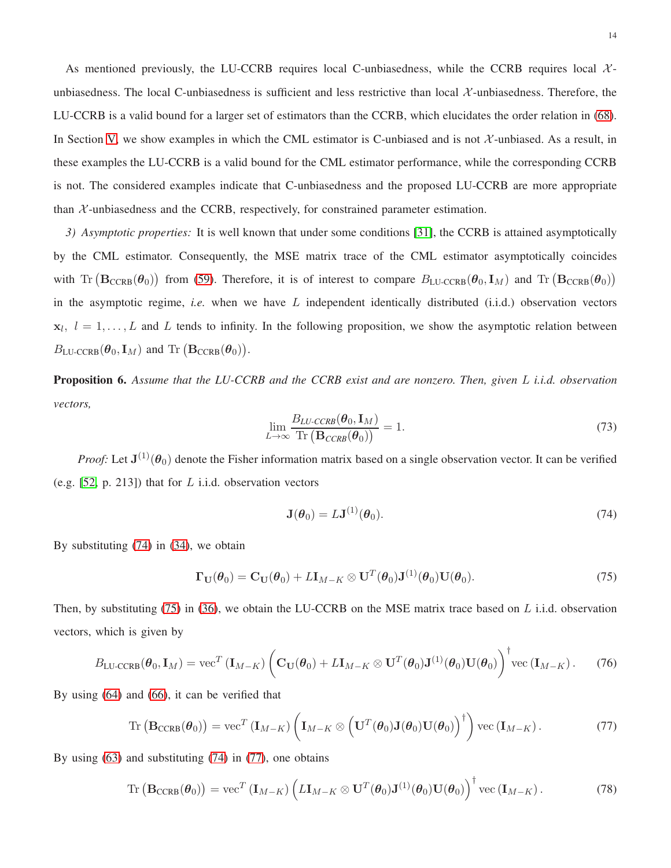As mentioned previously, the LU-CCRB requires local C-unbiasedness, while the CCRB requires local  $\mathcal{X}$ unbiasedness. The local C-unbiasedness is sufficient and less restrictive than local  $\mathcal{X}$ -unbiasedness. Therefore, the LU-CCRB is a valid bound for a larger set of estimators than the CCRB, which elucidates the order relation in [\(68\)](#page-12-3). In Section [V,](#page-15-0) we show examples in which the CML estimator is C-unbiased and is not  $\mathcal{X}$ -unbiased. As a result, in these examples the LU-CCRB is a valid bound for the CML estimator performance, while the corresponding CCRB is not. The considered examples indicate that C-unbiasedness and the proposed LU-CCRB are more appropriate than  $X$ -unbiasedness and the CCRB, respectively, for constrained parameter estimation.

*3) Asymptotic properties:* It is well known that under some conditions [\[31\]](#page-37-3), the CCRB is attained asymptotically by the CML estimator. Consequently, the MSE matrix trace of the CML estimator asymptotically coincides with Tr  $(B_{\text{CCRB}}(\theta_0))$  from [\(59\)](#page-11-5). Therefore, it is of interest to compare  $B_{\text{LU-CCRB}}(\theta_0, I_M)$  and Tr  $(B_{\text{CCRB}}(\theta_0))$ in the asymptotic regime, *i.e.* when we have L independent identically distributed (i.i.d.) observation vectors  $x_l$ ,  $l = 1, \ldots, L$  and L tends to infinity. In the following proposition, we show the asymptotic relation between  $B_{\text{LU-CCRB}}(\boldsymbol{\theta}_0, \mathbf{I}_M)$  and Tr  $(\mathbf{B}_{\text{CCRB}}(\boldsymbol{\theta}_0)).$ 

<span id="page-13-6"></span>Proposition 6. *Assume that the LU-CCRB and the CCRB exist and are nonzero. Then, given* L *i.i.d. observation vectors,*

<span id="page-13-5"></span>
$$
\lim_{L \to \infty} \frac{B_{LU-CCRB}(\boldsymbol{\theta}_0, \mathbf{I}_M)}{\text{Tr}\left(\mathbf{B}_{CCRB}(\boldsymbol{\theta}_0)\right)} = 1.
$$
\n(73)

*Proof:* Let  $J^{(1)}(\theta_0)$  denote the Fisher information matrix based on a single observation vector. It can be verified (e.g.  $[52, p. 213]$  $[52, p. 213]$ ) that for L i.i.d. observation vectors

<span id="page-13-0"></span>
$$
\mathbf{J}(\boldsymbol{\theta}_0) = L \mathbf{J}^{(1)}(\boldsymbol{\theta}_0). \tag{74}
$$

By substituting [\(74\)](#page-13-0) in [\(34\)](#page-8-7), we obtain

<span id="page-13-1"></span>
$$
\Gamma_{\mathbf{U}}(\boldsymbol{\theta}_0) = \mathbf{C}_{\mathbf{U}}(\boldsymbol{\theta}_0) + L \mathbf{I}_{M-K} \otimes \mathbf{U}^T(\boldsymbol{\theta}_0) \mathbf{J}^{(1)}(\boldsymbol{\theta}_0) \mathbf{U}(\boldsymbol{\theta}_0).
$$
(75)

Then, by substituting  $(75)$  in  $(36)$ , we obtain the LU-CCRB on the MSE matrix trace based on L i.i.d. observation vectors, which is given by

<span id="page-13-3"></span>
$$
B_{\text{LU-CCRB}}(\boldsymbol{\theta}_0, \mathbf{I}_M) = \text{vec}^T (\mathbf{I}_{M-K}) \left( \mathbf{C}_{\mathbf{U}}(\boldsymbol{\theta}_0) + L \mathbf{I}_{M-K} \otimes \mathbf{U}^T(\boldsymbol{\theta}_0) \mathbf{J}^{(1)}(\boldsymbol{\theta}_0) \mathbf{U}(\boldsymbol{\theta}_0) \right)^{\dagger} \text{vec} (\mathbf{I}_{M-K}). \tag{76}
$$

By using [\(64\)](#page-11-4) and [\(66\)](#page-11-7), it can be verified that

<span id="page-13-2"></span>
$$
\operatorname{Tr}\left(\mathbf{B}_{\text{CCRB}}(\boldsymbol{\theta}_{0})\right)=\operatorname{vec}^{T}\left(\mathbf{I}_{M-K}\right)\left(\mathbf{I}_{M-K}\otimes\left(\mathbf{U}^{T}(\boldsymbol{\theta}_{0})\mathbf{J}(\boldsymbol{\theta}_{0})\mathbf{U}(\boldsymbol{\theta}_{0})\right)^{\dagger}\right)\operatorname{vec}\left(\mathbf{I}_{M-K}\right).
$$
\n(77)

By using  $(63)$  and substituting  $(74)$  in  $(77)$ , one obtains

<span id="page-13-4"></span>
$$
\operatorname{Tr}\left(\mathbf{B}_{\text{CCRB}}(\boldsymbol{\theta}_{0})\right)=\operatorname{vec}^{T}\left(\mathbf{I}_{M-K}\right)\left(L\mathbf{I}_{M-K}\otimes\mathbf{U}^{T}(\boldsymbol{\theta}_{0})\mathbf{J}^{(1)}(\boldsymbol{\theta}_{0})\mathbf{U}(\boldsymbol{\theta}_{0})\right)^{\dagger}\operatorname{vec}\left(\mathbf{I}_{M-K}\right).
$$
\n(78)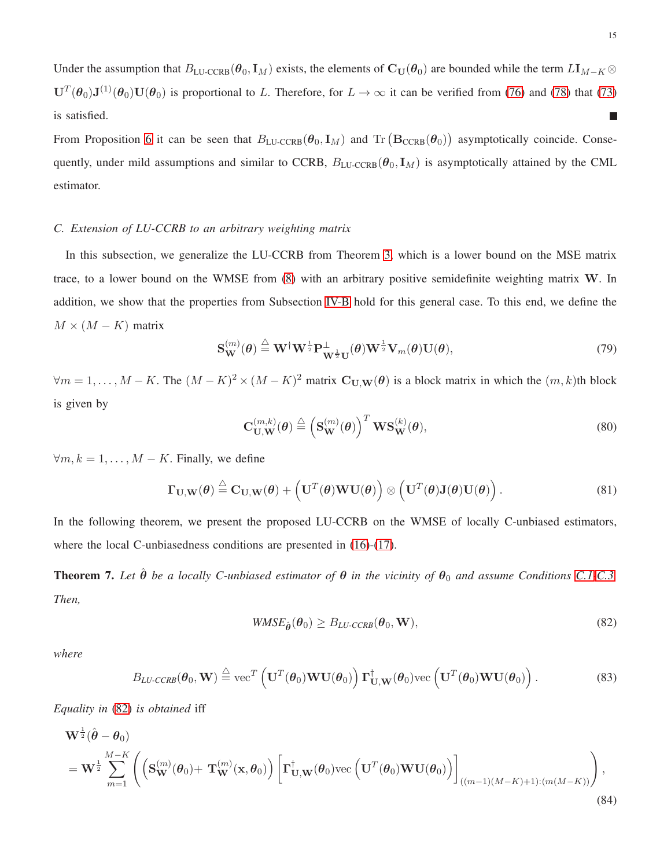Under the assumption that  $B_{\text{LU-CCRB}}(\theta_0, I_M)$  exists, the elements of  $\text{C}_{\text{U}}(\theta_0)$  are bounded while the term  $LI_{M-K} \otimes$  $U^T(\theta_0)J^{(1)}(\theta_0)U(\theta_0)$  is proportional to L. Therefore, for  $L \to \infty$  it can be verified from [\(76\)](#page-13-3) and [\(78\)](#page-13-4) that [\(73\)](#page-13-5) is satisfied. П

From Proposition [6](#page-13-6) it can be seen that  $B_{\text{LU-CCRB}}(\theta_0, \mathbf{I}_M)$  and Tr  $(\mathbf{B_{CCRB}}(\theta_0))$  asymptotically coincide. Consequently, under mild assumptions and similar to CCRB,  $B_{\text{LU-CCRB}}(\theta_0, I_M)$  is asymptotically attained by the CML estimator.

# <span id="page-14-0"></span>*C. Extension of LU-CCRB to an arbitrary weighting matrix*

In this subsection, we generalize the LU-CCRB from Theorem [3,](#page-8-9) which is a lower bound on the MSE matrix trace, to a lower bound on the WMSE from [\(8\)](#page-4-2) with an arbitrary positive semidefinite weighting matrix W. In addition, we show that the properties from Subsection [IV-B](#page-11-0) hold for this general case. To this end, we define the  $M \times (M - K)$  matrix

<span id="page-14-6"></span>
$$
\mathbf{S}_{\mathbf{W}}^{(m)}(\boldsymbol{\theta}) \stackrel{\triangle}{=} \mathbf{W}^{\dagger} \mathbf{W}^{\frac{1}{2}} \mathbf{P}_{\mathbf{W}^{\frac{1}{2}} \mathbf{U}}^{\perp}(\boldsymbol{\theta}) \mathbf{W}^{\frac{1}{2}} \mathbf{V}_{m}(\boldsymbol{\theta}) \mathbf{U}(\boldsymbol{\theta}), \tag{79}
$$

 $\forall m = 1, ..., M - K$ . The  $(M - K)^2 \times (M - K)^2$  matrix  $\mathbf{C}_{\mathbf{U}, \mathbf{W}}(\theta)$  is a block matrix in which the  $(m, k)$ th block is given by

<span id="page-14-4"></span>
$$
\mathbf{C}_{\mathbf{U},\mathbf{W}}^{(m,k)}(\boldsymbol{\theta}) \stackrel{\triangle}{=} \left(\mathbf{S}_{\mathbf{W}}^{(m)}(\boldsymbol{\theta})\right)^T \mathbf{W} \mathbf{S}_{\mathbf{W}}^{(k)}(\boldsymbol{\theta}),
$$
\n(80)

 $\forall m, k = 1, \dots, M - K$ . Finally, we define

<span id="page-14-5"></span>
$$
\Gamma_{\mathbf{U},\mathbf{W}}(\boldsymbol{\theta}) \stackrel{\triangle}{=} \mathbf{C}_{\mathbf{U},\mathbf{W}}(\boldsymbol{\theta}) + \left(\mathbf{U}^T(\boldsymbol{\theta})\mathbf{W}\mathbf{U}(\boldsymbol{\theta})\right) \otimes \left(\mathbf{U}^T(\boldsymbol{\theta})\mathbf{J}(\boldsymbol{\theta})\mathbf{U}(\boldsymbol{\theta})\right).
$$
(81)

In the following theorem, we present the proposed LU-CCRB on the WMSE of locally C-unbiased estimators, where the local C-unbiasedness conditions are presented in [\(16\)](#page-6-5)-[\(17\)](#page-6-7).

<span id="page-14-2"></span>**Theorem 7.** Let  $\hat{\theta}$  be a locally C-unbiased estimator of  $\theta$  in the vicinity of  $\theta_0$  and assume Conditions [C.1-](#page-8-3)[C.3.](#page-8-11) *Then,*

<span id="page-14-1"></span>
$$
WMSE_{\hat{\boldsymbol{\theta}}}(\boldsymbol{\theta}_0) \ge B_{LU\text{-}CCRB}(\boldsymbol{\theta}_0, \mathbf{W}),\tag{82}
$$

*where*

<span id="page-14-7"></span>
$$
B_{LU\text{-}\text{CCRB}}(\boldsymbol{\theta}_0, \mathbf{W}) \stackrel{\triangle}{=} \text{vec}^T \left( \mathbf{U}^T(\boldsymbol{\theta}_0) \mathbf{W} \mathbf{U}(\boldsymbol{\theta}_0) \right) \mathbf{\Gamma}_{\mathbf{U}, \mathbf{W}}^\dagger(\boldsymbol{\theta}_0) \text{vec} \left( \mathbf{U}^T(\boldsymbol{\theta}_0) \mathbf{W} \mathbf{U}(\boldsymbol{\theta}_0) \right). \tag{83}
$$

*Equality in* [\(82\)](#page-14-1) *is obtained* iff

<span id="page-14-3"></span>
$$
\mathbf{W}^{\frac{1}{2}}(\hat{\boldsymbol{\theta}} - \boldsymbol{\theta}_{0})
$$
\n
$$
= \mathbf{W}^{\frac{1}{2}} \sum_{m=1}^{M-K} \left( \left( \mathbf{S}_{\mathbf{W}}^{(m)}(\boldsymbol{\theta}_{0}) + \mathbf{T}_{\mathbf{W}}^{(m)}(\mathbf{x}, \boldsymbol{\theta}_{0}) \right) \left[ \mathbf{\Gamma}_{\mathbf{U},\mathbf{W}}^{\dagger}(\boldsymbol{\theta}_{0}) \text{vec} \left( \mathbf{U}^{T}(\boldsymbol{\theta}_{0}) \mathbf{W} \mathbf{U}(\boldsymbol{\theta}_{0}) \right) \right]_{((m-1)(M-K)+1):(m(M-K))} \right),
$$
\n(84)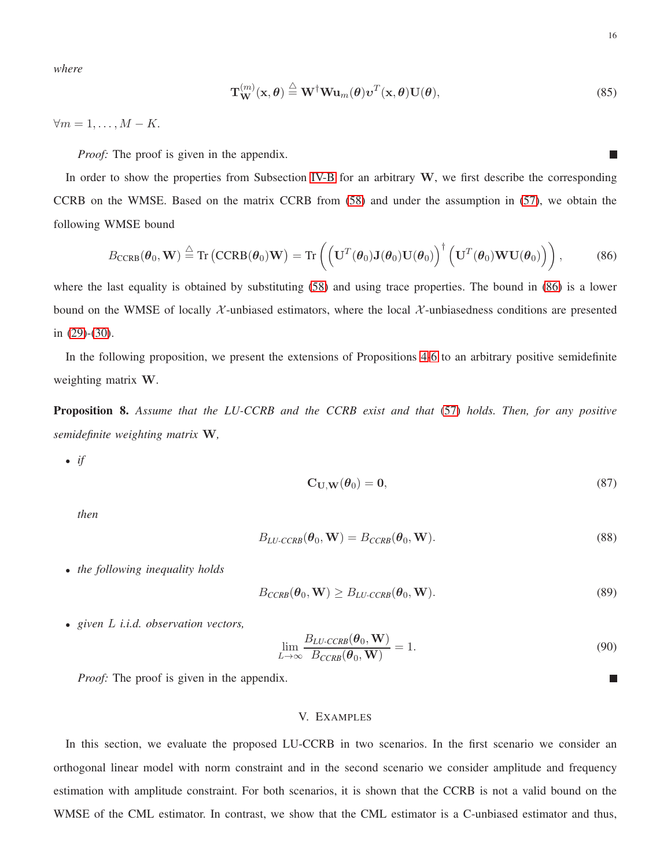*where*

<span id="page-15-3"></span>
$$
\mathbf{T}_{\mathbf{W}}^{(m)}(\mathbf{x}, \boldsymbol{\theta}) \stackrel{\triangle}{=} \mathbf{W}^{\dagger} \mathbf{W} \mathbf{u}_{m}(\boldsymbol{\theta}) \boldsymbol{v}^{T}(\mathbf{x}, \boldsymbol{\theta}) \mathbf{U}(\boldsymbol{\theta}),
$$
\n(85)

 $\forall m = 1, \ldots, M - K.$ 

*Proof:* The proof is given in the appendix.

In order to show the properties from Subsection [IV-B](#page-11-0) for an arbitrary W, we first describe the corresponding CCRB on the WMSE. Based on the matrix CCRB from [\(58\)](#page-11-1) and under the assumption in [\(57\)](#page-11-6), we obtain the following WMSE bound

<span id="page-15-1"></span>
$$
B_{\text{CCRB}}(\boldsymbol{\theta}_0, \mathbf{W}) \stackrel{\triangle}{=} \text{Tr}\left(\text{CCRB}(\boldsymbol{\theta}_0)\mathbf{W}\right) = \text{Tr}\left(\left(\mathbf{U}^T(\boldsymbol{\theta}_0)\mathbf{J}(\boldsymbol{\theta}_0)\mathbf{U}(\boldsymbol{\theta}_0)\right)^{\dagger}\left(\mathbf{U}^T(\boldsymbol{\theta}_0)\mathbf{W}\mathbf{U}(\boldsymbol{\theta}_0)\right)\right),\tag{86}
$$

where the last equality is obtained by substituting  $(58)$  and using trace properties. The bound in  $(86)$  is a lower bound on the WMSE of locally  $\mathcal{X}$ -unbiased estimators, where the local  $\mathcal{X}$ -unbiasedness conditions are presented in [\(29\)](#page-7-2)-[\(30\)](#page-7-3).

In the following proposition, we present the extensions of Propositions [4](#page-11-9)[-6](#page-13-6) to an arbitrary positive semidefinite weighting matrix W.

<span id="page-15-2"></span>Proposition 8. *Assume that the LU-CCRB and the CCRB exist and that* [\(57\)](#page-11-6) *holds. Then, for any positive semidefinite weighting matrix* W*,*

• *if*

<span id="page-15-4"></span>
$$
\mathbf{C}_{\mathbf{U},\mathbf{W}}(\boldsymbol{\theta}_0) = \mathbf{0},\tag{87}
$$

*then*

$$
B_{LU\text{-}CCRB}(\boldsymbol{\theta}_0, \mathbf{W}) = B_{CCRB}(\boldsymbol{\theta}_0, \mathbf{W}).
$$
\n(88)

• *the following inequality holds*

<span id="page-15-5"></span>
$$
B_{CCRB}(\boldsymbol{\theta}_0, \mathbf{W}) \ge B_{LU\text{-CCRB}}(\boldsymbol{\theta}_0, \mathbf{W}).
$$
\n(89)

• *given* L *i.i.d. observation vectors,*

<span id="page-15-6"></span>
$$
\lim_{L \to \infty} \frac{B_{LU-CCRB}(\boldsymbol{\theta}_0, \mathbf{W})}{B_{CCRR}(\boldsymbol{\theta}_0, \mathbf{W})} = 1.
$$
\n(90)

<span id="page-15-0"></span>*Proof:* The proof is given in the appendix.

# V. EXAMPLES

In this section, we evaluate the proposed LU-CCRB in two scenarios. In the first scenario we consider an orthogonal linear model with norm constraint and in the second scenario we consider amplitude and frequency estimation with amplitude constraint. For both scenarios, it is shown that the CCRB is not a valid bound on the WMSE of the CML estimator. In contrast, we show that the CML estimator is a C-unbiased estimator and thus,

П

П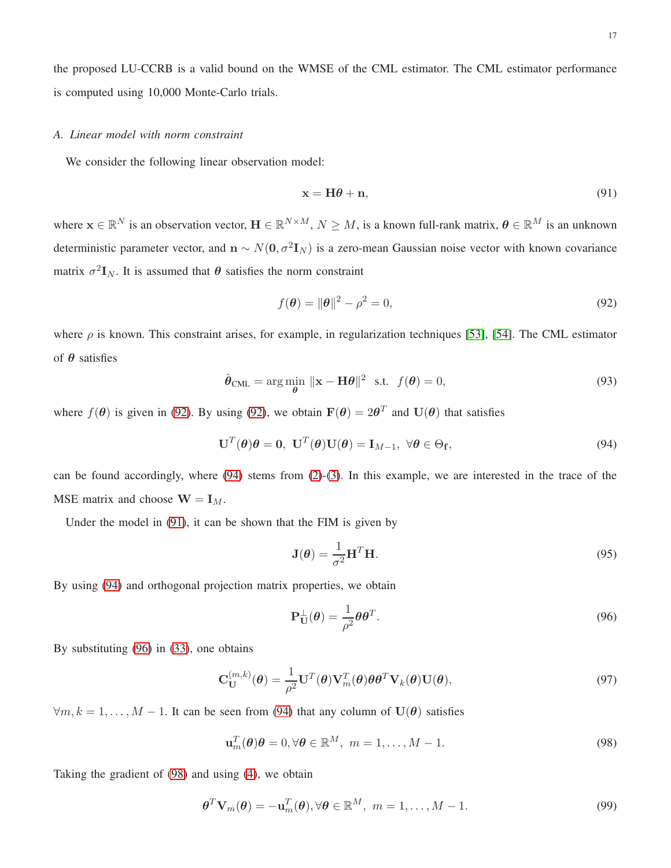the proposed LU-CCRB is a valid bound on the WMSE of the CML estimator. The CML estimator performance is computed using 10,000 Monte-Carlo trials.

#### *A. Linear model with norm constraint*

We consider the following linear observation model:

<span id="page-16-2"></span>
$$
\mathbf{x} = \mathbf{H}\boldsymbol{\theta} + \mathbf{n},\tag{91}
$$

where  $\mathbf{x} \in \mathbb{R}^N$  is an observation vector,  $\mathbf{H} \in \mathbb{R}^{N \times M}$ ,  $N \ge M$ , is a known full-rank matrix,  $\theta \in \mathbb{R}^M$  is an unknown deterministic parameter vector, and  $n \sim N(0, \sigma^2 I_N)$  is a zero-mean Gaussian noise vector with known covariance matrix  $\sigma^2 \mathbf{I}_N$ . It is assumed that  $\boldsymbol{\theta}$  satisfies the norm constraint

<span id="page-16-0"></span>
$$
f(\boldsymbol{\theta}) = ||\boldsymbol{\theta}||^2 - \rho^2 = 0,
$$
\n(92)

where  $\rho$  is known. This constraint arises, for example, in regularization techniques [\[53\]](#page-38-7), [\[54\]](#page-38-8). The CML estimator of  $\theta$  satisfies

<span id="page-16-8"></span>
$$
\hat{\boldsymbol{\theta}}_{\text{CML}} = \arg\min_{\boldsymbol{\theta}} \|\mathbf{x} - \mathbf{H}\boldsymbol{\theta}\|^2 \quad \text{s.t.} \quad f(\boldsymbol{\theta}) = 0,\tag{93}
$$

where  $f(\theta)$  is given in [\(92\)](#page-16-0). By using (92), we obtain  $\mathbf{F}(\theta) = 2\theta^T$  and  $\mathbf{U}(\theta)$  that satisfies

<span id="page-16-1"></span>
$$
\mathbf{U}^{T}(\boldsymbol{\theta})\boldsymbol{\theta} = \mathbf{0}, \ \mathbf{U}^{T}(\boldsymbol{\theta})\mathbf{U}(\boldsymbol{\theta}) = \mathbf{I}_{M-1}, \ \forall \boldsymbol{\theta} \in \Theta_{\mathbf{f}}, \tag{94}
$$

can be found accordingly, where [\(94\)](#page-16-1) stems from [\(2\)](#page-3-5)-[\(3\)](#page-3-6). In this example, we are interested in the trace of the MSE matrix and choose  $W = I_M$ .

Under the model in [\(91\)](#page-16-2), it can be shown that the FIM is given by

<span id="page-16-7"></span>
$$
\mathbf{J}(\boldsymbol{\theta}) = \frac{1}{\sigma^2} \mathbf{H}^T \mathbf{H}.
$$
 (95)

By using [\(94\)](#page-16-1) and orthogonal projection matrix properties, we obtain

<span id="page-16-3"></span>
$$
\mathbf{P}_{\mathbf{U}}^{\perp}(\boldsymbol{\theta}) = \frac{1}{\rho^2} \boldsymbol{\theta} \boldsymbol{\theta}^T. \tag{96}
$$

By substituting [\(96\)](#page-16-3) in [\(33\)](#page-8-5), one obtains

<span id="page-16-6"></span>
$$
\mathbf{C}_{\mathbf{U}}^{(m,k)}(\boldsymbol{\theta}) = \frac{1}{\rho^2} \mathbf{U}^T(\boldsymbol{\theta}) \mathbf{V}_m^T(\boldsymbol{\theta}) \boldsymbol{\theta} \boldsymbol{\theta}^T \mathbf{V}_k(\boldsymbol{\theta}) \mathbf{U}(\boldsymbol{\theta}),
$$
\n(97)

 $\forall m, k = 1, \dots, M - 1$ . It can be seen from [\(94\)](#page-16-1) that any column of  $\mathbf{U}(\theta)$  satisfies

<span id="page-16-4"></span>
$$
\mathbf{u}_m^T(\boldsymbol{\theta})\boldsymbol{\theta} = 0, \forall \boldsymbol{\theta} \in \mathbb{R}^M, \ m = 1, \dots, M - 1.
$$
 (98)

Taking the gradient of [\(98\)](#page-16-4) and using [\(4\)](#page-3-3), we obtain

<span id="page-16-5"></span>
$$
\boldsymbol{\theta}^T \mathbf{V}_m(\boldsymbol{\theta}) = -\mathbf{u}_m^T(\boldsymbol{\theta}), \forall \boldsymbol{\theta} \in \mathbb{R}^M, \ m = 1, \dots, M - 1.
$$
 (99)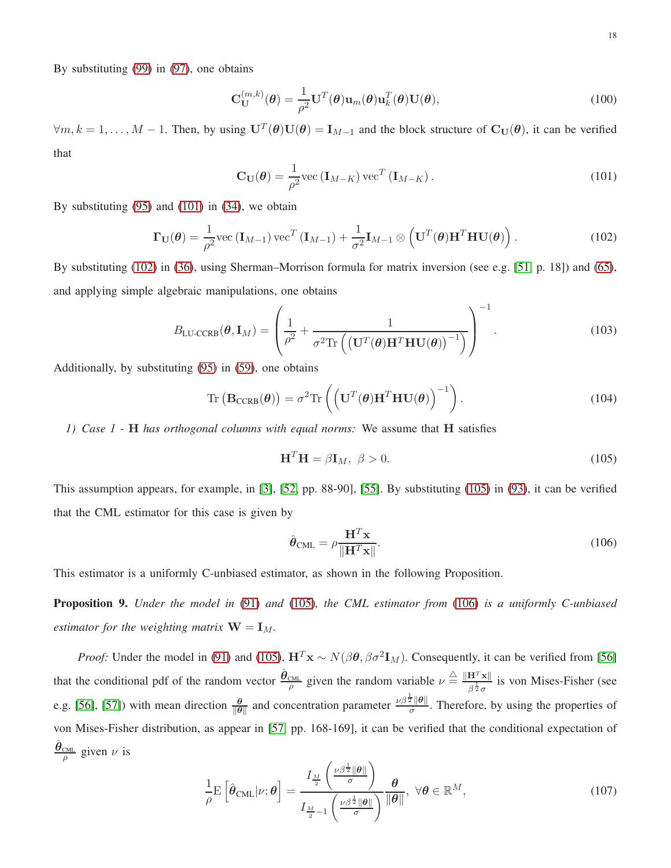By substituting [\(99\)](#page-16-5) in [\(97\)](#page-16-6), one obtains

$$
\mathbf{C}_{\mathbf{U}}^{(m,k)}(\boldsymbol{\theta}) = \frac{1}{\rho^2} \mathbf{U}^T(\boldsymbol{\theta}) \mathbf{u}_m(\boldsymbol{\theta}) \mathbf{u}_k^T(\boldsymbol{\theta}) \mathbf{U}(\boldsymbol{\theta}),
$$
\n(100)

 $\forall m, k = 1, \dots, M-1$ . Then, by using  $\mathbf{U}^T(\theta)\mathbf{U}(\theta) = \mathbf{I}_{M-1}$  and the block structure of  $\mathbf{C}_{\mathbf{U}}(\theta)$ , it can be verified that

<span id="page-17-0"></span>
$$
\mathbf{C}_{\mathbf{U}}(\boldsymbol{\theta}) = \frac{1}{\rho^2} \text{vec} \left( \mathbf{I}_{M-K} \right) \text{vec}^T \left( \mathbf{I}_{M-K} \right). \tag{101}
$$

By substituting [\(95\)](#page-16-7) and [\(101\)](#page-17-0) in [\(34\)](#page-8-7), we obtain

<span id="page-17-1"></span>
$$
\mathbf{\Gamma}_{\mathbf{U}}(\boldsymbol{\theta}) = \frac{1}{\rho^2} \text{vec} \left( \mathbf{I}_{M-1} \right) \text{vec}^T \left( \mathbf{I}_{M-1} \right) + \frac{1}{\sigma^2} \mathbf{I}_{M-1} \otimes \left( \mathbf{U}^T(\boldsymbol{\theta}) \mathbf{H}^T \mathbf{H} \mathbf{U}(\boldsymbol{\theta}) \right).
$$
 (102)

By substituting [\(102\)](#page-17-1) in [\(36\)](#page-8-8), using Sherman–Morrison formula for matrix inversion (see e.g. [\[51,](#page-38-5) p. 18]) and [\(65\)](#page-11-10), and applying simple algebraic manipulations, one obtains

<span id="page-17-5"></span>
$$
B_{\text{LU-CCRB}}(\theta, \mathbf{I}_M) = \left(\frac{1}{\rho^2} + \frac{1}{\sigma^2 \text{Tr}\left(\left(\mathbf{U}^T(\theta)\mathbf{H}^T\mathbf{H}\mathbf{U}(\theta)\right)^{-1}\right)}\right)^{-1}.
$$
(103)

Additionally, by substituting [\(95\)](#page-16-7) in [\(59\)](#page-11-5), one obtains

<span id="page-17-6"></span>
$$
\operatorname{Tr}\left(\mathbf{B}_{\text{CCRB}}(\boldsymbol{\theta})\right) = \sigma^2 \operatorname{Tr}\left(\left(\mathbf{U}^T(\boldsymbol{\theta})\mathbf{H}^T \mathbf{H} \mathbf{U}(\boldsymbol{\theta})\right)^{-1}\right).
$$
\n(104)

<span id="page-17-8"></span>*1) Case 1 -* H *has orthogonal columns with equal norms:* We assume that H satisfies

<span id="page-17-2"></span>
$$
\mathbf{H}^T \mathbf{H} = \beta \mathbf{I}_M, \ \beta > 0. \tag{105}
$$

This assumption appears, for example, in [\[3\]](#page-36-0), [\[52,](#page-38-6) pp. 88-90], [\[55\]](#page-38-9). By substituting [\(105\)](#page-17-2) in [\(93\)](#page-16-8), it can be verified that the CML estimator for this case is given by

<span id="page-17-3"></span>
$$
\hat{\theta}_{\text{CML}} = \rho \frac{\mathbf{H}^T \mathbf{x}}{\|\mathbf{H}^T \mathbf{x}\|}.
$$
\n(106)

This estimator is a uniformly C-unbiased estimator, as shown in the following Proposition.

<span id="page-17-7"></span>Proposition 9. *Under the model in* [\(91\)](#page-16-2) *and* [\(105\)](#page-17-2)*, the CML estimator from* [\(106\)](#page-17-3) *is a uniformly C-unbiased estimator for the weighting matrix*  $\mathbf{W} = \mathbf{I}_M$ *.* 

*Proof:* Under the model in [\(91\)](#page-16-2) and [\(105\)](#page-17-2),  $\mathbf{H}^T \mathbf{x} \sim N(\beta \theta, \beta \sigma^2 \mathbf{I}_M)$ . Consequently, it can be verified from [\[56\]](#page-38-10) that the conditional pdf of the random vector  $\frac{\hat{\theta}_{\text{CML}}}{\rho}$  given the random variable  $\nu \stackrel{\triangle}{=} \frac{\|\mathbf{H}^T \mathbf{x}\|}{\frac{\partial \Phi}{\partial x}}$  $\frac{\mathbf{H}^2 \times \mathbf{H}}{\beta^{\frac{1}{2}}\sigma}$  is von Mises-Fisher (see e.g. [\[56\]](#page-38-10), [\[57\]](#page-38-11)) with mean direction  $\frac{\theta}{\|\theta\|}$  and concentration parameter  $\frac{\nu \beta^{\frac{1}{2}} \|\theta\|}{\sigma}$  $\frac{d\|\boldsymbol{\theta}\|}{\sigma}$ . Therefore, by using the properties of von Mises-Fisher distribution, as appear in [\[57,](#page-38-11) pp. 168-169], it can be verified that the conditional expectation of  $\frac{\hat{\boldsymbol{\theta}}_{\text{CML}}}{\rho}$  given  $\nu$  is

<span id="page-17-4"></span>
$$
\frac{1}{\rho} \mathbf{E} \left[ \hat{\boldsymbol{\theta}}_{\text{CML}} | \nu; \boldsymbol{\theta} \right] = \frac{I_{\frac{M}{2}} \left( \frac{\nu \beta^{\frac{1}{2}} || \boldsymbol{\theta} ||}{\sigma} \right)}{I_{\frac{M}{2} - 1} \left( \frac{\nu \beta^{\frac{1}{2}} || \boldsymbol{\theta} ||}{\sigma} \right)} \frac{\boldsymbol{\theta}}{|| \boldsymbol{\theta} ||}, \ \forall \boldsymbol{\theta} \in \mathbb{R}^{M}, \tag{107}
$$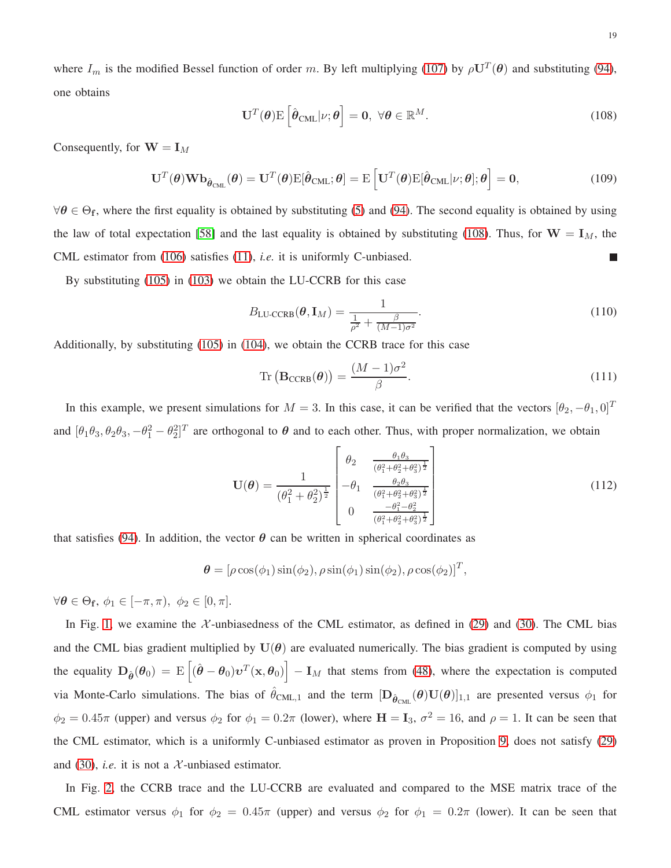where  $I_m$  is the modified Bessel function of order m. By left multiplying [\(107\)](#page-17-4) by  $\rho U^T(\theta)$  and substituting [\(94\)](#page-16-1), one obtains

<span id="page-18-0"></span>
$$
\mathbf{U}^{T}(\boldsymbol{\theta})\mathrm{E}\left[\hat{\boldsymbol{\theta}}_{\mathrm{CML}}|\nu;\boldsymbol{\theta}\right]=\mathbf{0},\ \forall\boldsymbol{\theta}\in\mathbb{R}^{M}.\tag{108}
$$

Consequently, for  $\mathbf{W} = \mathbf{I}_M$ 

$$
\mathbf{U}^{T}(\boldsymbol{\theta})\mathbf{W}\mathbf{b}_{\hat{\boldsymbol{\theta}}_{\text{CML}}}(\boldsymbol{\theta}) = \mathbf{U}^{T}(\boldsymbol{\theta})\mathrm{E}[\hat{\boldsymbol{\theta}}_{\text{CML}};\boldsymbol{\theta}] = \mathrm{E}\left[\mathbf{U}^{T}(\boldsymbol{\theta})\mathrm{E}[\hat{\boldsymbol{\theta}}_{\text{CML}}|\nu;\boldsymbol{\theta}];\boldsymbol{\theta}\right] = \mathbf{0},\tag{109}
$$

 $\forall \theta \in \Theta_f$ , where the first equality is obtained by substituting [\(5\)](#page-3-2) and [\(94\)](#page-16-1). The second equality is obtained by using the law of total expectation [\[58\]](#page-38-12) and the last equality is obtained by substituting [\(108\)](#page-18-0). Thus, for  $W = I_M$ , the CML estimator from [\(106\)](#page-17-3) satisfies [\(11\)](#page-5-4), *i.e.* it is uniformly C-unbiased. г

By substituting [\(105\)](#page-17-2) in [\(103\)](#page-17-5) we obtain the LU-CCRB for this case

<span id="page-18-2"></span>
$$
B_{\text{LU-CCRB}}(\boldsymbol{\theta}, \mathbf{I}_M) = \frac{1}{\frac{1}{\rho^2} + \frac{\beta}{(M-1)\sigma^2}}.
$$
\n(110)

Additionally, by substituting [\(105\)](#page-17-2) in [\(104\)](#page-17-6), we obtain the CCRB trace for this case

<span id="page-18-1"></span>
$$
\operatorname{Tr}\left(\mathbf{B}_{\text{CCRB}}(\boldsymbol{\theta})\right) = \frac{(M-1)\sigma^2}{\beta}.
$$
\n(111)

In this example, we present simulations for  $M = 3$ . In this case, it can be verified that the vectors  $[\theta_2, -\theta_1, 0]^T$ and  $[\theta_1\theta_3, \theta_2\theta_3, -\theta_1^2 - \theta_2^2]^T$  are orthogonal to  $\theta$  and to each other. Thus, with proper normalization, we obtain

<span id="page-18-3"></span>
$$
\mathbf{U}(\theta) = \frac{1}{(\theta_1^2 + \theta_2^2)^{\frac{1}{2}}} \begin{bmatrix} \theta_2 & \frac{\theta_1 \theta_3}{(\theta_1^2 + \theta_2^2 + \theta_3^2)^{\frac{1}{2}}} \\ -\theta_1 & \frac{\theta_2 \theta_3}{(\theta_1^2 + \theta_2^2 + \theta_3^2)^{\frac{1}{2}}} \\ 0 & \frac{-\theta_1^2 - \theta_2^2}{(\theta_1^2 + \theta_2^2 + \theta_3^2)^{\frac{1}{2}}} \end{bmatrix}
$$
(112)

that satisfies [\(94\)](#page-16-1). In addition, the vector  $\theta$  can be written in spherical coordinates as

$$
\boldsymbol{\theta} = [\rho \cos(\phi_1) \sin(\phi_2), \rho \sin(\phi_1) \sin(\phi_2), \rho \cos(\phi_2)]^T,
$$

 $\forall \boldsymbol{\theta} \in \Theta_{\mathbf{f}}, \ \phi_1 \in [-\pi, \pi), \ \phi_2 \in [0, \pi].$ 

In Fig. [1,](#page-19-0) we examine the  $\mathcal{X}$ -unbiasedness of the CML estimator, as defined in [\(29\)](#page-7-2) and [\(30\)](#page-7-3). The CML bias and the CML bias gradient multiplied by  $U(\theta)$  are evaluated numerically. The bias gradient is computed by using the equality  $D_{\hat{\theta}}(\theta_0) = E\left[(\hat{\theta} - \theta_0)v^T(\mathbf{x}, \theta_0)\right] - \mathbf{I}_M$  that stems from [\(48\)](#page-10-0), where the expectation is computed via Monte-Carlo simulations. The bias of  $\hat{\theta}_{\text{CML},1}$  and the term  $[D_{\hat{\theta}_{\text{CML}}}(\theta)U(\theta)]_{1,1}$  are presented versus  $\phi_1$  for  $\phi_2 = 0.45\pi$  (upper) and versus  $\phi_2$  for  $\phi_1 = 0.2\pi$  (lower), where  $H = I_3$ ,  $\sigma^2 = 16$ , and  $\rho = 1$ . It can be seen that the CML estimator, which is a uniformly C-unbiased estimator as proven in Proposition [9,](#page-17-7) does not satisfy [\(29\)](#page-7-2) and [\(30\)](#page-7-3), *i.e.* it is not a  $X$ -unbiased estimator.

In Fig. [2,](#page-20-0) the CCRB trace and the LU-CCRB are evaluated and compared to the MSE matrix trace of the CML estimator versus  $\phi_1$  for  $\phi_2 = 0.45\pi$  (upper) and versus  $\phi_2$  for  $\phi_1 = 0.2\pi$  (lower). It can be seen that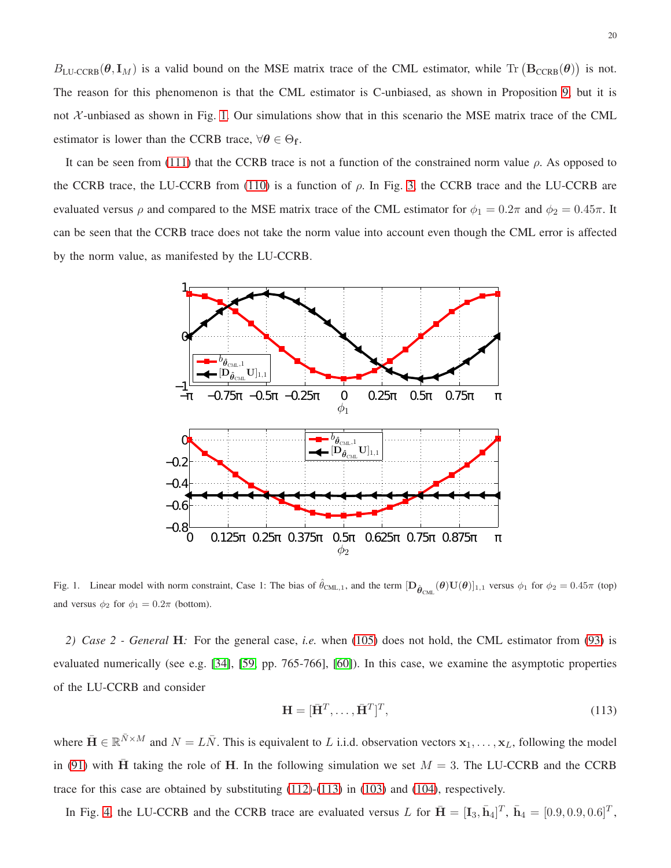$B_{\text{LU-CCRB}}(\theta, I_M)$  is a valid bound on the MSE matrix trace of the CML estimator, while Tr  $(B_{\text{CCRB}}(\theta))$  is not. The reason for this phenomenon is that the CML estimator is C-unbiased, as shown in Proposition [9,](#page-17-7) but it is not  $\mathcal{X}$ -unbiased as shown in Fig. [1.](#page-19-0) Our simulations show that in this scenario the MSE matrix trace of the CML estimator is lower than the CCRB trace,  $\forall \theta \in \Theta_f$ .

It can be seen from [\(111\)](#page-18-1) that the CCRB trace is not a function of the constrained norm value  $\rho$ . As opposed to the CCRB trace, the LU-CCRB from [\(110\)](#page-18-2) is a function of  $\rho$ . In Fig. [3,](#page-20-1) the CCRB trace and the LU-CCRB are evaluated versus  $\rho$  and compared to the MSE matrix trace of the CML estimator for  $\phi_1 = 0.2\pi$  and  $\phi_2 = 0.45\pi$ . It can be seen that the CCRB trace does not take the norm value into account even though the CML error is affected by the norm value, as manifested by the LU-CCRB.



<span id="page-19-0"></span>Fig. 1. Linear model with norm constraint, Case 1: The bias of  $\hat{\theta}_{\text{CML},1}$ , and the term  $[\mathbf{D}_{\hat{\theta}_{\text{CML}}}(\theta)\mathbf{U}(\theta)]_{1,1}$  versus  $\phi_1$  for  $\phi_2 = 0.45\pi$  (top) and versus  $\phi_2$  for  $\phi_1 = 0.2\pi$  (bottom).

*2) Case 2 - General* H*:* For the general case, *i.e.* when [\(105\)](#page-17-2) does not hold, the CML estimator from [\(93\)](#page-16-8) is evaluated numerically (see e.g. [\[34\]](#page-37-6), [\[59,](#page-38-13) pp. 765-766], [\[60\]](#page-38-14)). In this case, we examine the asymptotic properties of the LU-CCRB and consider

<span id="page-19-1"></span>
$$
\mathbf{H} = [\bar{\mathbf{H}}^T, \dots, \bar{\mathbf{H}}^T]^T, \tag{113}
$$

where  $\bar{\mathbf{H}} \in \mathbb{R}^{\bar{N} \times M}$  and  $N = L\bar{N}$ . This is equivalent to L i.i.d. observation vectors  $\mathbf{x}_1, \dots, \mathbf{x}_L$ , following the model in [\(91\)](#page-16-2) with  $\hat{H}$  taking the role of H. In the following simulation we set  $M = 3$ . The LU-CCRB and the CCRB trace for this case are obtained by substituting [\(112\)](#page-18-3)-[\(113\)](#page-19-1) in [\(103\)](#page-17-5) and [\(104\)](#page-17-6), respectively.

In Fig. [4,](#page-21-0) the LU-CCRB and the CCRB trace are evaluated versus L for  $\bar{H} = [\mathbf{I}_3, \bar{\mathbf{h}}_4]^T$ ,  $\bar{\mathbf{h}}_4 = [0.9, 0.9, 0.6]^T$ ,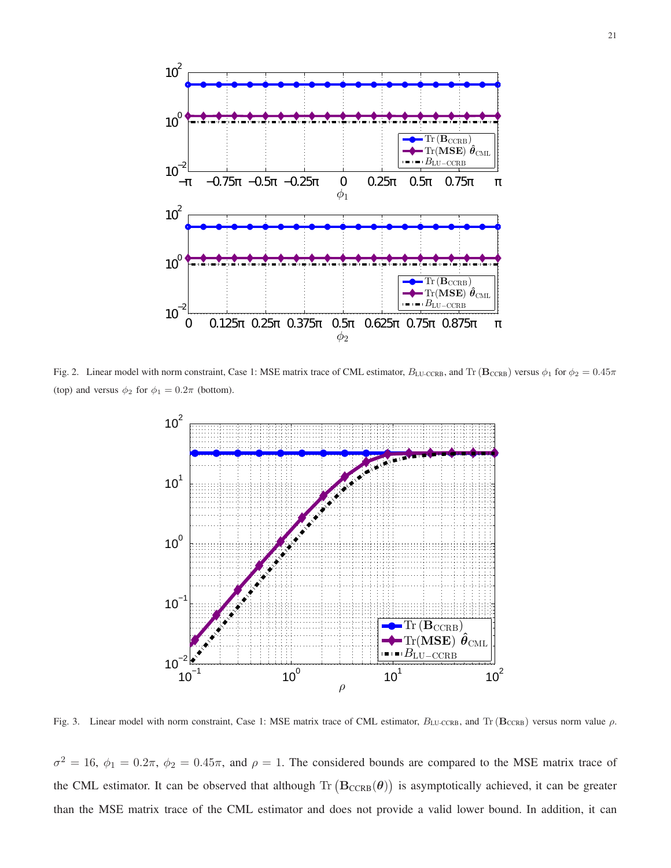

<span id="page-20-0"></span>Fig. 2. Linear model with norm constraint, Case 1: MSE matrix trace of CML estimator,  $B_{\text{LU-CCRB}}$ , and Tr ( $\text{B_{CCRB}}$ ) versus  $\phi_1$  for  $\phi_2 = 0.45\pi$ (top) and versus  $\phi_2$  for  $\phi_1 = 0.2\pi$  (bottom).



<span id="page-20-1"></span>Fig. 3. Linear model with norm constraint, Case 1: MSE matrix trace of CML estimator,  $B_{\text{LU-CCRB}}$ , and Tr ( $\text{B_{CCRB}}$ ) versus norm value  $\rho$ .

 $\sigma^2 = 16$ ,  $\phi_1 = 0.2\pi$ ,  $\phi_2 = 0.45\pi$ , and  $\rho = 1$ . The considered bounds are compared to the MSE matrix trace of the CML estimator. It can be observed that although  $\text{Tr} \left( \mathbf{B}_{\text{CCRB}}(\theta) \right)$  is asymptotically achieved, it can be greater than the MSE matrix trace of the CML estimator and does not provide a valid lower bound. In addition, it can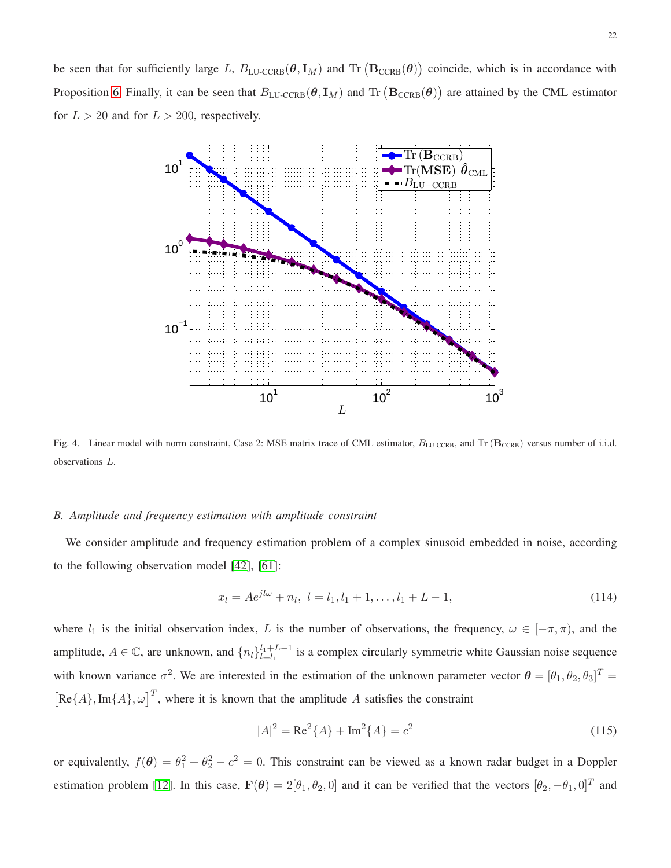be seen that for sufficiently large L,  $B_{\text{LU-CCRB}}(\theta, I_M)$  and Tr  $(B_{\text{CCRB}}(\theta))$  coincide, which is in accordance with Proposition [6.](#page-13-6) Finally, it can be seen that  $B_{\text{LU-CCRB}}(\theta, I_M)$  and Tr  $(B_{\text{CCRB}}(\theta))$  are attained by the CML estimator for  $L > 20$  and for  $L > 200$ , respectively.



<span id="page-21-0"></span>Fig. 4. Linear model with norm constraint, Case 2: MSE matrix trace of CML estimator,  $B_{\text{LU-CCRB}}$ , and Tr  $(B_{\text{CCRB}})$  versus number of i.i.d. observations L.

#### *B. Amplitude and frequency estimation with amplitude constraint*

We consider amplitude and frequency estimation problem of a complex sinusoid embedded in noise, according to the following observation model [\[42\]](#page-37-17), [\[61\]](#page-38-15):

$$
x_l = Ae^{jl\omega} + n_l, \ l = l_1, l_1 + 1, \dots, l_1 + L - 1,\tag{114}
$$

where  $l_1$  is the initial observation index, L is the number of observations, the frequency,  $\omega \in [-\pi, \pi)$ , and the amplitude,  $A \in \mathbb{C}$ , are unknown, and  $\{n_l\}_{l=l_1}^{l_1+L-1}$  $\frac{l_1 + L - 1}{l = l_1}$  is a complex circularly symmetric white Gaussian noise sequence with known variance  $\sigma^2$ . We are interested in the estimation of the unknown parameter vector  $\theta = [\theta_1, \theta_2, \theta_3]^T$  $[\text{Re}\{A\}, \text{Im}\{A\}, \omega]^T$ , where it is known that the amplitude A satisfies the constraint

<span id="page-21-1"></span>
$$
|A|^2 = \text{Re}^2\{A\} + \text{Im}^2\{A\} = c^2
$$
\n(115)

or equivalently,  $f(\theta) = \theta_1^2 + \theta_2^2 - c^2 = 0$ . This constraint can be viewed as a known radar budget in a Doppler estimation problem [\[12\]](#page-36-9). In this case,  $\mathbf{F}(\theta) = 2[\theta_1, \theta_2, 0]$  and it can be verified that the vectors  $[\theta_2, -\theta_1, 0]^T$  and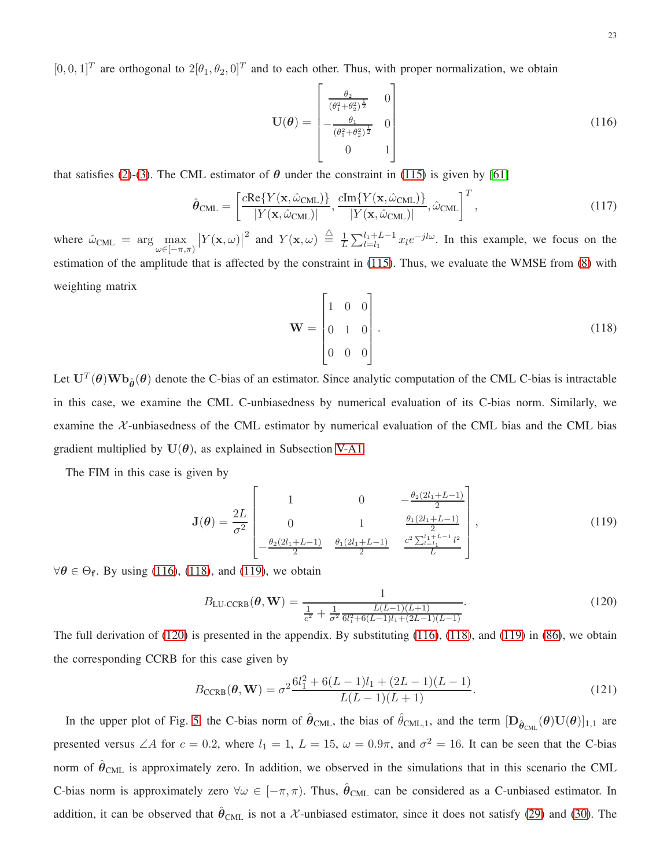$[0, 0, 1]^T$  are orthogonal to  $2[\theta_1, \theta_2, 0]^T$  and to each other. Thus, with proper normalization, we obtain

<span id="page-22-0"></span>
$$
\mathbf{U}(\theta) = \begin{bmatrix} \frac{\theta_2}{(\theta_1^2 + \theta_2^2)^{\frac{1}{2}}} & 0\\ -\frac{\theta_1}{(\theta_1^2 + \theta_2^2)^{\frac{1}{2}}} & 0\\ 0 & 1 \end{bmatrix}
$$
(116)

that satisfies [\(2\)](#page-3-5)-[\(3\)](#page-3-6). The CML estimator of  $\theta$  under the constraint in [\(115\)](#page-21-1) is given by [\[61\]](#page-38-15)

<span id="page-22-5"></span>
$$
\hat{\boldsymbol{\theta}}_{\text{CML}} = \left[\frac{c\text{Re}\{Y(\mathbf{x}, \hat{\omega}_{\text{CML}})\}}{|Y(\mathbf{x}, \hat{\omega}_{\text{CML}})|}, \frac{c\text{Im}\{Y(\mathbf{x}, \hat{\omega}_{\text{CML}})\}}{|Y(\mathbf{x}, \hat{\omega}_{\text{CML}})|}, \hat{\omega}_{\text{CML}}\right]^T, \tag{117}
$$

where  $\hat{\omega}_{\text{CML}} = \arg \max_{\omega \in [-\pi, \pi)}$  $|Y(\mathbf{x},\omega)|$ <sup>2</sup> and  $Y(\mathbf{x}, \omega) \triangleq \frac{1}{L} \sum_{l=l_1}^{l_1+L-1} x_l e^{-j\omega}$ . In this example, we focus on the estimation of the amplitude that is affected by the constraint in [\(115\)](#page-21-1). Thus, we evaluate the WMSE from [\(8\)](#page-4-2) with weighting matrix

<span id="page-22-1"></span>
$$
\mathbf{W} = \begin{bmatrix} 1 & 0 & 0 \\ 0 & 1 & 0 \\ 0 & 0 & 0 \end{bmatrix} .
$$
 (118)

Let  $U^T(\theta)Wb_{\hat{\theta}}(\theta)$  denote the C-bias of an estimator. Since analytic computation of the CML C-bias is intractable in this case, we examine the CML C-unbiasedness by numerical evaluation of its C-bias norm. Similarly, we examine the  $X$ -unbiasedness of the CML estimator by numerical evaluation of the CML bias and the CML bias gradient multiplied by  $U(\theta)$ , as explained in Subsection [V-A1.](#page-17-8)

The FIM in this case is given by

<span id="page-22-2"></span>
$$
\mathbf{J}(\theta) = \frac{2L}{\sigma^2} \begin{bmatrix} 1 & 0 & -\frac{\theta_2(2l_1 + L - 1)}{2} \\ 0 & 1 & \frac{\theta_1(2l_1 + L - 1)}{2} \\ -\frac{\theta_2(2l_1 + L - 1)}{2} & \frac{\theta_1(2l_1 + L - 1)}{2} & \frac{c^2 \sum_{l=1}^{l_1 + L - 1} l^2}{L} \end{bmatrix},
$$
(119)

 $\forall \theta \in \Theta_f$ . By using [\(116\)](#page-22-0), [\(118\)](#page-22-1), and [\(119\)](#page-22-2), we obtain

<span id="page-22-3"></span>
$$
B_{\text{LU-CCRB}}(\theta, \mathbf{W}) = \frac{1}{\frac{1}{c^2} + \frac{1}{\sigma^2} \frac{L(L-1)(L+1)}{6l_1^2 + 6(L-1)l_1 + (2L-1)(L-1)}}.
$$
(120)

The full derivation of [\(120\)](#page-22-3) is presented in the appendix. By substituting [\(116\)](#page-22-0), [\(118\)](#page-22-1), and [\(119\)](#page-22-2) in [\(86\)](#page-15-1), we obtain the corresponding CCRB for this case given by

<span id="page-22-4"></span>
$$
B_{\text{CCRB}}(\theta, \mathbf{W}) = \sigma^2 \frac{6l_1^2 + 6(L-1)l_1 + (2L-1)(L-1)}{L(L-1)(L+1)}.
$$
\n(121)

In the upper plot of Fig. [5,](#page-23-0) the C-bias norm of  $\hat{\theta}_{\text{CML}}$ , the bias of  $\hat{\theta}_{\text{CML},1}$ , and the term  $[\mathbf{D}_{\hat{\theta}_{\text{CML}}}(\theta)\mathbf{U}(\theta)]_{1,1}$  are presented versus ∠A for  $c = 0.2$ , where  $l_1 = 1$ ,  $L = 15$ ,  $\omega = 0.9\pi$ , and  $\sigma^2 = 16$ . It can be seen that the C-bias norm of  $\hat{\theta}_{\text{CML}}$  is approximately zero. In addition, we observed in the simulations that in this scenario the CML C-bias norm is approximately zero  $\forall \omega \in [-\pi, \pi)$ . Thus,  $\hat{\theta}_{CML}$  can be considered as a C-unbiased estimator. In addition, it can be observed that  $\hat{\theta}_{\text{CML}}$  is not a X-unbiased estimator, since it does not satisfy [\(29\)](#page-7-2) and [\(30\)](#page-7-3). The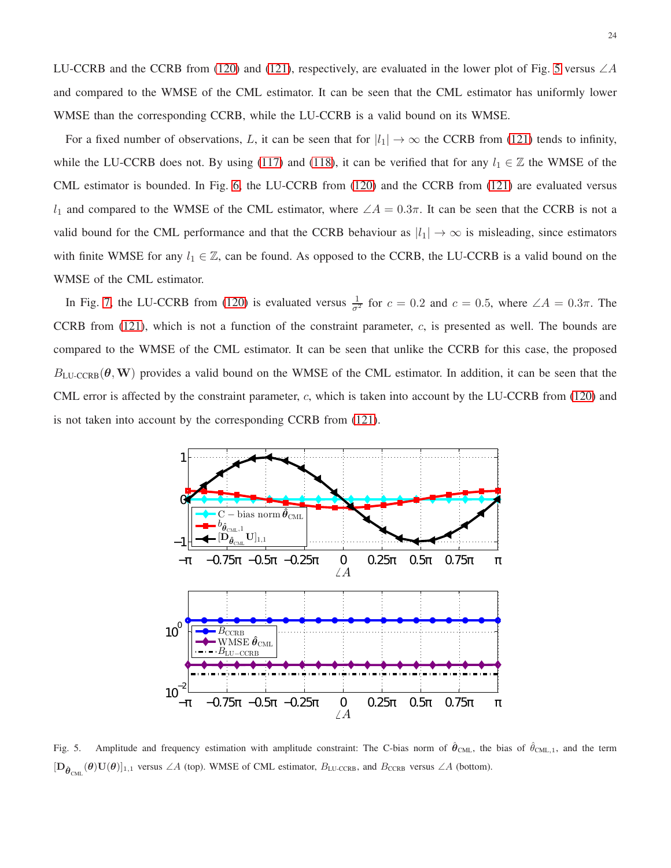LU-CCRB and the CCRB from [\(120\)](#page-22-3) and [\(121\)](#page-22-4), respectively, are evaluated in the lower plot of Fig. [5](#page-23-0) versus  $\angle A$ and compared to the WMSE of the CML estimator. It can be seen that the CML estimator has uniformly lower WMSE than the corresponding CCRB, while the LU-CCRB is a valid bound on its WMSE.

For a fixed number of observations, L, it can be seen that for  $|l_1| \to \infty$  the CCRB from [\(121\)](#page-22-4) tends to infinity, while the LU-CCRB does not. By using [\(117\)](#page-22-5) and [\(118\)](#page-22-1), it can be verified that for any  $l_1 \in \mathbb{Z}$  the WMSE of the CML estimator is bounded. In Fig. [6,](#page-24-1) the LU-CCRB from [\(120\)](#page-22-3) and the CCRB from [\(121\)](#page-22-4) are evaluated versus l<sub>1</sub> and compared to the WMSE of the CML estimator, where  $\angle A = 0.3\pi$ . It can be seen that the CCRB is not a valid bound for the CML performance and that the CCRB behaviour as  $|l_1| \to \infty$  is misleading, since estimators with finite WMSE for any  $l_1 \in \mathbb{Z}$ , can be found. As opposed to the CCRB, the LU-CCRB is a valid bound on the WMSE of the CML estimator.

In Fig. [7,](#page-24-2) the LU-CCRB from [\(120\)](#page-22-3) is evaluated versus  $\frac{1}{\sigma^2}$  for  $c = 0.2$  and  $c = 0.5$ , where  $\angle A = 0.3\pi$ . The CCRB from [\(121\)](#page-22-4), which is not a function of the constraint parameter, c, is presented as well. The bounds are compared to the WMSE of the CML estimator. It can be seen that unlike the CCRB for this case, the proposed  $B_{\text{LU-CCRB}}(\theta, \mathbf{W})$  provides a valid bound on the WMSE of the CML estimator. In addition, it can be seen that the CML error is affected by the constraint parameter,  $c$ , which is taken into account by the LU-CCRB from [\(120\)](#page-22-3) and is not taken into account by the corresponding CCRB from [\(121\)](#page-22-4).



<span id="page-23-0"></span>Fig. 5. Amplitude and frequency estimation with amplitude constraint: The C-bias norm of  $\hat{\theta}_{CML}$ , the bias of  $\hat{\theta}_{CML,1}$ , and the term  $[D_{\hat{\theta}_{\text{CML}}}(\theta)U(\theta)]_{1,1}$  versus ∠A (top). WMSE of CML estimator,  $B_{\text{LU-CCRB}}$ , and  $B_{\text{CCRB}}$  versus ∠A (bottom).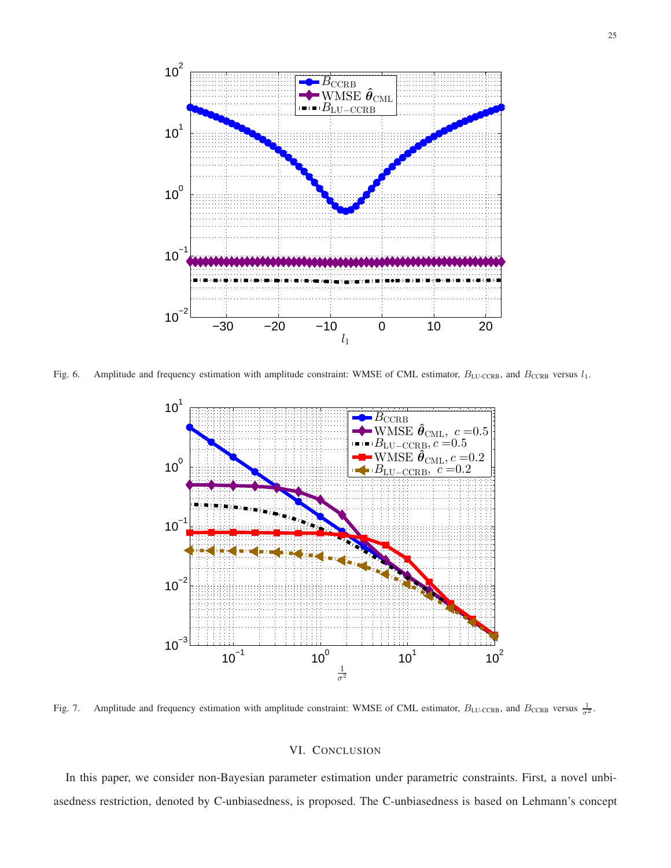

<span id="page-24-1"></span>Fig. 6. Amplitude and frequency estimation with amplitude constraint: WMSE of CML estimator,  $B_{\text{LU-CCRB}}$ , and  $B_{\text{CCRB}}$  versus  $l_1$ .



<span id="page-24-2"></span><span id="page-24-0"></span>Fig. 7. Amplitude and frequency estimation with amplitude constraint: WMSE of CML estimator,  $B_{\text{LU-CCRB}}$ , and  $B_{\text{CCRB}}$  versus  $\frac{1}{\sigma^2}$ .

# VI. CONCLUSION

In this paper, we consider non-Bayesian parameter estimation under parametric constraints. First, a novel unbiasedness restriction, denoted by C-unbiasedness, is proposed. The C-unbiasedness is based on Lehmann's concept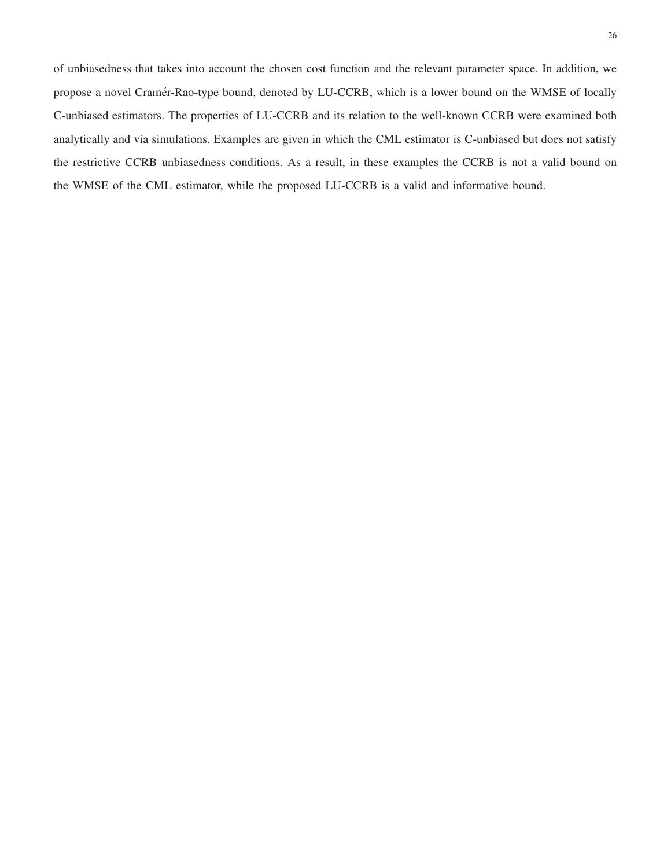of unbiasedness that takes into account the chosen cost function and the relevant parameter space. In addition, we propose a novel Cramér-Rao-type bound, denoted by LU-CCRB, which is a lower bound on the WMSE of locally C-unbiased estimators. The properties of LU-CCRB and its relation to the well-known CCRB were examined both analytically and via simulations. Examples are given in which the CML estimator is C-unbiased but does not satisfy the restrictive CCRB unbiasedness conditions. As a result, in these examples the CCRB is not a valid bound on the WMSE of the CML estimator, while the proposed LU-CCRB is a valid and informative bound.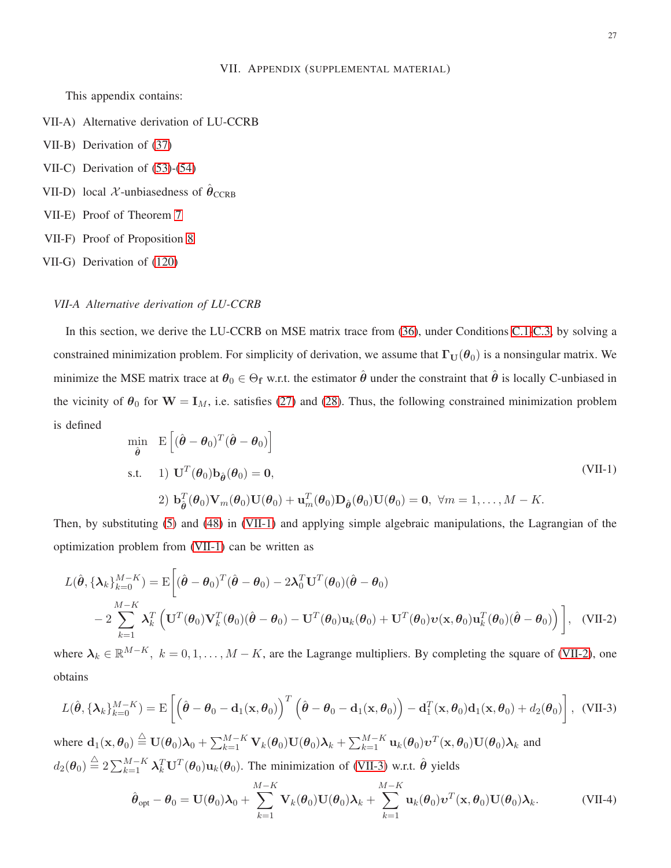#### VII. APPENDIX (SUPPLEMENTAL MATERIAL)

This appendix contains:

- VII-A) Alternative derivation of LU-CCRB
- VII-B) Derivation of [\(37\)](#page-8-10)
- VII-C) Derivation of [\(53\)](#page-10-7)-[\(54\)](#page-10-8)
- VII-D) local  $\mathcal{X}$ -unbiasedness of  $\hat{\theta}_{\text{CCRB}}$
- VII-E) Proof of Theorem [7](#page-14-2)
- VII-F) Proof of Proposition [8](#page-15-2)
- VII-G) Derivation of [\(120\)](#page-22-3)

#### *VII-A Alternative derivation of LU-CCRB*

In this section, we derive the LU-CCRB on MSE matrix trace from [\(36\)](#page-8-8), under Conditions [C.1-](#page-8-3)[C.3,](#page-8-11) by solving a constrained minimization problem. For simplicity of derivation, we assume that  $\Gamma_U(\theta_0)$  is a nonsingular matrix. We minimize the MSE matrix trace at  $\theta_0 \in \Theta_f$  w.r.t. the estimator  $\hat{\theta}$  under the constraint that  $\hat{\theta}$  is locally C-unbiased in the vicinity of  $\theta_0$  for  $W = I_M$ , i.e. satisfies [\(27\)](#page-7-4) and [\(28\)](#page-7-5). Thus, the following constrained minimization problem is defined

<span id="page-26-0"></span>
$$
\begin{aligned}\n\min_{\hat{\theta}} \quad & \mathbf{E} \left[ (\hat{\theta} - \theta_0)^T (\hat{\theta} - \theta_0) \right] \\
\text{s.t.} \quad & 1 \right) \mathbf{U}^T (\theta_0) \mathbf{b}_{\hat{\theta}} (\theta_0) = \mathbf{0}, \\
& 2 \right) \mathbf{b}_{\hat{\theta}}^T (\theta_0) \mathbf{V}_m (\theta_0) \mathbf{U} (\theta_0) + \mathbf{u}_m^T (\theta_0) \mathbf{D}_{\hat{\theta}} (\theta_0) \mathbf{U} (\theta_0) = \mathbf{0}, \ \forall m = 1, \dots, M - K.\n\end{aligned} \tag{VII-1}
$$

Then, by substituting [\(5\)](#page-3-2) and [\(48\)](#page-10-0) in [\(VII-1\)](#page-26-0) and applying simple algebraic manipulations, the Lagrangian of the optimization problem from [\(VII-1\)](#page-26-0) can be written as

$$
L(\hat{\boldsymbol{\theta}}, \{\boldsymbol{\lambda}_k\}_{k=0}^{M-K}) = \mathbf{E}\bigg[(\hat{\boldsymbol{\theta}} - \boldsymbol{\theta}_0)^T(\hat{\boldsymbol{\theta}} - \boldsymbol{\theta}_0) - 2\boldsymbol{\lambda}_0^T\mathbf{U}^T(\boldsymbol{\theta}_0)(\hat{\boldsymbol{\theta}} - \boldsymbol{\theta}_0) - 2\sum_{k=1}^{M-K} \boldsymbol{\lambda}_k^T (\mathbf{U}^T(\boldsymbol{\theta}_0)\mathbf{V}_k^T(\boldsymbol{\theta}_0)(\hat{\boldsymbol{\theta}} - \boldsymbol{\theta}_0) - \mathbf{U}^T(\boldsymbol{\theta}_0)\mathbf{u}_k(\boldsymbol{\theta}_0) + \mathbf{U}^T(\boldsymbol{\theta}_0)\mathbf{v}(\mathbf{x}, \boldsymbol{\theta}_0)\mathbf{u}_k^T(\boldsymbol{\theta}_0)(\hat{\boldsymbol{\theta}} - \boldsymbol{\theta}_0)\bigg)\bigg], \quad (\text{VII-2})
$$

where  $\lambda_k \in \mathbb{R}^{M-K}$ ,  $k = 0, 1, ..., M - K$ , are the Lagrange multipliers. By completing the square of [\(VII-2\)](#page-26-1), one obtains

<span id="page-26-2"></span>
$$
L(\hat{\boldsymbol{\theta}}, \{\boldsymbol{\lambda}_k\}_{k=0}^{M-K}) = \mathbf{E}\left[ \left( \hat{\boldsymbol{\theta}} - \boldsymbol{\theta}_0 - \mathbf{d}_1(\mathbf{x}, \boldsymbol{\theta}_0) \right)^T \left( \hat{\boldsymbol{\theta}} - \boldsymbol{\theta}_0 - \mathbf{d}_1(\mathbf{x}, \boldsymbol{\theta}_0) \right) - \mathbf{d}_1^T(\mathbf{x}, \boldsymbol{\theta}_0) \mathbf{d}_1(\mathbf{x}, \boldsymbol{\theta}_0) + d_2(\boldsymbol{\theta}_0) \right], \quad (\text{VII-3})
$$

where  $\mathbf{d}_1(\mathbf{x},\boldsymbol{\theta}_0) \stackrel{\triangle}{=} \mathbf{U}(\boldsymbol{\theta}_0)\boldsymbol{\lambda}_0 + \sum_{k=1}^{M-K}\mathbf{V}_k(\boldsymbol{\theta}_0)\mathbf{U}(\boldsymbol{\theta}_0)\boldsymbol{\lambda}_k + \sum_{k=1}^{M-K}\mathbf{u}_k(\boldsymbol{\theta}_0)\boldsymbol{v}^T(\mathbf{x},\boldsymbol{\theta}_0)\mathbf{U}(\boldsymbol{\theta}_0)\boldsymbol{\lambda}_k$  and  $d_2(\theta_0) \stackrel{\triangle}{=} 2 \sum_{k=1}^{M-K} \lambda_k^T \mathbf{U}^T(\theta_0) \mathbf{u}_k(\theta_0)$ . The minimization of [\(VII-3\)](#page-26-2) w.r.t.  $\hat{\theta}$  yields

<span id="page-26-3"></span><span id="page-26-1"></span>
$$
\hat{\boldsymbol{\theta}}_{\text{opt}} - \boldsymbol{\theta}_0 = \mathbf{U}(\boldsymbol{\theta}_0) \boldsymbol{\lambda}_0 + \sum_{k=1}^{M-K} \mathbf{V}_k(\boldsymbol{\theta}_0) \mathbf{U}(\boldsymbol{\theta}_0) \boldsymbol{\lambda}_k + \sum_{k=1}^{M-K} \mathbf{u}_k(\boldsymbol{\theta}_0) \boldsymbol{v}^T(\mathbf{x}, \boldsymbol{\theta}_0) \mathbf{U}(\boldsymbol{\theta}_0) \boldsymbol{\lambda}_k.
$$
 (VII-4)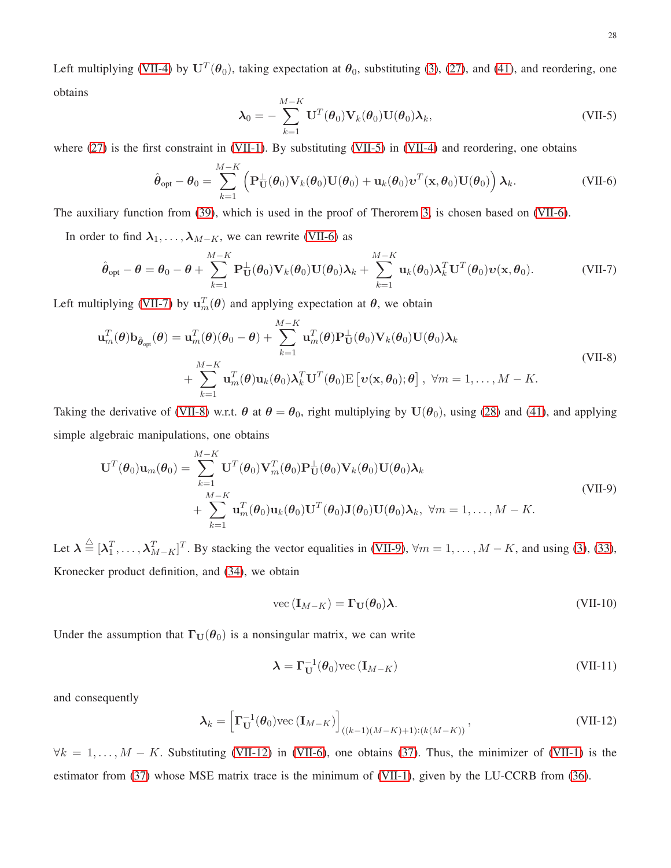Left multiplying [\(VII-4\)](#page-26-3) by  $U^T(\theta_0)$ , taking expectation at  $\theta_0$ , substituting [\(3\)](#page-3-6), [\(27\)](#page-7-4), and [\(41\)](#page-9-3), and reordering, one obtains

<span id="page-27-0"></span>
$$
\boldsymbol{\lambda}_0 = -\sum_{k=1}^{M-K} \mathbf{U}^T(\boldsymbol{\theta}_0) \mathbf{V}_k(\boldsymbol{\theta}_0) \mathbf{U}(\boldsymbol{\theta}_0) \boldsymbol{\lambda}_k, \tag{VII-5}
$$

where [\(27\)](#page-7-4) is the first constraint in [\(VII-1\)](#page-26-0). By substituting [\(VII-5\)](#page-27-0) in [\(VII-4\)](#page-26-3) and reordering, one obtains

<span id="page-27-1"></span>
$$
\hat{\boldsymbol{\theta}}_{opt} - \boldsymbol{\theta}_0 = \sum_{k=1}^{M-K} \left( \mathbf{P}_{\mathbf{U}}^{\perp}(\boldsymbol{\theta}_0) \mathbf{V}_k(\boldsymbol{\theta}_0) \mathbf{U}(\boldsymbol{\theta}_0) + \mathbf{u}_k(\boldsymbol{\theta}_0) \mathbf{v}^T(\mathbf{x}, \boldsymbol{\theta}_0) \mathbf{U}(\boldsymbol{\theta}_0) \right) \boldsymbol{\lambda}_k.
$$
 (VII-6)

The auxiliary function from [\(39\)](#page-9-1), which is used in the proof of Therorem [3,](#page-8-9) is chosen based on [\(VII-6\)](#page-27-1).

In order to find  $\lambda_1, \ldots, \lambda_{M-K}$ , we can rewrite [\(VII-6\)](#page-27-1) as

<span id="page-27-2"></span>
$$
\hat{\boldsymbol{\theta}}_{opt} - \boldsymbol{\theta} = \boldsymbol{\theta}_0 - \boldsymbol{\theta} + \sum_{k=1}^{M-K} \mathbf{P}_{\mathbf{U}}^{\perp}(\boldsymbol{\theta}_0) \mathbf{V}_k(\boldsymbol{\theta}_0) \mathbf{U}(\boldsymbol{\theta}_0) \boldsymbol{\lambda}_k + \sum_{k=1}^{M-K} \mathbf{u}_k(\boldsymbol{\theta}_0) \boldsymbol{\lambda}_k^T \mathbf{U}^T(\boldsymbol{\theta}_0) \boldsymbol{v}(\mathbf{x}, \boldsymbol{\theta}_0).
$$
 (VII-7)

<span id="page-27-3"></span>Left multiplying [\(VII-7\)](#page-27-2) by  $\mathbf{u}_m^T(\theta)$  and applying expectation at  $\theta$ , we obtain

$$
\mathbf{u}_{m}^{T}(\boldsymbol{\theta})\mathbf{b}_{\hat{\boldsymbol{\theta}}_{\text{opt}}}(\boldsymbol{\theta}) = \mathbf{u}_{m}^{T}(\boldsymbol{\theta})(\boldsymbol{\theta}_{0} - \boldsymbol{\theta}) + \sum_{k=1}^{M-K} \mathbf{u}_{m}^{T}(\boldsymbol{\theta})\mathbf{P}_{\mathbf{U}}^{\perp}(\boldsymbol{\theta}_{0})\mathbf{V}_{k}(\boldsymbol{\theta}_{0})\mathbf{U}(\boldsymbol{\theta}_{0})\boldsymbol{\lambda}_{k} + \sum_{k=1}^{M-K} \mathbf{u}_{m}^{T}(\boldsymbol{\theta})\mathbf{u}_{k}(\boldsymbol{\theta}_{0})\boldsymbol{\lambda}_{k}^{T}\mathbf{U}^{T}(\boldsymbol{\theta}_{0})\mathbf{E}\left[\mathbf{v}(\mathbf{x},\boldsymbol{\theta}_{0});\boldsymbol{\theta}\right], \ \forall m=1,\ldots,M-K.
$$
\n(VII-8)

Taking the derivative of [\(VII-8\)](#page-27-3) w.r.t.  $\theta$  at  $\theta = \theta_0$ , right multiplying by  $U(\theta_0)$ , using [\(28\)](#page-7-5) and [\(41\)](#page-9-3), and applying simple algebraic manipulations, one obtains

<span id="page-27-4"></span>
$$
\mathbf{U}^{T}(\boldsymbol{\theta}_{0})\mathbf{u}_{m}(\boldsymbol{\theta}_{0}) = \sum_{k=1}^{M-K} \mathbf{U}^{T}(\boldsymbol{\theta}_{0})\mathbf{V}_{m}^{T}(\boldsymbol{\theta}_{0})\mathbf{P}_{\mathbf{U}}^{\perp}(\boldsymbol{\theta}_{0})\mathbf{V}_{k}(\boldsymbol{\theta}_{0})\mathbf{U}(\boldsymbol{\theta}_{0})\boldsymbol{\lambda}_{k} + \sum_{k=1}^{M-K} \mathbf{u}_{m}^{T}(\boldsymbol{\theta}_{0})\mathbf{u}_{k}(\boldsymbol{\theta}_{0})\mathbf{U}^{T}(\boldsymbol{\theta}_{0})\mathbf{J}(\boldsymbol{\theta}_{0})\mathbf{U}(\boldsymbol{\theta}_{0})\boldsymbol{\lambda}_{k}, \ \forall m=1,\ldots,M-K.
$$
\n(VII-9)

Let  $\boldsymbol{\lambda} \triangleq [\lambda_1^T, \dots, \lambda_{M-K}^T]^T$ . By stacking the vector equalities in [\(VII-9\)](#page-27-4),  $\forall m = 1, \dots, M-K$ , and using [\(3\)](#page-3-6), [\(33\)](#page-8-5), Kronecker product definition, and [\(34\)](#page-8-7), we obtain

$$
\text{vec}\left(\mathbf{I}_{M-K}\right) = \Gamma_{\mathbf{U}}(\boldsymbol{\theta}_0) \boldsymbol{\lambda}.\tag{VII-10}
$$

Under the assumption that  $\Gamma_{\text{U}}(\theta_0)$  is a nonsingular matrix, we can write

$$
\lambda = \Gamma_{\mathbf{U}}^{-1}(\boldsymbol{\theta}_0) \text{vec} \left( \mathbf{I}_{M-K} \right) \tag{VII-11}
$$

and consequently

<span id="page-27-5"></span>
$$
\boldsymbol{\lambda}_k = \left[ \boldsymbol{\Gamma}_{\mathbf{U}}^{-1}(\boldsymbol{\theta}_0) \text{vec} \left( \mathbf{I}_{M-K} \right) \right]_{((k-1)(M-K)+1):(k(M-K))}, \tag{VII-12}
$$

 $\forall k = 1, \ldots, M - K$ . Substituting [\(VII-12\)](#page-27-5) in [\(VII-6\)](#page-27-1), one obtains [\(37\)](#page-8-10). Thus, the minimizer of [\(VII-1\)](#page-26-0) is the estimator from [\(37\)](#page-8-10) whose MSE matrix trace is the minimum of [\(VII-1\)](#page-26-0), given by the LU-CCRB from [\(36\)](#page-8-8).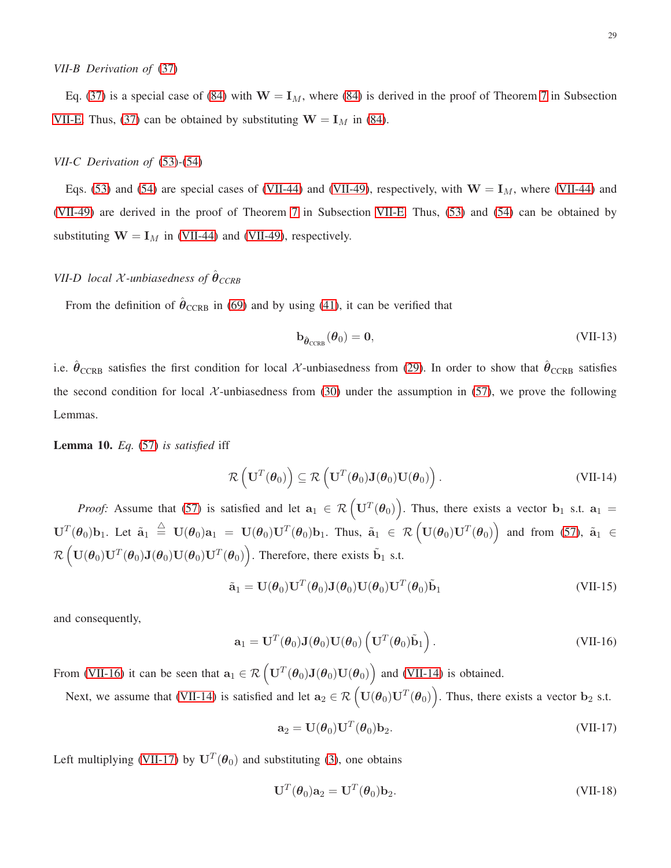#### *VII-B Derivation of* [\(37\)](#page-8-10)

Eq. [\(37\)](#page-8-10) is a special case of [\(84\)](#page-14-3) with  $W = I_M$ , where (84) is derived in the proof of Theorem [7](#page-14-2) in Subsection [VII-E.](#page-29-0) Thus, [\(37\)](#page-8-10) can be obtained by substituting  $W = I_M$  in [\(84\)](#page-14-3).

# *VII-C Derivation of* [\(53\)](#page-10-7)*-*[\(54\)](#page-10-8)

Eqs. [\(53\)](#page-10-7) and [\(54\)](#page-10-8) are special cases of [\(VII-44\)](#page-32-0) and [\(VII-49\)](#page-32-1), respectively, with  $W = I_M$ , where [\(VII-44\)](#page-32-0) and [\(VII-49\)](#page-32-1) are derived in the proof of Theorem [7](#page-14-2) in Subsection [VII-E.](#page-29-0) Thus, [\(53\)](#page-10-7) and [\(54\)](#page-10-8) can be obtained by substituting  $W = I_M$  in [\(VII-44\)](#page-32-0) and [\(VII-49\)](#page-32-1), respectively.

# <span id="page-28-4"></span>*VII-D local X-unbiasedness of*  $\hat{\theta}_{CCRB}$

From the definition of  $\hat{\theta}_{\text{CCRB}}$  in [\(69\)](#page-12-0) and by using [\(41\)](#page-9-3), it can be verified that

$$
\mathbf{b}_{\hat{\boldsymbol{\theta}}_{CCRB}}(\boldsymbol{\theta}_0) = \mathbf{0},\tag{VII-13}
$$

i.e.  $\hat{\theta}_{\text{CCRB}}$  satisfies the first condition for local X-unbiasedness from [\(29\)](#page-7-2). In order to show that  $\hat{\theta}_{\text{CCRB}}$  satisfies the second condition for local  $\mathcal{X}$ -unbiasedness from [\(30\)](#page-7-3) under the assumption in [\(57\)](#page-11-6), we prove the following Lemmas.

<span id="page-28-3"></span>Lemma 10. *Eq.* [\(57\)](#page-11-6) *is satisfied* iff

<span id="page-28-1"></span>
$$
\mathcal{R}\left(\mathbf{U}^T(\boldsymbol{\theta}_0)\right) \subseteq \mathcal{R}\left(\mathbf{U}^T(\boldsymbol{\theta}_0)\mathbf{J}(\boldsymbol{\theta}_0)\mathbf{U}(\boldsymbol{\theta}_0)\right).
$$
\n(VII-14)

*Proof:* Assume that [\(57\)](#page-11-6) is satisfied and let  $a_1 \in \mathcal{R}(\mathbf{U}^T(\theta_0))$ . Thus, there exists a vector  $\mathbf{b}_1$  s.t.  $\mathbf{a}_1 =$  $\mathbf{U}^T(\boldsymbol{\theta}_0)\mathbf{b}_1$ . Let  $\tilde{\mathbf{a}}_1 \stackrel{\triangle}{=} \mathbf{U}(\boldsymbol{\theta}_0)\mathbf{a}_1 = \mathbf{U}(\boldsymbol{\theta}_0)\mathbf{U}^T(\boldsymbol{\theta}_0)\mathbf{b}_1$ . Thus,  $\tilde{\mathbf{a}}_1 \in \mathcal{R}\left(\mathbf{U}(\boldsymbol{\theta}_0)\mathbf{U}^T(\boldsymbol{\theta}_0)\right)$  and from [\(57\)](#page-11-6),  $\tilde{\mathbf{a}}_1 \in$  $\mathcal{R}\left(\mathbf{U}(\pmb\theta_0)\mathbf{U}^{T}(\pmb\theta_0)\mathbf{J}(\pmb\theta_0)\mathbf{U}(\pmb\theta_0)\mathbf{U}^{T}(\pmb\theta_0)\right)$ . Therefore, there exists  $\tilde{\mathbf{b}}_1$  s.t.

$$
\tilde{\mathbf{a}}_1 = \mathbf{U}(\boldsymbol{\theta}_0) \mathbf{U}^T(\boldsymbol{\theta}_0) \mathbf{J}(\boldsymbol{\theta}_0) \mathbf{U}(\boldsymbol{\theta}_0) \mathbf{U}^T(\boldsymbol{\theta}_0) \tilde{\mathbf{b}}_1
$$
\n(VII-15)

and consequently,

<span id="page-28-0"></span>
$$
\mathbf{a}_1 = \mathbf{U}^T(\boldsymbol{\theta}_0) \mathbf{J}(\boldsymbol{\theta}_0) \mathbf{U}(\boldsymbol{\theta}_0) \left( \mathbf{U}^T(\boldsymbol{\theta}_0) \tilde{\mathbf{b}}_1 \right).
$$
 (VII-16)

From [\(VII-16\)](#page-28-0) it can be seen that  $a_1 \in \mathcal{R} \left( \mathbf{U}^T(\theta_0) \mathbf{J}(\theta_0) \mathbf{U}(\theta_0) \right)$  and [\(VII-14\)](#page-28-1) is obtained.

Next, we assume that [\(VII-14\)](#page-28-1) is satisfied and let  $a_2 \in \mathcal{R} \left( \mathbf{U}(\theta_0) \mathbf{U}^T(\theta_0) \right)$ . Thus, there exists a vector  $b_2$  s.t.

<span id="page-28-2"></span>
$$
\mathbf{a}_2 = \mathbf{U}(\boldsymbol{\theta}_0) \mathbf{U}^T(\boldsymbol{\theta}_0) \mathbf{b}_2.
$$
 (VII-17)

Left multiplying [\(VII-17\)](#page-28-2) by  $\mathbf{U}^T(\boldsymbol{\theta}_0)$  and substituting [\(3\)](#page-3-6), one obtains

$$
\mathbf{U}^T(\boldsymbol{\theta}_0)\mathbf{a}_2 = \mathbf{U}^T(\boldsymbol{\theta}_0)\mathbf{b}_2.
$$
 (VII-18)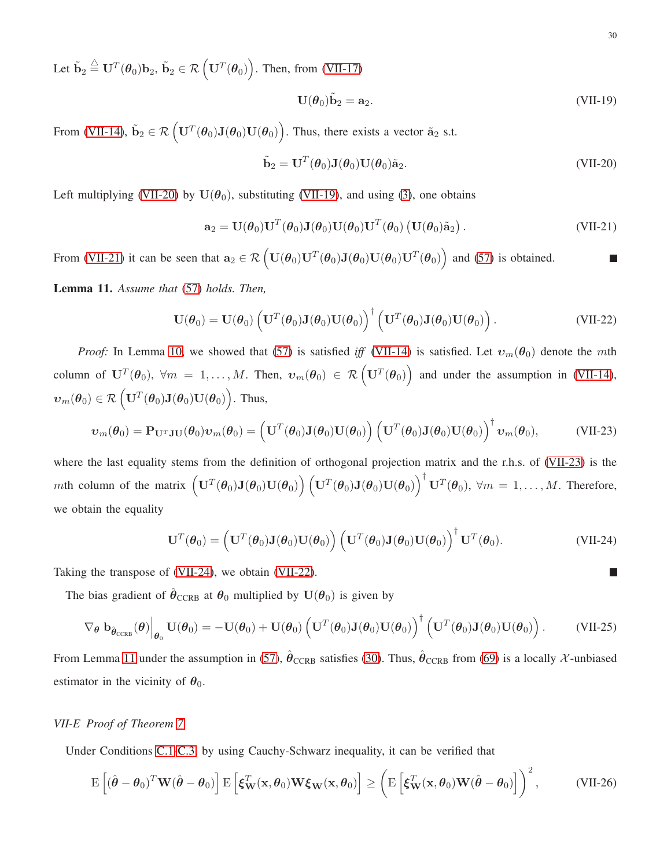Let  $\tilde{\mathbf{b}}_2$  $\stackrel{\triangle}{=} \mathbf{U}^T(\boldsymbol{\theta}_0) \mathbf{b}_2, \, \tilde{\mathbf{b}}_2 \in \mathcal{R} \left( \mathbf{U}^T(\boldsymbol{\theta}_0) \right)$ . Then, from [\(VII-17\)](#page-28-2)

<span id="page-29-2"></span>
$$
\mathbf{U}(\boldsymbol{\theta}_0)\tilde{\mathbf{b}}_2 = \mathbf{a}_2. \tag{VII-19}
$$

From [\(VII-14\)](#page-28-1),  $\tilde{\mathbf{b}}_2 \in \mathcal{R} \left( \mathbf{U}^T(\boldsymbol{\theta}_0) \mathbf{J}(\boldsymbol{\theta}_0) \mathbf{U}(\boldsymbol{\theta}_0) \right)$ . Thus, there exists a vector  $\tilde{\mathbf{a}}_2$  s.t.

<span id="page-29-1"></span>
$$
\tilde{\mathbf{b}}_2 = \mathbf{U}^T(\boldsymbol{\theta}_0) \mathbf{J}(\boldsymbol{\theta}_0) \mathbf{U}(\boldsymbol{\theta}_0) \tilde{\mathbf{a}}_2.
$$
\n(VII-20)

Left multiplying [\(VII-20\)](#page-29-1) by  $U(\theta_0)$ , substituting [\(VII-19\)](#page-29-2), and using [\(3\)](#page-3-6), one obtains

<span id="page-29-3"></span>
$$
\mathbf{a}_2 = \mathbf{U}(\boldsymbol{\theta}_0) \mathbf{U}^T(\boldsymbol{\theta}_0) \mathbf{J}(\boldsymbol{\theta}_0) \mathbf{U}(\boldsymbol{\theta}_0) \mathbf{U}^T(\boldsymbol{\theta}_0) (\mathbf{U}(\boldsymbol{\theta}_0) \tilde{\mathbf{a}}_2).
$$
 (VII-21)

From [\(VII-21\)](#page-29-3) it can be seen that  $\mathbf{a}_2 \in \mathcal{R} \left( \mathbf{U}(\theta_0) \mathbf{U}^T(\theta_0) \mathbf{J}(\theta_0) \mathbf{U}(\theta_0) \mathbf{U}^T(\theta_0) \right)$  and [\(57\)](#page-11-6) is obtained. П

<span id="page-29-7"></span>Lemma 11. *Assume that* [\(57\)](#page-11-6) *holds. Then,*

<span id="page-29-6"></span>
$$
\mathbf{U}(\boldsymbol{\theta}_0) = \mathbf{U}(\boldsymbol{\theta}_0) \left( \mathbf{U}^T(\boldsymbol{\theta}_0) \mathbf{J}(\boldsymbol{\theta}_0) \mathbf{U}(\boldsymbol{\theta}_0) \right)^{\dagger} \left( \mathbf{U}^T(\boldsymbol{\theta}_0) \mathbf{J}(\boldsymbol{\theta}_0) \mathbf{U}(\boldsymbol{\theta}_0) \right).
$$
 (VII-22)

*Proof:* In Lemma [10,](#page-28-3) we showed that [\(57\)](#page-11-6) is satisfied *iff* [\(VII-14\)](#page-28-1) is satisfied. Let  $v_m(\theta_0)$  denote the mth column of  $\mathbf{U}^T(\theta_0), \ \forall m = 1,\ldots,M.$  Then,  $\boldsymbol{v}_m(\theta_0) \in \mathcal{R}\left(\mathbf{U}^T(\theta_0)\right)$  and under the assumption in [\(VII-14\)](#page-28-1),  $\boldsymbol{v}_m(\boldsymbol{\theta}_0)\in \boldsymbol{\mathcal{R}}\left(\mathbf{U}^{T}(\boldsymbol{\theta}_0)\mathbf{J}(\boldsymbol{\theta}_0)\mathbf{U}(\boldsymbol{\theta}_0)\right)$  . Thus,

<span id="page-29-4"></span>
$$
\boldsymbol{v}_{m}(\boldsymbol{\theta}_{0}) = \mathbf{P}_{\mathbf{U}^{T}\mathbf{J}\mathbf{U}}(\boldsymbol{\theta}_{0})\boldsymbol{v}_{m}(\boldsymbol{\theta}_{0}) = \left(\mathbf{U}^{T}(\boldsymbol{\theta}_{0})\mathbf{J}(\boldsymbol{\theta}_{0})\mathbf{U}(\boldsymbol{\theta}_{0})\right)\left(\mathbf{U}^{T}(\boldsymbol{\theta}_{0})\mathbf{J}(\boldsymbol{\theta}_{0})\mathbf{U}(\boldsymbol{\theta}_{0})\right)^{\dagger}\boldsymbol{v}_{m}(\boldsymbol{\theta}_{0}), \qquad (\text{VII-23})
$$

where the last equality stems from the definition of orthogonal projection matrix and the r.h.s. of [\(VII-23\)](#page-29-4) is the mth column of the matrix  $\left(\mathbf{U}^T(\boldsymbol{\theta}_0)\mathbf{J}(\boldsymbol{\theta}_0)\mathbf{U}(\boldsymbol{\theta}_0)\right)\left(\mathbf{U}^T(\boldsymbol{\theta}_0)\mathbf{J}(\boldsymbol{\theta}_0)\mathbf{U}(\boldsymbol{\theta}_0)\right)^\dagger\mathbf{U}^T(\boldsymbol{\theta}_0)$ ,  $\forall m=1,\ldots,M$ . Therefore, we obtain the equality

<span id="page-29-5"></span>
$$
\mathbf{U}^{T}(\boldsymbol{\theta}_{0}) = \left(\mathbf{U}^{T}(\boldsymbol{\theta}_{0})\mathbf{J}(\boldsymbol{\theta}_{0})\mathbf{U}(\boldsymbol{\theta}_{0})\right) \left(\mathbf{U}^{T}(\boldsymbol{\theta}_{0})\mathbf{J}(\boldsymbol{\theta}_{0})\mathbf{U}(\boldsymbol{\theta}_{0})\right)^{\dagger} \mathbf{U}^{T}(\boldsymbol{\theta}_{0}).
$$
\n(VII-24)

Taking the transpose of [\(VII-24\)](#page-29-5), we obtain [\(VII-22\)](#page-29-6).

The bias gradient of  $\hat{\theta}_{\text{CCRB}}$  at  $\theta_0$  multiplied by  $\mathbf{U}(\theta_0)$  is given by

$$
\nabla_{\theta} \left. \mathbf{b}_{\hat{\theta}_{CCRB}}(\theta) \right|_{\theta_0} \mathbf{U}(\theta_0) = -\mathbf{U}(\theta_0) + \mathbf{U}(\theta_0) \left( \mathbf{U}^T(\theta_0) \mathbf{J}(\theta_0) \mathbf{U}(\theta_0) \right)^{\dagger} \left( \mathbf{U}^T(\theta_0) \mathbf{J}(\theta_0) \mathbf{U}(\theta_0) \right). \tag{VII-25}
$$

From Lemma [11](#page-29-7) under the assumption in [\(57\)](#page-11-6),  $\hat{\theta}_{\text{CCRB}}$  satisfies [\(30\)](#page-7-3). Thus,  $\hat{\theta}_{\text{CCRB}}$  from [\(69\)](#page-12-0) is a locally X-unbiased estimator in the vicinity of  $\theta_0$ .

## <span id="page-29-0"></span>*VII-E Proof of Theorem [7](#page-14-2)*

Under Conditions [C.1-](#page-8-3)[C.3,](#page-8-11) by using Cauchy-Schwarz inequality, it can be verified that

<span id="page-29-8"></span>
$$
\mathbf{E}\left[ (\hat{\boldsymbol{\theta}} - \boldsymbol{\theta}_0)^T \mathbf{W} (\hat{\boldsymbol{\theta}} - \boldsymbol{\theta}_0) \right] \mathbf{E}\left[ \boldsymbol{\xi}_{\mathbf{W}}^T(\mathbf{x}, \boldsymbol{\theta}_0) \mathbf{W} \boldsymbol{\xi}_{\mathbf{W}}(\mathbf{x}, \boldsymbol{\theta}_0) \right] \ge \left( \mathbf{E}\left[ \boldsymbol{\xi}_{\mathbf{W}}^T(\mathbf{x}, \boldsymbol{\theta}_0) \mathbf{W} (\hat{\boldsymbol{\theta}} - \boldsymbol{\theta}_0) \right] \right)^2, \quad \text{(VII-26)}
$$

П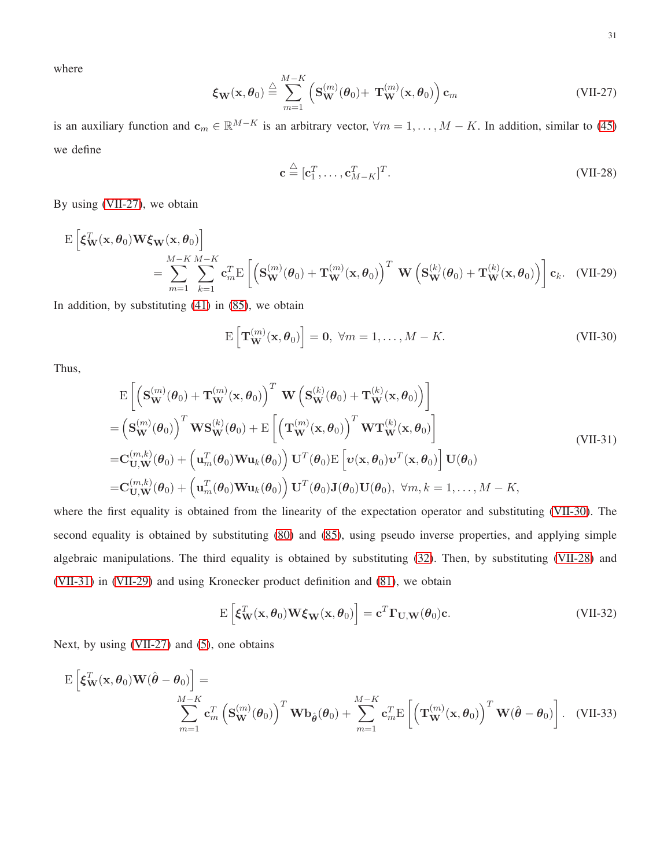where

<span id="page-30-0"></span>
$$
\boldsymbol{\xi}_{\mathbf{W}}(\mathbf{x},\boldsymbol{\theta}_{0}) \stackrel{\triangle}{=} \sum_{m=1}^{M-K} \left( \mathbf{S}_{\mathbf{W}}^{(m)}(\boldsymbol{\theta}_{0}) + \mathbf{T}_{\mathbf{W}}^{(m)}(\mathbf{x},\boldsymbol{\theta}_{0}) \right) \mathbf{c}_{m}
$$
 (VII-27)

is an auxiliary function and  $\mathbf{c}_m \in \mathbb{R}^{M-K}$  is an arbitrary vector,  $\forall m = 1, \dots, M - K$ . In addition, similar to [\(45\)](#page-9-7) we define

<span id="page-30-4"></span><span id="page-30-2"></span>
$$
\mathbf{c} \stackrel{\triangle}{=} [\mathbf{c}_1^T, \dots, \mathbf{c}_{M-K}^T]^T. \tag{VII-28}
$$

By using [\(VII-27\)](#page-30-0), we obtain

$$
\mathbf{E}\left[\xi_{\mathbf{W}}^{T}(\mathbf{x},\boldsymbol{\theta}_{0})\mathbf{W}\xi_{\mathbf{W}}(\mathbf{x},\boldsymbol{\theta}_{0})\right] = \sum_{m=1}^{M-K} \sum_{k=1}^{M-K} \mathbf{c}_{m}^{T} \mathbf{E}\left[\left(\mathbf{S}_{\mathbf{W}}^{(m)}(\boldsymbol{\theta}_{0}) + \mathbf{T}_{\mathbf{W}}^{(m)}(\mathbf{x},\boldsymbol{\theta}_{0})\right)^{T} \mathbf{W}\left(\mathbf{S}_{\mathbf{W}}^{(k)}(\boldsymbol{\theta}_{0}) + \mathbf{T}_{\mathbf{W}}^{(k)}(\mathbf{x},\boldsymbol{\theta}_{0})\right)\right] \mathbf{c}_{k}.
$$
 (VII-29)

In addition, by substituting  $(41)$  in  $(85)$ , we obtain

<span id="page-30-1"></span>
$$
\mathbf{E}\left[\mathbf{T}_{\mathbf{W}}^{(m)}(\mathbf{x},\boldsymbol{\theta}_{0})\right]=\mathbf{0},\ \forall m=1,\ldots,M-K.
$$
 (VII-30)

<span id="page-30-3"></span>Thus,

$$
\begin{split}\n& \mathbf{E}\left[\left(\mathbf{S}_{\mathbf{W}}^{(m)}(\boldsymbol{\theta}_{0})+\mathbf{T}_{\mathbf{W}}^{(m)}(\mathbf{x},\boldsymbol{\theta}_{0})\right)^{T} \mathbf{W}\left(\mathbf{S}_{\mathbf{W}}^{(k)}(\boldsymbol{\theta}_{0})+\mathbf{T}_{\mathbf{W}}^{(k)}(\mathbf{x},\boldsymbol{\theta}_{0})\right)\right] \\
& =\left(\mathbf{S}_{\mathbf{W}}^{(m)}(\boldsymbol{\theta}_{0})\right)^{T} \mathbf{W}\mathbf{S}_{\mathbf{W}}^{(k)}(\boldsymbol{\theta}_{0})+\mathbf{E}\left[\left(\mathbf{T}_{\mathbf{W}}^{(m)}(\mathbf{x},\boldsymbol{\theta}_{0})\right)^{T} \mathbf{W}\mathbf{T}_{\mathbf{W}}^{(k)}(\mathbf{x},\boldsymbol{\theta}_{0})\right] \\
& =\mathbf{C}_{\mathbf{U},\mathbf{W}}^{(m,k)}(\boldsymbol{\theta}_{0})+\left(\mathbf{u}_{m}^{T}(\boldsymbol{\theta}_{0})\mathbf{W}\mathbf{u}_{k}(\boldsymbol{\theta}_{0})\right)\mathbf{U}^{T}(\boldsymbol{\theta}_{0})\mathbf{E}\left[\mathbf{v}(\mathbf{x},\boldsymbol{\theta}_{0})\mathbf{v}^{T}(\mathbf{x},\boldsymbol{\theta}_{0})\right]\mathbf{U}(\boldsymbol{\theta}_{0}) \\
& =\mathbf{C}_{\mathbf{U},\mathbf{W}}^{(m,k)}(\boldsymbol{\theta}_{0})+\left(\mathbf{u}_{m}^{T}(\boldsymbol{\theta}_{0})\mathbf{W}\mathbf{u}_{k}(\boldsymbol{\theta}_{0})\right)\mathbf{U}^{T}(\boldsymbol{\theta}_{0})\mathbf{J}(\boldsymbol{\theta}_{0})\mathbf{U}(\boldsymbol{\theta}_{0}), \ \forall m,k=1,\ldots,M-K,\n\end{split}
$$
\n(VII-31)

where the first equality is obtained from the linearity of the expectation operator and substituting [\(VII-30\)](#page-30-1). The second equality is obtained by substituting [\(80\)](#page-14-4) and [\(85\)](#page-15-3), using pseudo inverse properties, and applying simple algebraic manipulations. The third equality is obtained by substituting [\(32\)](#page-8-6). Then, by substituting [\(VII-28\)](#page-30-2) and [\(VII-31\)](#page-30-3) in [\(VII-29\)](#page-30-4) and using Kronecker product definition and [\(81\)](#page-14-5), we obtain

<span id="page-30-6"></span><span id="page-30-5"></span>
$$
\mathbf{E}\left[\boldsymbol{\xi}_{\mathbf{W}}^{T}(\mathbf{x},\boldsymbol{\theta}_{0})\mathbf{W}\boldsymbol{\xi}_{\mathbf{W}}(\mathbf{x},\boldsymbol{\theta}_{0})\right]=\mathbf{c}^{T}\boldsymbol{\Gamma}_{\mathbf{U},\mathbf{W}}(\boldsymbol{\theta}_{0})\mathbf{c}.
$$
 (VII-32)

Next, by using [\(VII-27\)](#page-30-0) and [\(5\)](#page-3-2), one obtains

$$
\mathbf{E}\left[\xi_{\mathbf{W}}^{T}(\mathbf{x},\boldsymbol{\theta}_{0})\mathbf{W}(\hat{\boldsymbol{\theta}}-\boldsymbol{\theta}_{0})\right] = \sum_{\substack{M-K\\m=1}}^{M-K} \mathbf{c}_{m}^{T} \left(\mathbf{S}_{\mathbf{W}}^{(m)}(\boldsymbol{\theta}_{0})\right)^{T} \mathbf{W} \mathbf{b}_{\hat{\boldsymbol{\theta}}}(\boldsymbol{\theta}_{0}) + \sum_{m=1}^{M-K} \mathbf{c}_{m}^{T} \mathbf{E}\left[\left(\mathbf{T}_{\mathbf{W}}^{(m)}(\mathbf{x},\boldsymbol{\theta}_{0})\right)^{T} \mathbf{W}(\hat{\boldsymbol{\theta}}-\boldsymbol{\theta}_{0})\right].
$$
 (VII-33)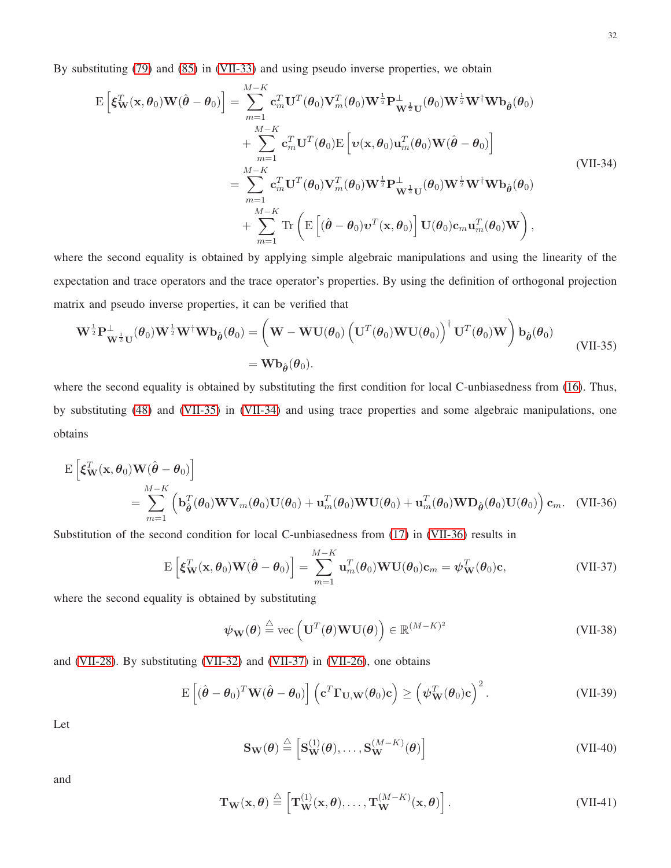By substituting [\(79\)](#page-14-6) and [\(85\)](#page-15-3) in [\(VII-33\)](#page-30-5) and using pseudo inverse properties, we obtain

<span id="page-31-1"></span>
$$
\mathbf{E}\left[\xi_{\mathbf{W}}^{T}(\mathbf{x},\theta_{0})\mathbf{W}(\hat{\theta}-\theta_{0})\right] = \sum_{m=1}^{M-K} \mathbf{c}_{m}^{T} \mathbf{U}^{T}(\theta_{0}) \mathbf{V}_{m}^{T}(\theta_{0}) \mathbf{W}^{\frac{1}{2}} \mathbf{P}_{\mathbf{W}^{\frac{1}{2}} \mathbf{U}}^{\perp}(\theta_{0}) \mathbf{W}^{\frac{1}{2}} \mathbf{W}^{\dagger} \mathbf{W} \mathbf{b}_{\hat{\theta}}(\theta_{0}) \n+ \sum_{m=1}^{M-K} \mathbf{c}_{m}^{T} \mathbf{U}^{T}(\theta_{0}) \mathbf{E}\left[\mathbf{v}(\mathbf{x},\theta_{0})\mathbf{u}_{m}^{T}(\theta_{0})\mathbf{W}(\hat{\theta}-\theta_{0})\right] \n= \sum_{m=1}^{M-K} \mathbf{c}_{m}^{T} \mathbf{U}^{T}(\theta_{0}) \mathbf{V}_{m}^{T}(\theta_{0}) \mathbf{W}^{\frac{1}{2}} \mathbf{P}_{\mathbf{W}^{\frac{1}{2}} \mathbf{U}}^{\perp}(\theta_{0}) \mathbf{W}^{\frac{1}{2}} \mathbf{W}^{\dagger} \mathbf{W} \mathbf{b}_{\hat{\theta}}(\theta_{0}) \n+ \sum_{m=1}^{M-K} \text{Tr}\left(\mathbf{E}\left[(\hat{\theta}-\theta_{0})\mathbf{v}^{T}(\mathbf{x},\theta_{0})\right] \mathbf{U}(\theta_{0}) \mathbf{c}_{m} \mathbf{u}_{m}^{T}(\theta_{0}) \mathbf{W}\right),
$$
\n(VII-34)

where the second equality is obtained by applying simple algebraic manipulations and using the linearity of the expectation and trace operators and the trace operator's properties. By using the definition of orthogonal projection matrix and pseudo inverse properties, it can be verified that

<span id="page-31-0"></span>
$$
\mathbf{W}^{\frac{1}{2}} \mathbf{P}_{\mathbf{W}^{\frac{1}{2}} \mathbf{U}}^{\perp}(\theta_0) \mathbf{W}^{\frac{1}{2}} \mathbf{W}^{\dagger} \mathbf{W} \mathbf{b}_{\hat{\theta}}(\theta_0) = \left(\mathbf{W} - \mathbf{W} \mathbf{U}(\theta_0) \left(\mathbf{U}^T(\theta_0) \mathbf{W} \mathbf{U}(\theta_0)\right)^{\dagger} \mathbf{U}^T(\theta_0) \mathbf{W}\right) \mathbf{b}_{\hat{\theta}}(\theta_0)
$$
\n
$$
= \mathbf{W} \mathbf{b}_{\hat{\theta}}(\theta_0).
$$
\n(VII-35)

where the second equality is obtained by substituting the first condition for local C-unbiasedness from [\(16\)](#page-6-5). Thus, by substituting [\(48\)](#page-10-0) and [\(VII-35\)](#page-31-0) in [\(VII-34\)](#page-31-1) and using trace properties and some algebraic manipulations, one obtains

$$
\mathbf{E}\left[\xi_{\mathbf{W}}^{T}(\mathbf{x},\boldsymbol{\theta}_{0})\mathbf{W}(\hat{\boldsymbol{\theta}}-\boldsymbol{\theta}_{0})\right]
$$
\n
$$
=\sum_{m=1}^{M-K}\left(\mathbf{b}_{\hat{\boldsymbol{\theta}}}^{T}(\boldsymbol{\theta}_{0})\mathbf{W}\mathbf{V}_{m}(\boldsymbol{\theta}_{0})\mathbf{U}(\boldsymbol{\theta}_{0})+\mathbf{u}_{m}^{T}(\boldsymbol{\theta}_{0})\mathbf{W}\mathbf{U}(\boldsymbol{\theta}_{0})+\mathbf{u}_{m}^{T}(\boldsymbol{\theta}_{0})\mathbf{W}\mathbf{D}_{\hat{\boldsymbol{\theta}}}(\boldsymbol{\theta}_{0})\mathbf{U}(\boldsymbol{\theta}_{0})\right)\mathbf{c}_{m}.
$$
\n(VII-36)

Substitution of the second condition for local C-unbiasedness from [\(17\)](#page-6-7) in [\(VII-36\)](#page-31-2) results in

<span id="page-31-3"></span>
$$
\mathbf{E}\left[\boldsymbol{\xi}_{\mathbf{W}}^{T}(\mathbf{x},\boldsymbol{\theta}_{0})\mathbf{W}(\hat{\boldsymbol{\theta}}-\boldsymbol{\theta}_{0})\right]=\sum_{m=1}^{M-K}\mathbf{u}_{m}^{T}(\boldsymbol{\theta}_{0})\mathbf{W}\mathbf{U}(\boldsymbol{\theta}_{0})\mathbf{c}_{m}=\boldsymbol{\psi}_{\mathbf{W}}^{T}(\boldsymbol{\theta}_{0})\mathbf{c},
$$
\n(VII-37)

where the second equality is obtained by substituting

<span id="page-31-7"></span><span id="page-31-2"></span>
$$
\psi_{\mathbf{W}}(\boldsymbol{\theta}) \stackrel{\triangle}{=} \text{vec}\left(\mathbf{U}^T(\boldsymbol{\theta})\mathbf{W}\mathbf{U}(\boldsymbol{\theta})\right) \in \mathbb{R}^{(M-K)^2}
$$
\n(VII-38)

and [\(VII-28\)](#page-30-2). By substituting [\(VII-32\)](#page-30-6) and [\(VII-37\)](#page-31-3) in [\(VII-26\)](#page-29-8), one obtains

<span id="page-31-6"></span>
$$
\mathbf{E}\left[ (\hat{\boldsymbol{\theta}} - \boldsymbol{\theta}_0)^T \mathbf{W} (\hat{\boldsymbol{\theta}} - \boldsymbol{\theta}_0) \right] \left( \mathbf{c}^T \mathbf{\Gamma}_{\mathbf{U}, \mathbf{W}} (\boldsymbol{\theta}_0) \mathbf{c} \right) \geq \left( \boldsymbol{\psi}_{\mathbf{W}}^T (\boldsymbol{\theta}_0) \mathbf{c} \right)^2.
$$
 (VII-39)

Let

<span id="page-31-4"></span>
$$
\mathbf{S}_{\mathbf{W}}(\boldsymbol{\theta}) \stackrel{\triangle}{=} \left[ \mathbf{S}_{\mathbf{W}}^{(1)}(\boldsymbol{\theta}), \dots, \mathbf{S}_{\mathbf{W}}^{(M-K)}(\boldsymbol{\theta}) \right]
$$
(VII-40)

and

<span id="page-31-5"></span>
$$
\mathbf{T}_{\mathbf{W}}(\mathbf{x},\boldsymbol{\theta}) \stackrel{\triangle}{=} \left[ \mathbf{T}_{\mathbf{W}}^{(1)}(\mathbf{x},\boldsymbol{\theta}),\ldots,\mathbf{T}_{\mathbf{W}}^{(M-K)}(\mathbf{x},\boldsymbol{\theta}) \right]. \tag{VII-41}
$$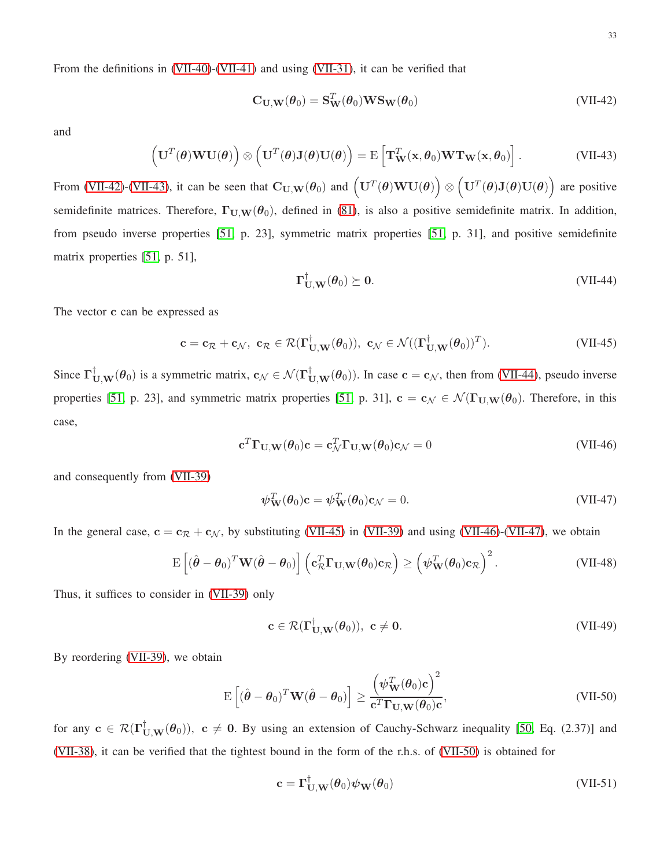From the definitions in [\(VII-40\)](#page-31-4)-[\(VII-41\)](#page-31-5) and using [\(VII-31\)](#page-30-3), it can be verified that

<span id="page-32-2"></span>
$$
\mathbf{C}_{\mathbf{U},\mathbf{W}}(\boldsymbol{\theta}_0) = \mathbf{S}_{\mathbf{W}}^T(\boldsymbol{\theta}_0) \mathbf{W} \mathbf{S}_{\mathbf{W}}(\boldsymbol{\theta}_0)
$$
 (VII-42)

and

<span id="page-32-3"></span>
$$
\left(\mathbf{U}^T(\boldsymbol{\theta})\mathbf{W}\mathbf{U}(\boldsymbol{\theta})\right) \otimes \left(\mathbf{U}^T(\boldsymbol{\theta})\mathbf{J}(\boldsymbol{\theta})\mathbf{U}(\boldsymbol{\theta})\right) = \mathrm{E}\left[\mathbf{T}_{\mathbf{W}}^T(\mathbf{x},\boldsymbol{\theta}_0)\mathbf{W}\mathbf{T}_{\mathbf{W}}(\mathbf{x},\boldsymbol{\theta}_0)\right].
$$
\n(VII-43)

From [\(VII-42\)](#page-32-2)-[\(VII-43\)](#page-32-3), it can be seen that  $\mathbf{C}_{\mathbf{U},\mathbf{W}}(\theta_0)$  and  $(\mathbf{U}^T(\theta)\mathbf{W}\mathbf{U}(\theta)) \otimes (\mathbf{U}^T(\theta)\mathbf{J}(\theta)\mathbf{U}(\theta))$  are positive semidefinite matrices. Therefore,  $\Gamma_{U,W}(\theta_0)$ , defined in [\(81\)](#page-14-5), is also a positive semidefinite matrix. In addition, from pseudo inverse properties [\[51,](#page-38-5) p. 23], symmetric matrix properties [\[51,](#page-38-5) p. 31], and positive semidefinite matrix properties [\[51,](#page-38-5) p. 51],

<span id="page-32-0"></span>
$$
\Gamma_{\mathbf{U},\mathbf{W}}^{\dagger}(\theta_0) \succeq \mathbf{0}.\tag{VII-44}
$$

The vector c can be expressed as

<span id="page-32-4"></span>
$$
\mathbf{c} = \mathbf{c}_{\mathcal{R}} + \mathbf{c}_{\mathcal{N}}, \ \mathbf{c}_{\mathcal{R}} \in \mathcal{R}(\Gamma_{\mathbf{U},\mathbf{W}}^{\dagger}(\boldsymbol{\theta}_{0})), \ \mathbf{c}_{\mathcal{N}} \in \mathcal{N}((\Gamma_{\mathbf{U},\mathbf{W}}^{\dagger}(\boldsymbol{\theta}_{0}))^{T}). \tag{VII-45}
$$

Since  $\Gamma_{\mathbf{U},\mathbf{W}}^{\dagger}(\theta_0)$  is a symmetric matrix,  $\mathbf{c}_\mathcal{N} \in \mathcal{N}(\Gamma_{\mathbf{U},\mathbf{W}}^{\dagger}(\theta_0))$ . In case  $\mathbf{c} = \mathbf{c}_\mathcal{N}$ , then from [\(VII-44\)](#page-32-0), pseudo inverse properties [\[51,](#page-38-5) p. 23], and symmetric matrix properties [\[51,](#page-38-5) p. 31],  $c = c_{\mathcal{N}} \in \mathcal{N}(\Gamma_{U,W}(\theta_0))$ . Therefore, in this case,

<span id="page-32-5"></span>
$$
\mathbf{c}^T \mathbf{\Gamma}_{\mathbf{U},\mathbf{W}}(\boldsymbol{\theta}_0) \mathbf{c} = \mathbf{c}_{\mathcal{N}}^T \mathbf{\Gamma}_{\mathbf{U},\mathbf{W}}(\boldsymbol{\theta}_0) \mathbf{c}_{\mathcal{N}} = 0
$$
\n(VII-46)

and consequently from [\(VII-39\)](#page-31-6)

<span id="page-32-6"></span>
$$
\psi_{\mathbf{W}}^T(\boldsymbol{\theta}_0)\mathbf{c} = \psi_{\mathbf{W}}^T(\boldsymbol{\theta}_0)\mathbf{c}_\mathcal{N} = 0.
$$
 (VII-47)

In the general case,  $c = c_R + c_N$ , by substituting [\(VII-45\)](#page-32-4) in [\(VII-39\)](#page-31-6) and using [\(VII-46\)](#page-32-5)-[\(VII-47\)](#page-32-6), we obtain

$$
\mathbf{E}\left[ (\hat{\boldsymbol{\theta}} - \boldsymbol{\theta}_0)^T \mathbf{W} (\hat{\boldsymbol{\theta}} - \boldsymbol{\theta}_0) \right] \left( \mathbf{c}_{\mathcal{R}}^T \mathbf{\Gamma}_{\mathbf{U}, \mathbf{W}} (\boldsymbol{\theta}_0) \mathbf{c}_{\mathcal{R}} \right) \ge \left( \boldsymbol{\psi}_{\mathbf{W}}^T (\boldsymbol{\theta}_0) \mathbf{c}_{\mathcal{R}} \right)^2.
$$
 (VII-48)

Thus, it suffices to consider in [\(VII-39\)](#page-31-6) only

<span id="page-32-1"></span>
$$
\mathbf{c} \in \mathcal{R}(\Gamma_{\mathbf{U},\mathbf{W}}^{\dagger}(\boldsymbol{\theta}_0)), \ \mathbf{c} \neq \mathbf{0}.\tag{VII-49}
$$

By reordering [\(VII-39\)](#page-31-6), we obtain

<span id="page-32-7"></span>
$$
\mathbf{E}\left[ (\hat{\boldsymbol{\theta}} - \boldsymbol{\theta}_0)^T \mathbf{W} (\hat{\boldsymbol{\theta}} - \boldsymbol{\theta}_0) \right] \ge \frac{\left( \boldsymbol{\psi}_{\mathbf{W}}^T(\boldsymbol{\theta}_0) \mathbf{c} \right)^2}{\mathbf{c}^T \mathbf{\Gamma}_{\mathbf{U}, \mathbf{W}}(\boldsymbol{\theta}_0) \mathbf{c}},
$$
\n(VII-50)

for any  $c \in \mathcal{R}(\Gamma_{\mathbf{U},\mathbf{W}}^{\dagger}(\theta_0))$ ,  $c \neq 0$ . By using an extension of Cauchy-Schwarz inequality [\[50,](#page-38-4) Eq. (2.37)] and [\(VII-38\)](#page-31-7), it can be verified that the tightest bound in the form of the r.h.s. of [\(VII-50\)](#page-32-7) is obtained for

<span id="page-32-8"></span>
$$
\mathbf{c} = \Gamma_{\mathbf{U},\mathbf{W}}^{\dagger}(\boldsymbol{\theta}_0)\boldsymbol{\psi}_{\mathbf{W}}(\boldsymbol{\theta}_0) \tag{VII-51}
$$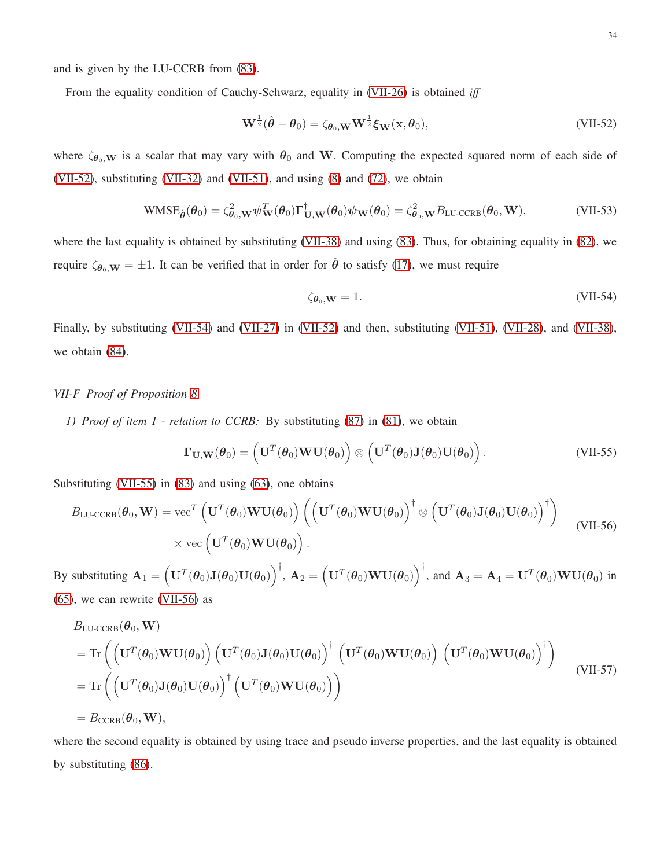and is given by the LU-CCRB from [\(83\)](#page-14-7).

From the equality condition of Cauchy-Schwarz, equality in [\(VII-26\)](#page-29-8) is obtained *iff*

<span id="page-33-0"></span>
$$
\mathbf{W}^{\frac{1}{2}}(\hat{\boldsymbol{\theta}} - \boldsymbol{\theta}_0) = \zeta_{\boldsymbol{\theta}_0, \mathbf{W}} \mathbf{W}^{\frac{1}{2}} \boldsymbol{\xi}_{\mathbf{W}}(\mathbf{x}, \boldsymbol{\theta}_0),
$$
 (VII-52)

where  $\zeta_{\theta_0,\mathbf{W}}$  is a scalar that may vary with  $\theta_0$  and W. Computing the expected squared norm of each side of [\(VII-52\)](#page-33-0), substituting [\(VII-32\)](#page-30-6) and [\(VII-51\)](#page-32-8), and using [\(8\)](#page-4-2) and [\(72\)](#page-12-4), we obtain

$$
\text{WMSE}_{\hat{\boldsymbol{\theta}}}(\boldsymbol{\theta}_{0}) = \zeta_{\boldsymbol{\theta}_{0},\mathbf{W}}^{2} \boldsymbol{\psi}_{\mathbf{W}}^{T}(\boldsymbol{\theta}_{0}) \boldsymbol{\Gamma}_{\mathbf{U},\mathbf{W}}^{\dagger}(\boldsymbol{\theta}_{0}) \boldsymbol{\psi}_{\mathbf{W}}(\boldsymbol{\theta}_{0}) = \zeta_{\boldsymbol{\theta}_{0},\mathbf{W}}^{2} B_{\text{LU-CCRB}}(\boldsymbol{\theta}_{0},\mathbf{W}), \qquad (\text{VII-53})
$$

where the last equality is obtained by substituting [\(VII-38\)](#page-31-7) and using [\(83\)](#page-14-7). Thus, for obtaining equality in [\(82\)](#page-14-1), we require  $\zeta_{\theta_0,\mathbf{W}} = \pm 1$ . It can be verified that in order for  $\hat{\theta}$  to satisfy [\(17\)](#page-6-7), we must require

<span id="page-33-1"></span>
$$
\zeta_{\theta_0,\mathbf{W}} = 1. \tag{VII-54}
$$

Finally, by substituting [\(VII-54\)](#page-33-1) and [\(VII-27\)](#page-30-0) in [\(VII-52\)](#page-33-0) and then, substituting [\(VII-51\)](#page-32-8), [\(VII-28\)](#page-30-2), and [\(VII-38\)](#page-31-7), we obtain [\(84\)](#page-14-3).

#### *VII-F Proof of Proposition [8](#page-15-2)*

*1) Proof of item 1 - relation to CCRB:* By substituting [\(87\)](#page-15-4) in [\(81\)](#page-14-5), we obtain

<span id="page-33-2"></span>
$$
\mathbf{\Gamma}_{\mathbf{U},\mathbf{W}}(\boldsymbol{\theta}_0) = \left(\mathbf{U}^T(\boldsymbol{\theta}_0)\mathbf{W}\mathbf{U}(\boldsymbol{\theta}_0)\right) \otimes \left(\mathbf{U}^T(\boldsymbol{\theta}_0)\mathbf{J}(\boldsymbol{\theta}_0)\mathbf{U}(\boldsymbol{\theta}_0)\right).
$$
 (VII-55)

Substituting [\(VII-55\)](#page-33-2) in [\(83\)](#page-14-7) and using [\(63\)](#page-11-8), one obtains

<span id="page-33-3"></span>
$$
B_{\text{LU-CCRB}}(\boldsymbol{\theta}_0, \mathbf{W}) = \text{vec}^T \left( \mathbf{U}^T(\boldsymbol{\theta}_0) \mathbf{W} \mathbf{U}(\boldsymbol{\theta}_0) \right) \left( \left( \mathbf{U}^T(\boldsymbol{\theta}_0) \mathbf{W} \mathbf{U}(\boldsymbol{\theta}_0) \right)^{\dagger} \otimes \left( \mathbf{U}^T(\boldsymbol{\theta}_0) \mathbf{J}(\boldsymbol{\theta}_0) \mathbf{U}(\boldsymbol{\theta}_0) \right)^{\dagger} \right) \tag{VII-56}
$$
\n
$$
\times \text{vec} \left( \mathbf{U}^T(\boldsymbol{\theta}_0) \mathbf{W} \mathbf{U}(\boldsymbol{\theta}_0) \right).
$$

By substituting  $\mathbf{A}_1 = \left(\mathbf{U}^T(\boldsymbol{\theta}_0)\mathbf{J}(\boldsymbol{\theta}_0)\mathbf{U}(\boldsymbol{\theta}_0)\right)^{\dagger}$ ,  $\mathbf{A}_2 = \left(\mathbf{U}^T(\boldsymbol{\theta}_0)\mathbf{W}\mathbf{U}(\boldsymbol{\theta}_0)\right)^{\dagger}$ , and  $\mathbf{A}_3 = \mathbf{A}_4 = \mathbf{U}^T(\boldsymbol{\theta}_0)\mathbf{W}\mathbf{U}(\boldsymbol{\theta}_0)$  in [\(65\)](#page-11-10), we can rewrite [\(VII-56\)](#page-33-3) as

<span id="page-33-4"></span>
$$
B_{\text{LU-CCRB}}(\theta_0, \mathbf{W})
$$
  
= Tr  $\left( \left( \mathbf{U}^T(\theta_0) \mathbf{W} \mathbf{U}(\theta_0) \right) \left( \mathbf{U}^T(\theta_0) \mathbf{J}(\theta_0) \mathbf{U}(\theta_0) \right)^{\dagger} \left( \mathbf{U}^T(\theta_0) \mathbf{W} \mathbf{U}(\theta_0) \right) \left( \mathbf{U}^T(\theta_0) \mathbf{W} \mathbf{U}(\theta_0) \right)^{\dagger} \right)$   
= Tr  $\left( \left( \mathbf{U}^T(\theta_0) \mathbf{J}(\theta_0) \mathbf{U}(\theta_0) \right)^{\dagger} \left( \mathbf{U}^T(\theta_0) \mathbf{W} \mathbf{U}(\theta_0) \right) \right)$   
=  $B_{\text{CCRB}}(\theta_0, \mathbf{W}),$  (VII-57)

where the second equality is obtained by using trace and pseudo inverse properties, and the last equality is obtained by substituting [\(86\)](#page-15-1).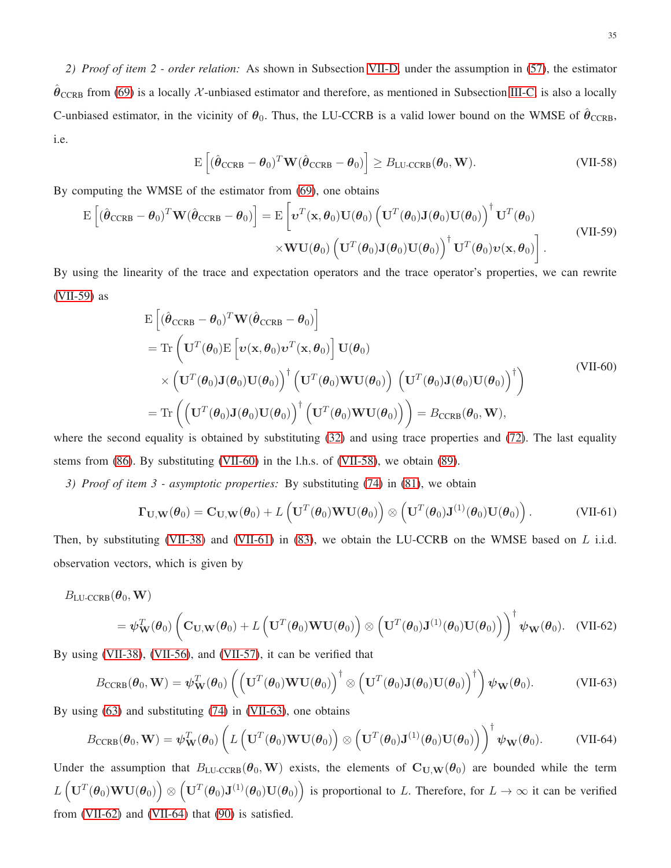*2) Proof of item 2 - order relation:* As shown in Subsection [VII-D,](#page-28-4) under the assumption in [\(57\)](#page-11-6), the estimator  $\hat{\theta}_{\text{CCRB}}$  from [\(69\)](#page-12-0) is a locally X-unbiased estimator and therefore, as mentioned in Subsection [III-C,](#page-6-8) is also a locally C-unbiased estimator, in the vicinity of  $\theta_0$ . Thus, the LU-CCRB is a valid lower bound on the WMSE of  $\hat{\theta}_{\text{CCRB}}$ , i.e.

<span id="page-34-2"></span>
$$
\mathbf{E}\left[ (\hat{\boldsymbol{\theta}}_{\text{CCRB}} - \boldsymbol{\theta}_0)^T \mathbf{W} (\hat{\boldsymbol{\theta}}_{\text{CCRB}} - \boldsymbol{\theta}_0) \right] \ge B_{\text{LU-CCRB}}(\boldsymbol{\theta}_0, \mathbf{W}). \tag{VII-58}
$$

By computing the WMSE of the estimator from [\(69\)](#page-12-0), one obtains

<span id="page-34-0"></span>
$$
\mathbf{E}\left[ (\hat{\boldsymbol{\theta}}_{\text{CCRB}} - \boldsymbol{\theta}_0)^T \mathbf{W} (\hat{\boldsymbol{\theta}}_{\text{CCRB}} - \boldsymbol{\theta}_0) \right] = \mathbf{E}\left[ \boldsymbol{v}^T(\mathbf{x}, \boldsymbol{\theta}_0) \mathbf{U}(\boldsymbol{\theta}_0) \left( \mathbf{U}^T(\boldsymbol{\theta}_0) \mathbf{J}(\boldsymbol{\theta}_0) \mathbf{U}(\boldsymbol{\theta}_0) \right)^{\dagger} \mathbf{U}^T(\boldsymbol{\theta}_0) \right. \times \mathbf{W} \mathbf{U}(\boldsymbol{\theta}_0) \left( \mathbf{U}^T(\boldsymbol{\theta}_0) \mathbf{J}(\boldsymbol{\theta}_0) \mathbf{U}(\boldsymbol{\theta}_0) \right)^{\dagger} \mathbf{U}^T(\boldsymbol{\theta}_0) \boldsymbol{v}(\mathbf{x}, \boldsymbol{\theta}_0) \right].
$$
\n(VII-59)

By using the linearity of the trace and expectation operators and the trace operator's properties, we can rewrite [\(VII-59\)](#page-34-0) as

$$
\mathbf{E}\left[\left(\hat{\boldsymbol{\theta}}_{\text{CCRB}} - \boldsymbol{\theta}_0\right)^T \mathbf{W}(\hat{\boldsymbol{\theta}}_{\text{CCRB}} - \boldsymbol{\theta}_0)\right] \n= \text{Tr}\left(\mathbf{U}^T(\boldsymbol{\theta}_0)\mathbf{E}\left[\mathbf{v}(\mathbf{x},\boldsymbol{\theta}_0)\mathbf{v}^T(\mathbf{x},\boldsymbol{\theta}_0)\right]\mathbf{U}(\boldsymbol{\theta}_0) \n\times \left(\mathbf{U}^T(\boldsymbol{\theta}_0)\mathbf{J}(\boldsymbol{\theta}_0)\mathbf{U}(\boldsymbol{\theta}_0)\right)^{\dagger} \left(\mathbf{U}^T(\boldsymbol{\theta}_0)\mathbf{W}\mathbf{U}(\boldsymbol{\theta}_0)\right) \left(\mathbf{U}^T(\boldsymbol{\theta}_0)\mathbf{J}(\boldsymbol{\theta}_0)\mathbf{U}(\boldsymbol{\theta}_0)\right)^{\dagger}\right) \n= \text{Tr}\left(\left(\mathbf{U}^T(\boldsymbol{\theta}_0)\mathbf{J}(\boldsymbol{\theta}_0)\mathbf{U}(\boldsymbol{\theta}_0)\right)^{\dagger} \left(\mathbf{U}^T(\boldsymbol{\theta}_0)\mathbf{W}\mathbf{U}(\boldsymbol{\theta}_0)\right)\right) = B_{\text{CCRB}}(\boldsymbol{\theta}_0,\mathbf{W}),
$$
\n(VII-60)

<span id="page-34-1"></span>where the second equality is obtained by substituting [\(32\)](#page-8-6) and using trace properties and [\(72\)](#page-12-4). The last equality stems from [\(86\)](#page-15-1). By substituting [\(VII-60\)](#page-34-1) in the l.h.s. of [\(VII-58\)](#page-34-2), we obtain [\(89\)](#page-15-5).

*3) Proof of item 3 - asymptotic properties:* By substituting [\(74\)](#page-13-0) in [\(81\)](#page-14-5), we obtain

<span id="page-34-5"></span><span id="page-34-3"></span>
$$
\mathbf{\Gamma}_{\mathbf{U},\mathbf{W}}(\boldsymbol{\theta}_0) = \mathbf{C}_{\mathbf{U},\mathbf{W}}(\boldsymbol{\theta}_0) + L\left(\mathbf{U}^T(\boldsymbol{\theta}_0)\mathbf{W}\mathbf{U}(\boldsymbol{\theta}_0)\right) \otimes \left(\mathbf{U}^T(\boldsymbol{\theta}_0)\mathbf{J}^{(1)}(\boldsymbol{\theta}_0)\mathbf{U}(\boldsymbol{\theta}_0)\right).
$$
 (VII-61)

Then, by substituting [\(VII-38\)](#page-31-7) and [\(VII-61\)](#page-34-3) in [\(83\)](#page-14-7), we obtain the LU-CCRB on the WMSE based on L i.i.d. observation vectors, which is given by

$$
B_{\text{LU-CCRB}}(\boldsymbol{\theta}_0, \mathbf{W})
$$

$$
= \psi_{\mathbf{W}}^T(\boldsymbol{\theta}_0) \left( \mathbf{C}_{\mathbf{U},\mathbf{W}}(\boldsymbol{\theta}_0) + L \left( \mathbf{U}^T(\boldsymbol{\theta}_0) \mathbf{W} \mathbf{U}(\boldsymbol{\theta}_0) \right) \otimes \left( \mathbf{U}^T(\boldsymbol{\theta}_0) \mathbf{J}^{(1)}(\boldsymbol{\theta}_0) \mathbf{U}(\boldsymbol{\theta}_0) \right) \right)^{\dagger} \psi_{\mathbf{W}}(\boldsymbol{\theta}_0). \quad (\text{VII-62})
$$

By using [\(VII-38\)](#page-31-7), [\(VII-56\)](#page-33-3), and [\(VII-57\)](#page-33-4), it can be verified that

<span id="page-34-4"></span>
$$
B_{\text{CCRB}}(\boldsymbol{\theta}_0, \mathbf{W}) = \boldsymbol{\psi}_{\mathbf{W}}^T(\boldsymbol{\theta}_0) \left( \left( \mathbf{U}^T(\boldsymbol{\theta}_0) \mathbf{W} \mathbf{U}(\boldsymbol{\theta}_0) \right)^{\dagger} \otimes \left( \mathbf{U}^T(\boldsymbol{\theta}_0) \mathbf{J}(\boldsymbol{\theta}_0) \mathbf{U}(\boldsymbol{\theta}_0) \right)^{\dagger} \right) \boldsymbol{\psi}_{\mathbf{W}}(\boldsymbol{\theta}_0). \tag{VII-63}
$$

By using [\(63\)](#page-11-8) and substituting [\(74\)](#page-13-0) in [\(VII-63\)](#page-34-4), one obtains

<span id="page-34-6"></span>
$$
B_{\text{CCRB}}(\boldsymbol{\theta}_0, \mathbf{W}) = \boldsymbol{\psi}_{\mathbf{W}}^T(\boldsymbol{\theta}_0) \left( L \left( \mathbf{U}^T(\boldsymbol{\theta}_0) \mathbf{W} \mathbf{U}(\boldsymbol{\theta}_0) \right) \otimes \left( \mathbf{U}^T(\boldsymbol{\theta}_0) \mathbf{J}^{(1)}(\boldsymbol{\theta}_0) \mathbf{U}(\boldsymbol{\theta}_0) \right) \right)^{\dagger} \boldsymbol{\psi}_{\mathbf{W}}(\boldsymbol{\theta}_0). \tag{VII-64}
$$

Under the assumption that  $B_{\text{LU-CCRB}}(\theta_0, \mathbf{W})$  exists, the elements of  $\mathbf{C}_{\mathbf{U},\mathbf{W}}(\theta_0)$  are bounded while the term  $L\left(\mathbf{U}^T(\bm\theta_0)\mathbf{W}\mathbf{U}(\bm\theta_0)\right)\otimes\left(\mathbf{U}^T(\bm\theta_0)\mathbf{J}^{(1)}(\bm\theta_0)\mathbf{U}(\bm\theta_0)\right)$  is proportional to  $L$ . Therefore, for  $L\to\infty$  it can be verified from [\(VII-62\)](#page-34-5) and [\(VII-64\)](#page-34-6) that [\(90\)](#page-15-6) is satisfied.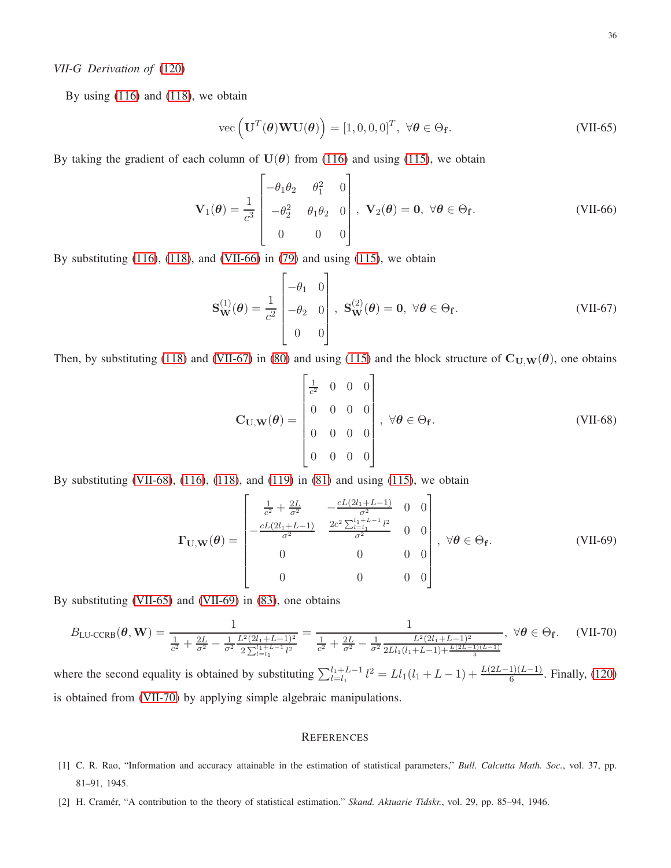#### *VII-G Derivation of* [\(120\)](#page-22-3)

By using [\(116\)](#page-22-0) and [\(118\)](#page-22-1), we obtain

<span id="page-35-5"></span>
$$
\text{vec}\left(\mathbf{U}^T(\boldsymbol{\theta})\mathbf{W}\mathbf{U}(\boldsymbol{\theta})\right) = [1, 0, 0, 0]^T, \ \forall \boldsymbol{\theta} \in \Theta_f.
$$
\n(VII-65)

By taking the gradient of each column of  $U(\theta)$  from [\(116\)](#page-22-0) and using [\(115\)](#page-21-1), we obtain

<span id="page-35-2"></span>
$$
\mathbf{V}_1(\boldsymbol{\theta}) = \frac{1}{c^3} \begin{bmatrix} -\theta_1 \theta_2 & \theta_1^2 & 0 \\ -\theta_2^2 & \theta_1 \theta_2 & 0 \\ 0 & 0 & 0 \end{bmatrix}, \ \mathbf{V}_2(\boldsymbol{\theta}) = \mathbf{0}, \ \forall \boldsymbol{\theta} \in \Theta_{\mathbf{f}}.
$$
 (VII-66)

By substituting [\(116\)](#page-22-0), [\(118\)](#page-22-1), and [\(VII-66\)](#page-35-2) in [\(79\)](#page-14-6) and using [\(115\)](#page-21-1), we obtain

<span id="page-35-3"></span>
$$
\mathbf{S}_{\mathbf{W}}^{(1)}(\boldsymbol{\theta}) = \frac{1}{c^2} \begin{bmatrix} -\theta_1 & 0 \\ -\theta_2 & 0 \\ 0 & 0 \end{bmatrix}, \ \mathbf{S}_{\mathbf{W}}^{(2)}(\boldsymbol{\theta}) = \mathbf{0}, \ \forall \boldsymbol{\theta} \in \Theta_{\mathbf{f}}.
$$
 (VII-67)

Then, by substituting [\(118\)](#page-22-1) and [\(VII-67\)](#page-35-3) in [\(80\)](#page-14-4) and using [\(115\)](#page-21-1) and the block structure of  $C_{U,W}(\theta)$ , one obtains

<span id="page-35-4"></span>
$$
\mathbf{C}_{\mathbf{U},\mathbf{W}}(\theta) = \begin{bmatrix} \frac{1}{c^2} & 0 & 0 & 0 \\ 0 & 0 & 0 & 0 \\ 0 & 0 & 0 & 0 \\ 0 & 0 & 0 & 0 \end{bmatrix}, \ \forall \theta \in \Theta_{\mathbf{f}}.
$$
 (VII-68)

By substituting [\(VII-68\)](#page-35-4), [\(116\)](#page-22-0), [\(118\)](#page-22-1), and [\(119\)](#page-22-2) in [\(81\)](#page-14-5) and using [\(115\)](#page-21-1), we obtain

<span id="page-35-6"></span>
$$
\mathbf{\Gamma}_{\mathbf{U},\mathbf{W}}(\theta) = \begin{bmatrix} \frac{1}{c^2} + \frac{2L}{\sigma^2} & -\frac{cL(2l_1 + L - 1)}{\sigma^2} & 0 & 0\\ -\frac{cL(2l_1 + L - 1)}{\sigma^2} & \frac{2c^2 \sum_{i=l_1}^{l_1 + L - 1} l^2}{\sigma^2} & 0 & 0\\ 0 & 0 & 0 & 0\\ 0 & 0 & 0 & 0 \end{bmatrix}, \ \forall \theta \in \Theta_f.
$$
 (VII-69)

By substituting [\(VII-65\)](#page-35-5) and [\(VII-69\)](#page-35-6) in [\(83\)](#page-14-7), one obtains

<span id="page-35-7"></span>
$$
B_{\text{LU-CCRB}}(\theta, \mathbf{W}) = \frac{1}{\frac{1}{c^2} + \frac{2L}{\sigma^2} - \frac{1}{\sigma^2} \frac{L^2 (2l_1 + L - 1)^2}{2 \sum_{l=1}^{l_1 + L - 1} l^2}} = \frac{1}{\frac{1}{c^2} + \frac{2L}{\sigma^2} - \frac{1}{\sigma^2} \frac{L^2 (2l_1 + L - 1)^2}{2Ll_1 (l_1 + L - 1) + \frac{L(2L - 1)(L - 1)}{3}}}, \ \forall \theta \in \Theta_f. \tag{VII-70}
$$

where the second equality is obtained by substituting  $\sum_{l=l_1}^{l_1+L-1} l^2 = Ll_1(l_1+L-1) + \frac{L(2L-1)(L-1)}{6}$ . Finally, [\(120\)](#page-22-3) is obtained from [\(VII-70\)](#page-35-7) by applying simple algebraic manipulations.

## **REFERENCES**

- <span id="page-35-1"></span><span id="page-35-0"></span>[1] C. R. Rao, "Information and accuracy attainable in the estimation of statistical parameters," *Bull. Calcutta Math. Soc.*, vol. 37, pp. 81–91, 1945.
- [2] H. Cram´er, "A contribution to the theory of statistical estimation." *Skand. Aktuarie Tidskr.*, vol. 29, pp. 85–94, 1946.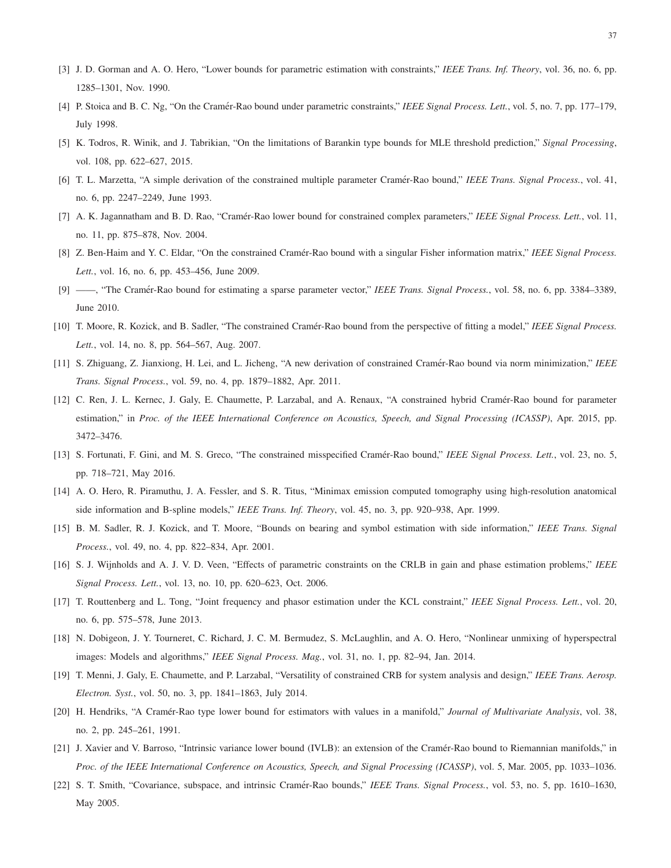- <span id="page-36-1"></span><span id="page-36-0"></span>[3] J. D. Gorman and A. O. Hero, "Lower bounds for parametric estimation with constraints," *IEEE Trans. Inf. Theory*, vol. 36, no. 6, pp. 1285–1301, Nov. 1990.
- <span id="page-36-2"></span>[4] P. Stoica and B. C. Ng, "On the Cramér-Rao bound under parametric constraints," IEEE Signal Process. Lett., vol. 5, no. 7, pp. 177-179, July 1998.
- <span id="page-36-3"></span>[5] K. Todros, R. Winik, and J. Tabrikian, "On the limitations of Barankin type bounds for MLE threshold prediction," *Signal Processing*, vol. 108, pp. 622–627, 2015.
- <span id="page-36-4"></span>[6] T. L. Marzetta, "A simple derivation of the constrained multiple parameter Cram´er-Rao bound," *IEEE Trans. Signal Process.*, vol. 41, no. 6, pp. 2247–2249, June 1993.
- <span id="page-36-5"></span>[7] A. K. Jagannatham and B. D. Rao, "Cram´er-Rao lower bound for constrained complex parameters," *IEEE Signal Process. Lett.*, vol. 11, no. 11, pp. 875–878, Nov. 2004.
- <span id="page-36-6"></span>[8] Z. Ben-Haim and Y. C. Eldar, "On the constrained Cram´er-Rao bound with a singular Fisher information matrix," *IEEE Signal Process. Lett.*, vol. 16, no. 6, pp. 453–456, June 2009.
- <span id="page-36-7"></span>[9] ——, "The Cram´er-Rao bound for estimating a sparse parameter vector," *IEEE Trans. Signal Process.*, vol. 58, no. 6, pp. 3384–3389, June 2010.
- <span id="page-36-8"></span>[10] T. Moore, R. Kozick, and B. Sadler, "The constrained Cramér-Rao bound from the perspective of fitting a model," *IEEE Signal Process*. *Lett.*, vol. 14, no. 8, pp. 564–567, Aug. 2007.
- <span id="page-36-9"></span>[11] S. Zhiguang, Z. Jianxiong, H. Lei, and L. Jicheng, "A new derivation of constrained Cram´er-Rao bound via norm minimization," *IEEE Trans. Signal Process.*, vol. 59, no. 4, pp. 1879–1882, Apr. 2011.
- [12] C. Ren, J. L. Kernec, J. Galy, E. Chaumette, P. Larzabal, and A. Renaux, "A constrained hybrid Cramér-Rao bound for parameter estimation," in *Proc. of the IEEE International Conference on Acoustics, Speech, and Signal Processing (ICASSP)*, Apr. 2015, pp. 3472–3476.
- <span id="page-36-11"></span><span id="page-36-10"></span>[13] S. Fortunati, F. Gini, and M. S. Greco, "The constrained misspecified Cram´er-Rao bound," *IEEE Signal Process. Lett.*, vol. 23, no. 5, pp. 718–721, May 2016.
- [14] A. O. Hero, R. Piramuthu, J. A. Fessler, and S. R. Titus, "Minimax emission computed tomography using high-resolution anatomical side information and B-spline models," *IEEE Trans. Inf. Theory*, vol. 45, no. 3, pp. 920–938, Apr. 1999.
- [15] B. M. Sadler, R. J. Kozick, and T. Moore, "Bounds on bearing and symbol estimation with side information," *IEEE Trans. Signal Process.*, vol. 49, no. 4, pp. 822–834, Apr. 2001.
- [16] S. J. Wijnholds and A. J. V. D. Veen, "Effects of parametric constraints on the CRLB in gain and phase estimation problems," *IEEE Signal Process. Lett.*, vol. 13, no. 10, pp. 620–623, Oct. 2006.
- [17] T. Routtenberg and L. Tong, "Joint frequency and phasor estimation under the KCL constraint," *IEEE Signal Process. Lett.*, vol. 20, no. 6, pp. 575–578, June 2013.
- <span id="page-36-12"></span>[18] N. Dobigeon, J. Y. Tourneret, C. Richard, J. C. M. Bermudez, S. McLaughlin, and A. O. Hero, "Nonlinear unmixing of hyperspectral images: Models and algorithms," *IEEE Signal Process. Mag.*, vol. 31, no. 1, pp. 82–94, Jan. 2014.
- <span id="page-36-13"></span>[19] T. Menni, J. Galy, E. Chaumette, and P. Larzabal, "Versatility of constrained CRB for system analysis and design," *IEEE Trans. Aerosp. Electron. Syst.*, vol. 50, no. 3, pp. 1841–1863, July 2014.
- [20] H. Hendriks, "A Cram´er-Rao type lower bound for estimators with values in a manifold," *Journal of Multivariate Analysis*, vol. 38, no. 2, pp. 245–261, 1991.
- [21] J. Xavier and V. Barroso, "Intrinsic variance lower bound (IVLB): an extension of the Cramér-Rao bound to Riemannian manifolds," in *Proc. of the IEEE International Conference on Acoustics, Speech, and Signal Processing (ICASSP)*, vol. 5, Mar. 2005, pp. 1033–1036.
- [22] S. T. Smith, "Covariance, subspace, and intrinsic Cramér-Rao bounds," *IEEE Trans. Signal Process.*, vol. 53, no. 5, pp. 1610–1630, May 2005.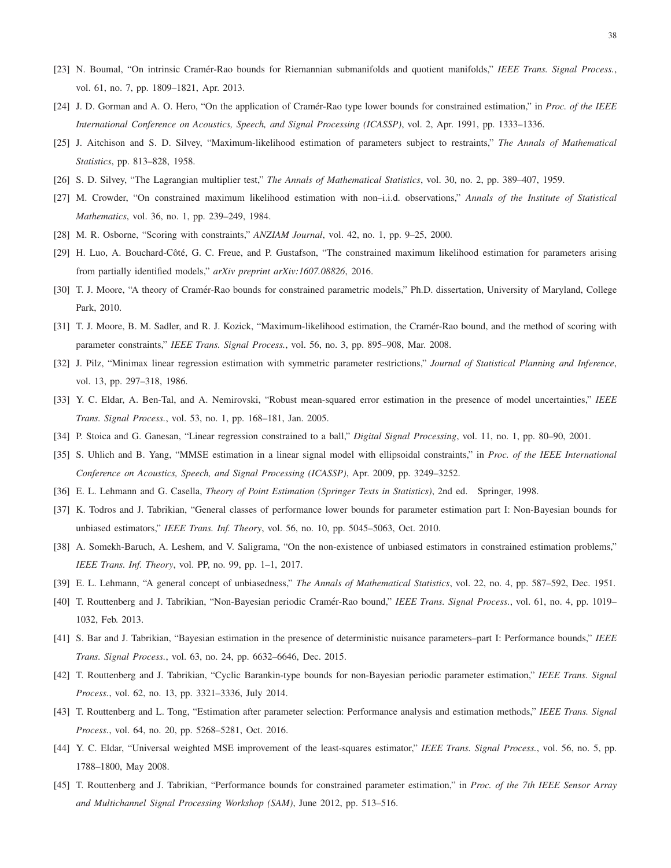- <span id="page-37-1"></span><span id="page-37-0"></span>[23] N. Boumal, "On intrinsic Cramér-Rao bounds for Riemannian submanifolds and quotient manifolds," *IEEE Trans. Signal Process.*, vol. 61, no. 7, pp. 1809–1821, Apr. 2013.
- <span id="page-37-2"></span>[24] J. D. Gorman and A. O. Hero, "On the application of Cram´er-Rao type lower bounds for constrained estimation," in *Proc. of the IEEE International Conference on Acoustics, Speech, and Signal Processing (ICASSP)*, vol. 2, Apr. 1991, pp. 1333–1336.
- [25] J. Aitchison and S. D. Silvey, "Maximum-likelihood estimation of parameters subject to restraints," *The Annals of Mathematical Statistics*, pp. 813–828, 1958.
- [26] S. D. Silvey, "The Lagrangian multiplier test," *The Annals of Mathematical Statistics*, vol. 30, no. 2, pp. 389–407, 1959.
- [27] M. Crowder, "On constrained maximum likelihood estimation with non–i.i.d. observations," *Annals of the Institute of Statistical Mathematics*, vol. 36, no. 1, pp. 239–249, 1984.
- [28] M. R. Osborne, "Scoring with constraints," *ANZIAM Journal*, vol. 42, no. 1, pp. 9–25, 2000.
- <span id="page-37-11"></span>[29] H. Luo, A. Bouchard-Côté, G. C. Freue, and P. Gustafson, "The constrained maximum likelihood estimation for parameters arising from partially identified models," *arXiv preprint arXiv:1607.08826*, 2016.
- <span id="page-37-3"></span>[30] T. J. Moore, "A theory of Cramér-Rao bounds for constrained parametric models," Ph.D. dissertation, University of Maryland, College Park, 2010.
- <span id="page-37-4"></span>[31] T. J. Moore, B. M. Sadler, and R. J. Kozick, "Maximum-likelihood estimation, the Cramér-Rao bound, and the method of scoring with parameter constraints," *IEEE Trans. Signal Process.*, vol. 56, no. 3, pp. 895–908, Mar. 2008.
- <span id="page-37-5"></span>[32] J. Pilz, "Minimax linear regression estimation with symmetric parameter restrictions," *Journal of Statistical Planning and Inference*, vol. 13, pp. 297–318, 1986.
- <span id="page-37-6"></span>[33] Y. C. Eldar, A. Ben-Tal, and A. Nemirovski, "Robust mean-squared error estimation in the presence of model uncertainties," *IEEE Trans. Signal Process.*, vol. 53, no. 1, pp. 168–181, Jan. 2005.
- <span id="page-37-7"></span>[34] P. Stoica and G. Ganesan, "Linear regression constrained to a ball," *Digital Signal Processing*, vol. 11, no. 1, pp. 80–90, 2001.
- <span id="page-37-8"></span>[35] S. Uhlich and B. Yang, "MMSE estimation in a linear signal model with ellipsoidal constraints," in *Proc. of the IEEE International Conference on Acoustics, Speech, and Signal Processing (ICASSP)*, Apr. 2009, pp. 3249–3252.
- <span id="page-37-9"></span>[36] E. L. Lehmann and G. Casella, *Theory of Point Estimation (Springer Texts in Statistics)*, 2nd ed. Springer, 1998.
- <span id="page-37-10"></span>[37] K. Todros and J. Tabrikian, "General classes of performance lower bounds for parameter estimation part I: Non-Bayesian bounds for unbiased estimators," *IEEE Trans. Inf. Theory*, vol. 56, no. 10, pp. 5045–5063, Oct. 2010.
- <span id="page-37-12"></span>[38] A. Somekh-Baruch, A. Leshem, and V. Saligrama, "On the non-existence of unbiased estimators in constrained estimation problems," *IEEE Trans. Inf. Theory*, vol. PP, no. 99, pp. 1–1, 2017.
- <span id="page-37-13"></span>[39] E. L. Lehmann, "A general concept of unbiasedness," *The Annals of Mathematical Statistics*, vol. 22, no. 4, pp. 587–592, Dec. 1951.
- [40] T. Routtenberg and J. Tabrikian, "Non-Bayesian periodic Cramér-Rao bound," *IEEE Trans. Signal Process.*, vol. 61, no. 4, pp. 1019– 1032, Feb. 2013.
- <span id="page-37-17"></span>[41] S. Bar and J. Tabrikian, "Bayesian estimation in the presence of deterministic nuisance parameters–part I: Performance bounds," *IEEE Trans. Signal Process.*, vol. 63, no. 24, pp. 6632–6646, Dec. 2015.
- <span id="page-37-14"></span>[42] T. Routtenberg and J. Tabrikian, "Cyclic Barankin-type bounds for non-Bayesian periodic parameter estimation," *IEEE Trans. Signal Process.*, vol. 62, no. 13, pp. 3321–3336, July 2014.
- <span id="page-37-15"></span>[43] T. Routtenberg and L. Tong, "Estimation after parameter selection: Performance analysis and estimation methods," *IEEE Trans. Signal Process.*, vol. 64, no. 20, pp. 5268–5281, Oct. 2016.
- <span id="page-37-16"></span>[44] Y. C. Eldar, "Universal weighted MSE improvement of the least-squares estimator," *IEEE Trans. Signal Process.*, vol. 56, no. 5, pp. 1788–1800, May 2008.
- [45] T. Routtenberg and J. Tabrikian, "Performance bounds for constrained parameter estimation," in *Proc. of the 7th IEEE Sensor Array and Multichannel Signal Processing Workshop (SAM)*, June 2012, pp. 513–516.